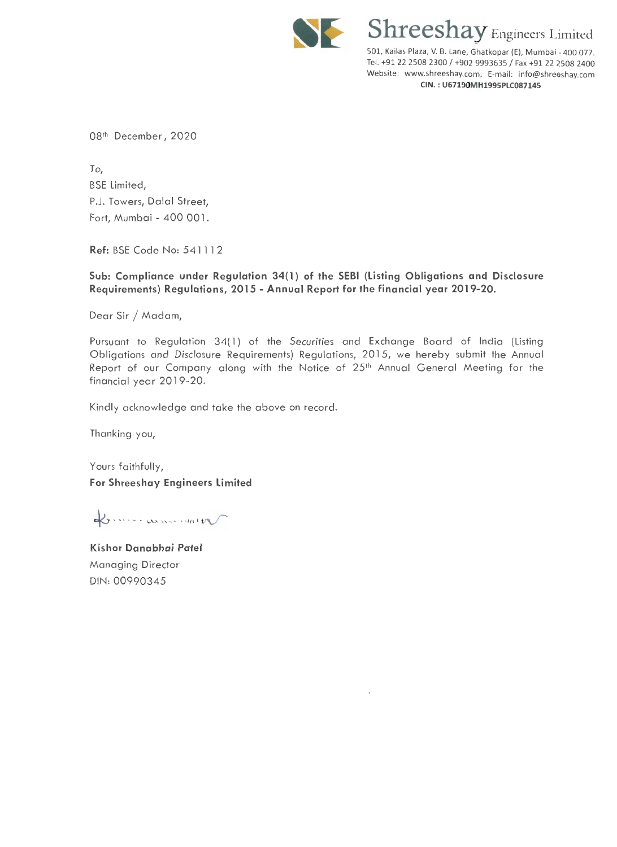

**Shreeshay** Engineers Limited 501, Kailas Plaza, V. B. Lane, Ghatkopar (E), Mumbai - 400 077. Tel. +91 22 2508 2300 / +902 9993635 / Fax +91 22 2508 2400 Website: www.shreeshay.com, E-mail: info@shreeshay.com **CIN. : U67190MH199SPLC087145** 

081 h December, 2020

To, BSE limited, P.J. Towers, Dalal Street, Fort, Mumbai- 400 001.

**Ref:** BSE Code No: 54 1 1 1 2

**Sub: Compliance under Regulation 34(1) of the SEBI (Listing Obligations and Disclosure Requirements) Regulations, 201 5 - Annual Report for the financial year 2019-20.** 

Dear Sir / Madam,

Pursuant to Regulation 34(1) of the Securities and Exchange Board of India (Listing Obligations and Disclosure Requirements) Regulations, 2015, we hereby submit the Annual Report of our Company along with the Notice of 25th Annual General Meeting for the financial year 2019-20.

Kindly acknowledge and take the above on record.

Thanking you,

Yours faithfully, **For Shreeshay Engineers Limited** 

Louise women was

**Kishor Danabhai Patel**  Managing Director DIN: 00990345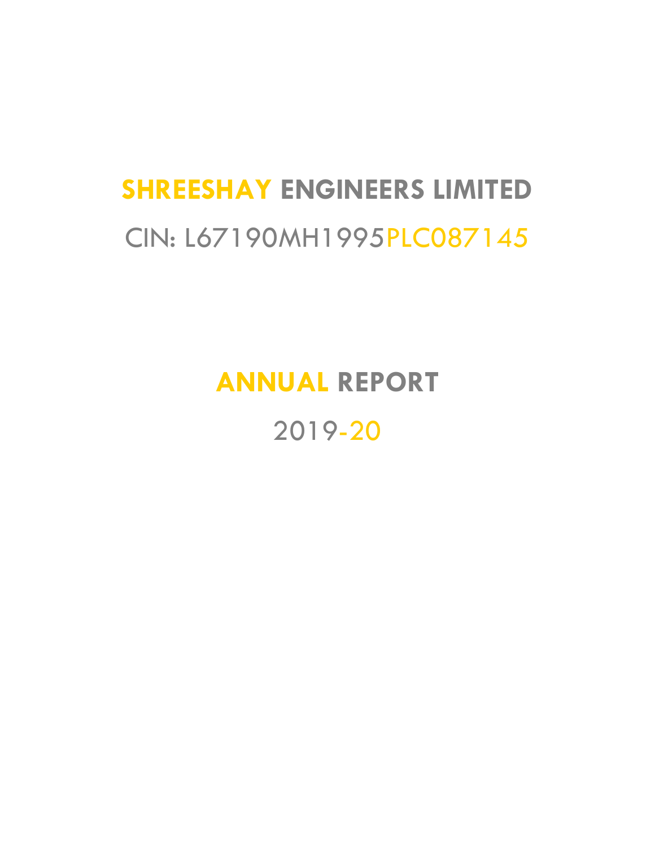# **SHREESHAY ENGINEERS LIMITED** CIN: L67190MH1995PLC087145

# **ANNUAL REPORT**

2019-20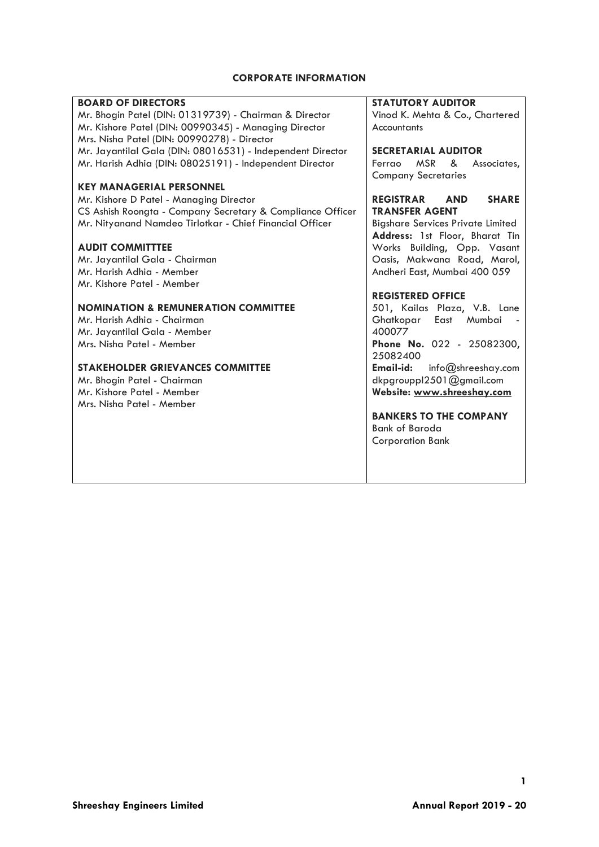# **CORPORATE INFORMATION**

| <b>BOARD OF DIRECTORS</b>                                  | <b>STATUTORY AUDITOR</b>                                     |
|------------------------------------------------------------|--------------------------------------------------------------|
| Mr. Bhogin Patel (DIN: 01319739) - Chairman & Director     | Vinod K. Mehta & Co., Chartered                              |
| Mr. Kishore Patel (DIN: 00990345) - Managing Director      | Accountants                                                  |
| Mrs. Nisha Patel (DIN: 00990278) - Director                |                                                              |
| Mr. Jayantilal Gala (DIN: 08016531) - Independent Director | <b>SECRETARIAL AUDITOR</b>                                   |
| Mr. Harish Adhia (DIN: 08025191) - Independent Director    | Ferrao<br>MSR &<br>Associates,<br><b>Company Secretaries</b> |
| <b>KEY MANAGERIAL PERSONNEL</b>                            |                                                              |
| Mr. Kishore D Patel - Managing Director                    | <b>REGISTRAR</b><br><b>AND</b><br><b>SHARE</b>               |
| CS Ashish Roongta - Company Secretary & Compliance Officer | <b>TRANSFER AGENT</b>                                        |
| Mr. Nityanand Namdeo Tirlotkar - Chief Financial Officer   | <b>Bigshare Services Private Limited</b>                     |
|                                                            | Address: 1st Floor, Bharat Tin                               |
| <b>AUDIT COMMITTTEE</b>                                    | Works Building, Opp. Vasant                                  |
| Mr. Jayantilal Gala - Chairman                             | Oasis, Makwana Road, Marol,                                  |
| Mr. Harish Adhia - Member                                  | Andheri East, Mumbai 400 059                                 |
| Mr. Kishore Patel - Member                                 |                                                              |
|                                                            | <b>REGISTERED OFFICE</b>                                     |
| <b>NOMINATION &amp; REMUNERATION COMMITTEE</b>             | 501, Kailas Plaza, V.B. Lane                                 |
| Mr. Harish Adhia - Chairman                                | East Mumbai<br>Ghatkopar                                     |
| Mr. Jayantilal Gala - Member                               | 400077                                                       |
| Mrs. Nisha Patel - Member                                  | Phone No. 022 - 25082300,                                    |
|                                                            | 25082400                                                     |
| <b>STAKEHOLDER GRIEVANCES COMMITTEE</b>                    | info@shreeshay.com<br>Email-id:                              |
| Mr. Bhogin Patel - Chairman                                | dkpgrouppl2501@gmail.com                                     |
| Mr. Kishore Patel - Member                                 | Website: www.shreeshay.com                                   |
| Mrs. Nisha Patel - Member                                  |                                                              |
|                                                            | <b>BANKERS TO THE COMPANY</b>                                |
|                                                            | Bank of Baroda                                               |
|                                                            | <b>Corporation Bank</b>                                      |
|                                                            |                                                              |
|                                                            |                                                              |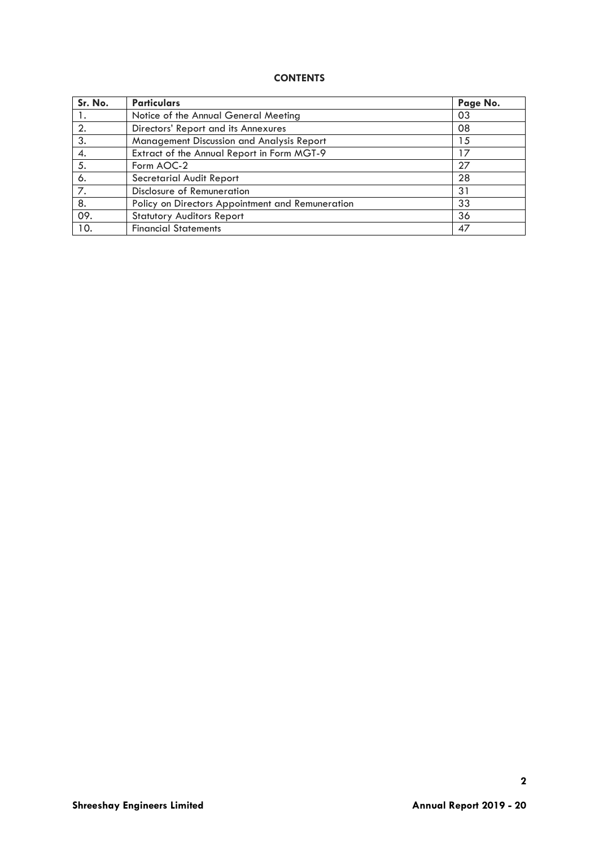# **CONTENTS**

| Sr. No. | <b>Particulars</b>                               | Page No. |
|---------|--------------------------------------------------|----------|
|         | Notice of the Annual General Meeting             | 03       |
| 2.      | Directors' Report and its Annexures              | 08       |
| 3.      | Management Discussion and Analysis Report        | 15       |
| 4.      | Extract of the Annual Report in Form MGT-9       | 17       |
| 5.      | Form AOC-2                                       | 27       |
| 6.      | Secretarial Audit Report                         | 28       |
| 7.      | Disclosure of Remuneration                       | 31       |
| 8.      | Policy on Directors Appointment and Remuneration | 33       |
| 09.     | <b>Statutory Auditors Report</b>                 | 36       |
| 10.     | <b>Financial Statements</b>                      | 47       |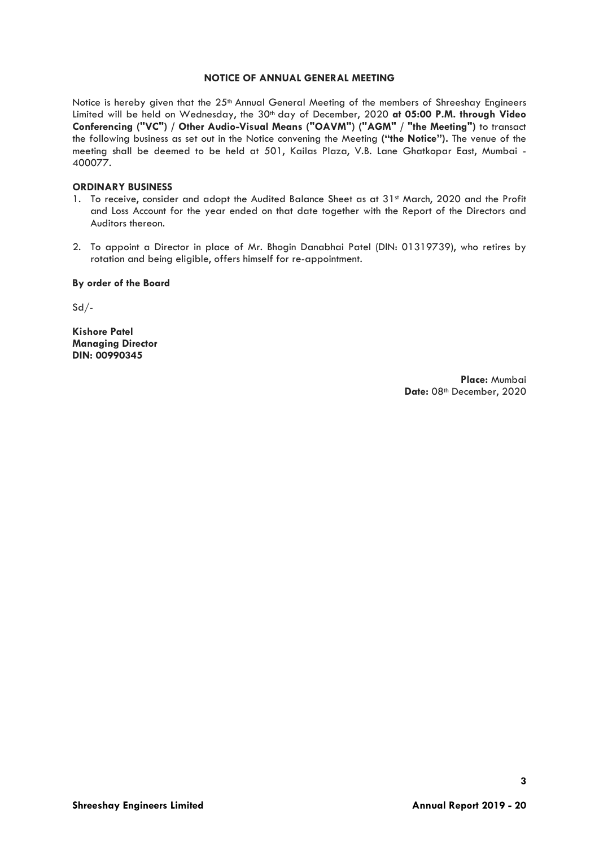#### **NOTICE OF ANNUAL GENERAL MEETING**

Notice is hereby given that the 25<sup>th</sup> Annual General Meeting of the members of Shreeshay Engineers Limited will be held on Wednesday, the 30<sup>th</sup> day of December, 2020 at 05:00 P.M. through Video **Conferencing ("VC") / Other Audio-Visual Means ("OAVM") ("AGM" / "the Meeting")** to transact the following business as set out in the Notice convening the Meeting **("the Notice").** The venue of the meeting shall be deemed to be held at 501, Kailas Plaza, V.B. Lane Ghatkopar East, Mumbai - 400077.

#### **ORDINARY BUSINESS**

- 1. To receive, consider and adopt the Audited Balance Sheet as at 31<sup>st</sup> March, 2020 and the Profit and Loss Account for the year ended on that date together with the Report of the Directors and Auditors thereon.
- 2. To appoint a Director in place of Mr. Bhogin Danabhai Patel (DIN: 01319739), who retires by rotation and being eligible, offers himself for re-appointment.

#### **By order of the Board**

 $Sd$  /-

**Kishore Patel Managing Director DIN: 00990345**

> **Place:** Mumbai Date: 08<sup>th</sup> December, 2020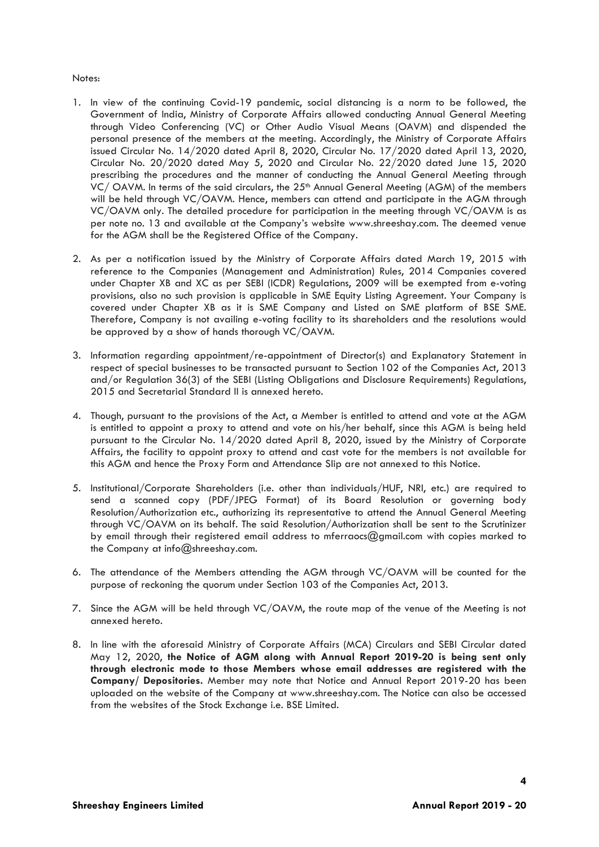#### Notes:

- 1. In view of the continuing Covid-19 pandemic, social distancing is a norm to be followed, the Government of India, Ministry of Corporate Affairs allowed conducting Annual General Meeting through Video Conferencing (VC) or Other Audio Visual Means (OAVM) and dispended the personal presence of the members at the meeting. Accordingly, the Ministry of Corporate Affairs issued Circular No. 14/2020 dated April 8, 2020, Circular No. 17/2020 dated April 13, 2020, Circular No. 20/2020 dated May 5, 2020 and Circular No. 22/2020 dated June 15, 2020 prescribing the procedures and the manner of conducting the Annual General Meeting through VC/ OAVM. In terms of the said circulars, the 25<sup>th</sup> Annual General Meeting (AGM) of the members will be held through VC/OAVM. Hence, members can attend and participate in the AGM through VC/OAVM only. The detailed procedure for participation in the meeting through VC/OAVM is as per note no. 13 and available at the Company's website www.shreeshay.com. The deemed venue for the AGM shall be the Registered Office of the Company.
- 2. As per a notification issued by the Ministry of Corporate Affairs dated March 19, 2015 with reference to the Companies (Management and Administration) Rules, 2014 Companies covered under Chapter XB and XC as per SEBI (ICDR) Regulations, 2009 will be exempted from e-voting provisions, also no such provision is applicable in SME Equity Listing Agreement. Your Company is covered under Chapter XB as it is SME Company and Listed on SME platform of BSE SME. Therefore, Company is not availing e-voting facility to its shareholders and the resolutions would be approved by a show of hands thorough VC/OAVM.
- 3. Information regarding appointment/re-appointment of Director(s) and Explanatory Statement in respect of special businesses to be transacted pursuant to Section 102 of the Companies Act, 2013 and/or Regulation 36(3) of the SEBI (Listing Obligations and Disclosure Requirements) Regulations, 2015 and Secretarial Standard II is annexed hereto.
- 4. Though, pursuant to the provisions of the Act, a Member is entitled to attend and vote at the AGM is entitled to appoint a proxy to attend and vote on his/her behalf, since this AGM is being held pursuant to the Circular No. 14/2020 dated April 8, 2020, issued by the Ministry of Corporate Affairs, the facility to appoint proxy to attend and cast vote for the members is not available for this AGM and hence the Proxy Form and Attendance Slip are not annexed to this Notice.
- 5. Institutional/Corporate Shareholders (i.e. other than individuals/HUF, NRI, etc.) are required to send a scanned copy (PDF/JPEG Format) of its Board Resolution or governing body Resolution/Authorization etc., authorizing its representative to attend the Annual General Meeting through VC/OAVM on its behalf. The said Resolution/Authorization shall be sent to the Scrutinizer by email through their registered email address to mferraocs@gmail.com with copies marked to the Company at info@shreeshay.com.
- 6. The attendance of the Members attending the AGM through VC/OAVM will be counted for the purpose of reckoning the quorum under Section 103 of the Companies Act, 2013.
- 7. Since the AGM will be held through VC/OAVM, the route map of the venue of the Meeting is not annexed hereto.
- 8. In line with the aforesaid Ministry of Corporate Affairs (MCA) Circulars and SEBI Circular dated May 12, 2020, **the Notice of AGM along with Annual Report 2019-20 is being sent only through electronic mode to those Members whose email addresses are registered with the Company/ Depositories.** Member may note that Notice and Annual Report 2019-20 has been uploaded on the website of the Company at www.shreeshay.com. The Notice can also be accessed from the websites of the Stock Exchange i.e. BSE Limited.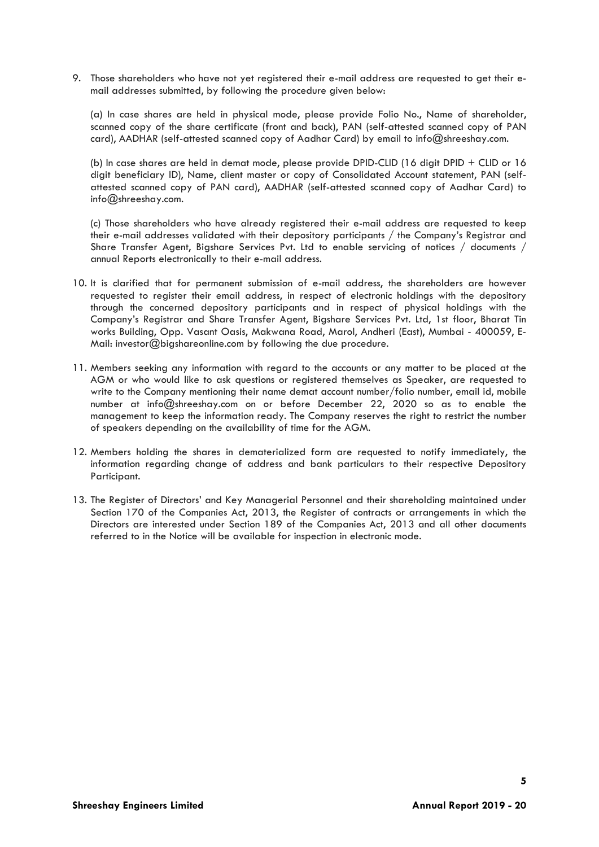9. Those shareholders who have not yet registered their e-mail address are requested to get their email addresses submitted, by following the procedure given below:

(a) In case shares are held in physical mode, please provide Folio No., Name of shareholder, scanned copy of the share certificate (front and back), PAN (self-attested scanned copy of PAN card), AADHAR (self-attested scanned copy of Aadhar Card) by email to info@shreeshay.com.

(b) In case shares are held in demat mode, please provide DPID-CLID (16 digit DPID + CLID or 16 digit beneficiary ID), Name, client master or copy of Consolidated Account statement, PAN (selfattested scanned copy of PAN card), AADHAR (self-attested scanned copy of Aadhar Card) to info@shreeshay.com.

(c) Those shareholders who have already registered their e-mail address are requested to keep their e-mail addresses validated with their depository participants / the Company's Registrar and Share Transfer Agent, Bigshare Services Pvt. Ltd to enable servicing of notices / documents / annual Reports electronically to their e-mail address.

- 10. It is clarified that for permanent submission of e-mail address, the shareholders are however requested to register their email address, in respect of electronic holdings with the depository through the concerned depository participants and in respect of physical holdings with the Company's Registrar and Share Transfer Agent, Bigshare Services Pvt. Ltd, 1st floor, Bharat Tin works Building, Opp. Vasant Oasis, Makwana Road, Marol, Andheri (East), Mumbai - 400059, E-Mail: investor@bigshareonline.com by following the due procedure.
- 11. Members seeking any information with regard to the accounts or any matter to be placed at the AGM or who would like to ask questions or registered themselves as Speaker, are requested to write to the Company mentioning their name demat account number/folio number, email id, mobile number at info@shreeshay.com on or before December 22, 2020 so as to enable the management to keep the information ready. The Company reserves the right to restrict the number of speakers depending on the availability of time for the AGM.
- 12. Members holding the shares in dematerialized form are requested to notify immediately, the information regarding change of address and bank particulars to their respective Depository Participant.
- 13. The Register of Directors' and Key Managerial Personnel and their shareholding maintained under Section 170 of the Companies Act, 2013, the Register of contracts or arrangements in which the Directors are interested under Section 189 of the Companies Act, 2013 and all other documents referred to in the Notice will be available for inspection in electronic mode.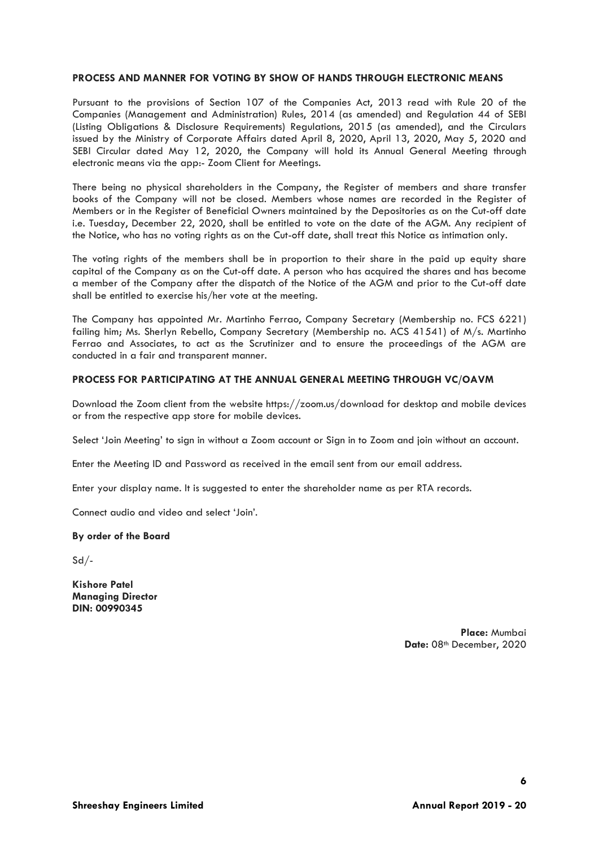#### **PROCESS AND MANNER FOR VOTING BY SHOW OF HANDS THROUGH ELECTRONIC MEANS**

Pursuant to the provisions of Section 107 of the Companies Act, 2013 read with Rule 20 of the Companies (Management and Administration) Rules, 2014 (as amended) and Regulation 44 of SEBI (Listing Obligations & Disclosure Requirements) Regulations, 2015 (as amended), and the Circulars issued by the Ministry of Corporate Affairs dated April 8, 2020, April 13, 2020, May 5, 2020 and SEBI Circular dated May 12, 2020, the Company will hold its Annual General Meeting through electronic means via the app:- Zoom Client for Meetings.

There being no physical shareholders in the Company, the Register of members and share transfer books of the Company will not be closed. Members whose names are recorded in the Register of Members or in the Register of Beneficial Owners maintained by the Depositories as on the Cut-off date i.e. Tuesday, December 22, 2020, shall be entitled to vote on the date of the AGM. Any recipient of the Notice, who has no voting rights as on the Cut-off date, shall treat this Notice as intimation only.

The voting rights of the members shall be in proportion to their share in the paid up equity share capital of the Company as on the Cut-off date. A person who has acquired the shares and has become a member of the Company after the dispatch of the Notice of the AGM and prior to the Cut-off date shall be entitled to exercise his/her vote at the meeting.

The Company has appointed Mr. Martinho Ferrao, Company Secretary (Membership no. FCS 6221) failing him; Ms. Sherlyn Rebello, Company Secretary (Membership no. ACS 41541) of M/s. Martinho Ferrao and Associates, to act as the Scrutinizer and to ensure the proceedings of the AGM are conducted in a fair and transparent manner.

#### **PROCESS FOR PARTICIPATING AT THE ANNUAL GENERAL MEETING THROUGH VC/OAVM**

Download the Zoom client from the website https://zoom.us/download for desktop and mobile devices or from the respective app store for mobile devices.

Select 'Join Meeting' to sign in without a Zoom account or Sign in to Zoom and join without an account.

Enter the Meeting ID and Password as received in the email sent from our email address.

Enter your display name. It is suggested to enter the shareholder name as per RTA records.

Connect audio and video and select 'Join'.

#### **By order of the Board**

 $Sd$  /-

**Kishore Patel Managing Director DIN: 00990345**

> **Place:** Mumbai Date: 08<sup>th</sup> December, 2020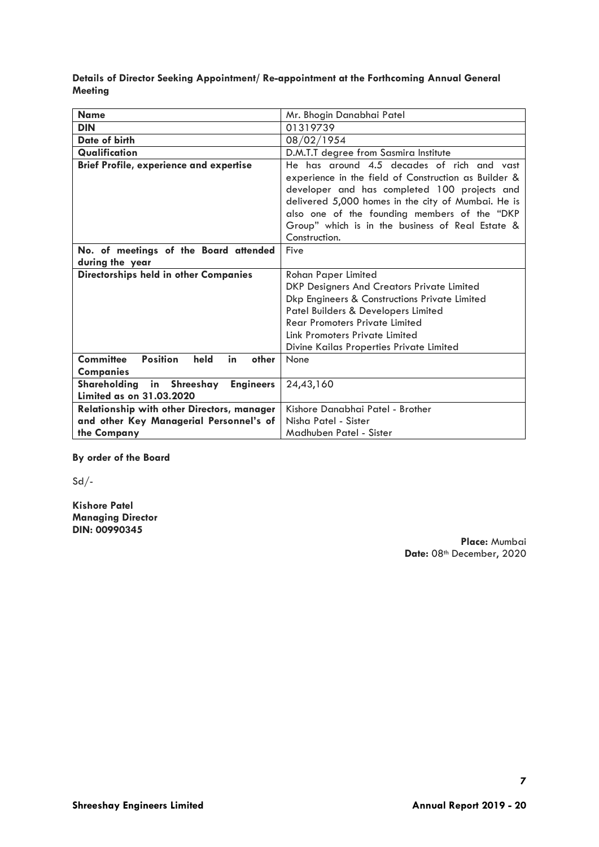**Details of Director Seeking Appointment/ Re-appointment at the Forthcoming Annual General Meeting**

| <b>Name</b>                                                | Mr. Bhogin Danabhai Patel                            |  |
|------------------------------------------------------------|------------------------------------------------------|--|
| <b>DIN</b>                                                 | 01319739                                             |  |
| Date of birth                                              | 08/02/1954                                           |  |
| Qualification                                              | D.M.T.T degree from Sasmira Institute                |  |
| <b>Brief Profile, experience and expertise</b>             | He has around 4.5 decades of rich and vast           |  |
|                                                            | experience in the field of Construction as Builder & |  |
|                                                            | developer and has completed 100 projects and         |  |
|                                                            | delivered 5,000 homes in the city of Mumbai. He is   |  |
|                                                            | also one of the founding members of the "DKP         |  |
|                                                            | Group" which is in the business of Real Estate &     |  |
|                                                            | Construction.                                        |  |
| No. of meetings of the Board attended                      | Five                                                 |  |
| during the year                                            |                                                      |  |
| Directorships held in other Companies                      | <b>Rohan Paper Limited</b>                           |  |
|                                                            | DKP Designers And Creators Private Limited           |  |
|                                                            | Dkp Engineers & Constructions Private Limited        |  |
|                                                            | Patel Builders & Developers Limited                  |  |
|                                                            | <b>Rear Promoters Private Limited</b>                |  |
|                                                            | Link Promoters Private Limited                       |  |
|                                                            | Divine Kailas Properties Private Limited             |  |
| <b>Committee</b><br><b>Position</b><br>held<br>in<br>other | None                                                 |  |
| <b>Companies</b>                                           |                                                      |  |
| Shareholding                                               | in Shreeshay<br><b>Engineers</b><br>24,43,160        |  |
| Limited as on 31.03.2020                                   |                                                      |  |
| <b>Relationship with other Directors, manager</b>          | Kishore Danabhai Patel - Brother                     |  |
| and other Key Managerial Personnel's of                    | Nisha Patel - Sister                                 |  |
| the Company                                                | Madhuben Patel - Sister                              |  |

**By order of the Board**

 $Sd$ -

**Kishore Patel Managing Director DIN: 00990345**

**Place:** Mumbai Date: 08<sup>th</sup> December, 2020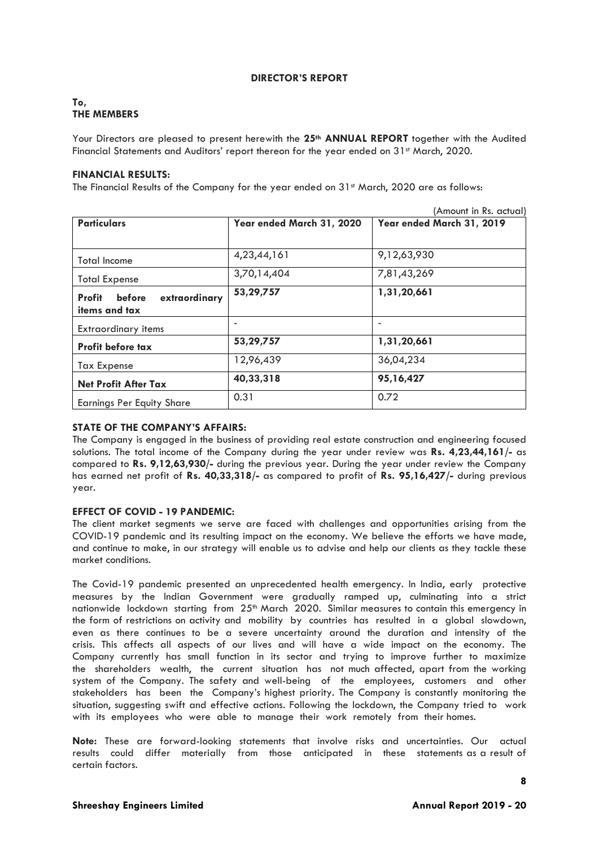#### **DIRECTOR'S REPORT**

# **To, THE MEMBERS**

Your Directors are pleased to present herewith the **25th ANNUAL REPORT** together with the Audited Financial Statements and Auditors' report thereon for the year ended on 31<sup>st</sup> March, 2020.

### **FINANCIAL RESULTS:**

The Financial Results of the Company for the year ended on 31<sup>st</sup> March, 2020 are as follows:

|                                                    |                           | (Amount in Rs. actual)    |
|----------------------------------------------------|---------------------------|---------------------------|
| <b>Particulars</b>                                 | Year ended March 31, 2020 | Year ended March 31, 2019 |
|                                                    |                           |                           |
| <b>Total Income</b>                                | 4,23,44,161               | 9,12,63,930               |
| <b>Total Expense</b>                               | 3,70,14,404               | 7,81,43,269               |
| Profit<br>before<br>extraordinary<br>items and tax | 53,29,757                 | 1,31,20,661               |
| <b>Extraordinary items</b>                         |                           | $\overline{\phantom{a}}$  |
| Profit before tax                                  | 53,29,757                 | 1,31,20,661               |
| <b>Tax Expense</b>                                 | 12,96,439                 | 36,04,234                 |
| <b>Net Profit After Tax</b>                        | 40,33,318                 | 95,16,427                 |
| <b>Earnings Per Equity Share</b>                   | 0.31                      | 0.72                      |

# **STATE OF THE COMPANY'S AFFAIRS:**

The Company is engaged in the business of providing real estate construction and engineering focused solutions. The total income of the Company during the year under review was **Rs. 4,23,44,161/-** as compared to **Rs. 9,12,63,930/-** during the previous year. During the year under review the Company has earned net profit of **Rs. 40,33,318/-** as compared to profit of **Rs. 95,16,427/-** during previous year.

# **EFFECT OF COVID - 19 PANDEMIC:**

The client market segments we serve are faced with challenges and opportunities arising from the COVID-19 pandemic and its resulting impact on the economy. We believe the efforts we have made, and continue to make, in our strategy will enable us to advise and help our clients as they tackle these market conditions.

The Covid-19 pandemic presented an unprecedented health emergency. In India, early protective measures by the Indian Government were gradually ramped up, culminating into a strict nationwide lockdown starting from 25<sup>th</sup> March 2020. Similar measures to contain this emergency in the form of restrictions on activity and mobility by countries has resulted in a global slowdown, even as there continues to be a severe uncertainty around the duration and intensity of the crisis. This affects all aspects of our lives and will have a wide impact on the economy. The Company currently has small function in its sector and trying to improve further to maximize the shareholders wealth, the current situation has not much affected, apart from the working system of the Company. The safety and well-being of the employees, customers and other stakeholders has been the Company's highest priority. The Company is constantly monitoring the situation, suggesting swift and effective actions. Following the lockdown, the Company tried to work with its employees who were able to manage their work remotely from their homes.

**Note:** These are forward-looking statements that involve risks and uncertainties. Our actual results could differ materially from those anticipated in these statements as a result of certain factors.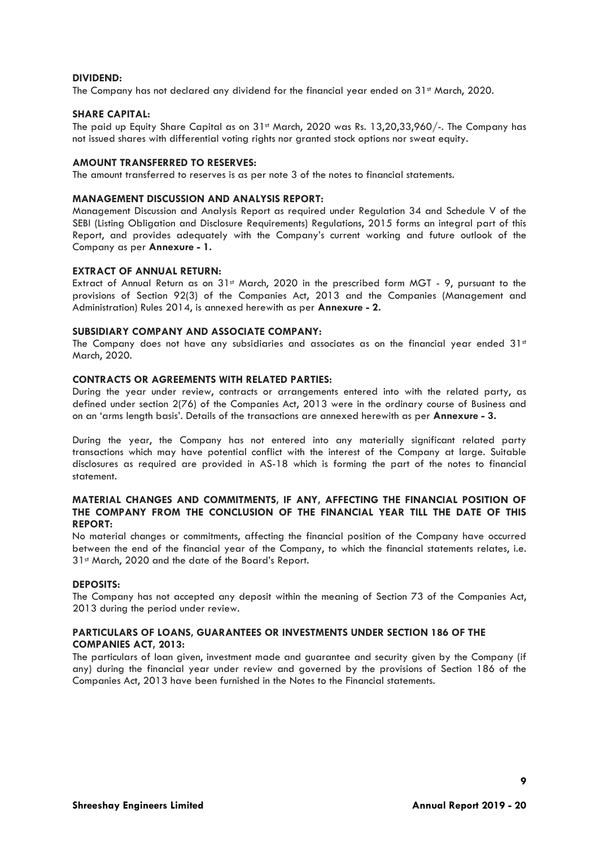#### **DIVIDEND:**

The Company has not declared any dividend for the financial year ended on 31<sup>st</sup> March, 2020.

#### **SHARE CAPITAL:**

The paid up Equity Share Capital as on 31st March, 2020 was Rs. 13,20,33,960/-. The Company has not issued shares with differential voting rights nor granted stock options nor sweat equity.

#### **AMOUNT TRANSFERRED TO RESERVES:**

The amount transferred to reserves is as per note 3 of the notes to financial statements.

#### **MANAGEMENT DISCUSSION AND ANALYSIS REPORT:**

Management Discussion and Analysis Report as required under Regulation 34 and Schedule V of the SEBI (Listing Obligation and Disclosure Requirements) Regulations, 2015 forms an integral part of this Report, and provides adequately with the Company's current working and future outlook of the Company as per **Annexure - 1.**

#### **EXTRACT OF ANNUAL RETURN:**

Extract of Annual Return as on 31st March, 2020 in the prescribed form MGT - 9, pursuant to the provisions of Section 92(3) of the Companies Act, 2013 and the Companies (Management and Administration) Rules 2014, is annexed herewith as per **Annexure - 2.**

#### **SUBSIDIARY COMPANY AND ASSOCIATE COMPANY:**

The Company does not have any subsidiaries and associates as on the financial year ended  $31st$ March, 2020.

#### **CONTRACTS OR AGREEMENTS WITH RELATED PARTIES:**

During the year under review, contracts or arrangements entered into with the related party, as defined under section 2(76) of the Companies Act, 2013 were in the ordinary course of Business and on an 'arms length basis'. Details of the transactions are annexed herewith as per **Annexure - 3.**

During the year, the Company has not entered into any materially significant related party transactions which may have potential conflict with the interest of the Company at large. Suitable disclosures as required are provided in AS-18 which is forming the part of the notes to financial statement.

#### **MATERIAL CHANGES AND COMMITMENTS, IF ANY, AFFECTING THE FINANCIAL POSITION OF THE COMPANY FROM THE CONCLUSION OF THE FINANCIAL YEAR TILL THE DATE OF THIS REPORT:**

No material changes or commitments, affecting the financial position of the Company have occurred between the end of the financial year of the Company, to which the financial statements relates, i.e. 31st March, 2020 and the date of the Board's Report.

# **DEPOSITS:**

The Company has not accepted any deposit within the meaning of Section 73 of the Companies Act, 2013 during the period under review.

#### **PARTICULARS OF LOANS, GUARANTEES OR INVESTMENTS UNDER SECTION 186 OF THE COMPANIES ACT, 2013:**

The particulars of loan given, investment made and guarantee and security given by the Company (if any) during the financial year under review and governed by the provisions of Section 186 of the Companies Act, 2013 have been furnished in the Notes to the Financial statements.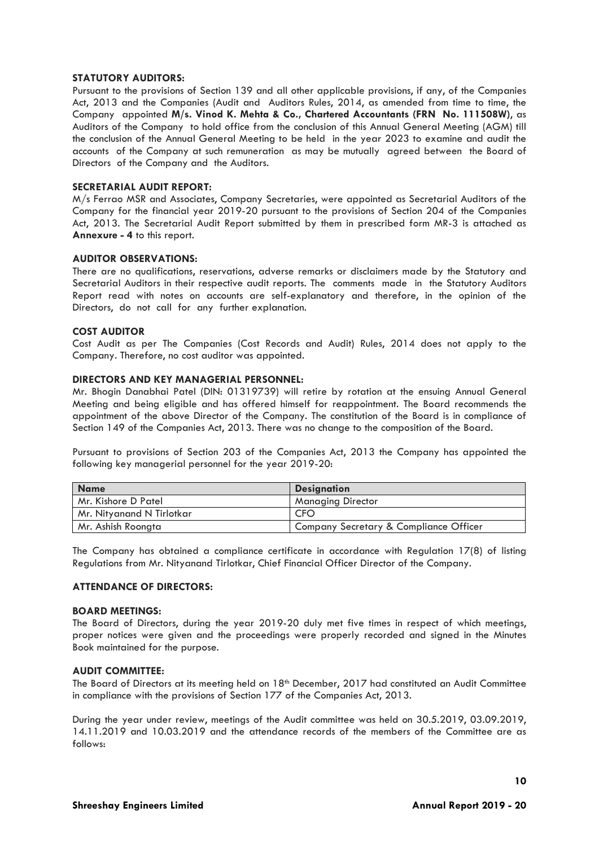#### **STATUTORY AUDITORS:**

Pursuant to the provisions of Section 139 and all other applicable provisions, if any, of the Companies Act, 2013 and the Companies (Audit and Auditors Rules, 2014, as amended from time to time, the Company appointed **M/s. Vinod K. Mehta & Co., Chartered Accountants (FRN No. 111508W)**, as Auditors of the Company to hold office from the conclusion of this Annual General Meeting (AGM) till the conclusion of the Annual General Meeting to be held in the year 2023 to examine and audit the accounts of the Company at such remuneration as may be mutually agreed between the Board of Directors of the Company and the Auditors.

#### **SECRETARIAL AUDIT REPORT:**

M/s Ferrao MSR and Associates, Company Secretaries, were appointed as Secretarial Auditors of the Company for the financial year 2019-20 pursuant to the provisions of Section 204 of the Companies Act, 2013. The Secretarial Audit Report submitted by them in prescribed form MR-3 is attached as **Annexure - 4** to this report.

#### **AUDITOR OBSERVATIONS:**

There are no qualifications, reservations, adverse remarks or disclaimers made by the Statutory and Secretarial Auditors in their respective audit reports. The comments made in the Statutory Auditors Report read with notes on accounts are self-explanatory and therefore, in the opinion of the Directors, do not call for any further explanation.

#### **COST AUDITOR**

Cost Audit as per The Companies (Cost Records and Audit) Rules, 2014 does not apply to the Company. Therefore, no cost auditor was appointed.

# **DIRECTORS AND KEY MANAGERIAL PERSONNEL:**

Mr. Bhogin Danabhai Patel (DIN: 01319739) will retire by rotation at the ensuing Annual General Meeting and being eligible and has offered himself for reappointment. The Board recommends the appointment of the above Director of the Company. The constitution of the Board is in compliance of Section 149 of the Companies Act, 2013. There was no change to the composition of the Board.

Pursuant to provisions of Section 203 of the Companies Act, 2013 the Company has appointed the following key managerial personnel for the year 2019-20:

| <b>Name</b>               | <b>Designation</b>                     |
|---------------------------|----------------------------------------|
| Mr. Kishore D Patel       | <b>Managing Director</b>               |
| Mr. Nityanand N Tirlotkar | <b>CFO</b>                             |
| Mr. Ashish Roongta        | Company Secretary & Compliance Officer |

The Company has obtained a compliance certificate in accordance with Regulation 17(8) of listing Regulations from Mr. Nityanand Tirlotkar, Chief Financial Officer Director of the Company.

#### **ATTENDANCE OF DIRECTORS:**

#### **BOARD MEETINGS:**

The Board of Directors, during the year 2019-20 duly met five times in respect of which meetings, proper notices were given and the proceedings were properly recorded and signed in the Minutes Book maintained for the purpose.

#### **AUDIT COMMITTEE:**

The Board of Directors at its meeting held on 18<sup>th</sup> December, 2017 had constituted an Audit Committee in compliance with the provisions of Section 177 of the Companies Act, 2013.

During the year under review, meetings of the Audit committee was held on 30.5.2019, 03.09.2019, 14.11.2019 and 10.03.2019 and the attendance records of the members of the Committee are as follows: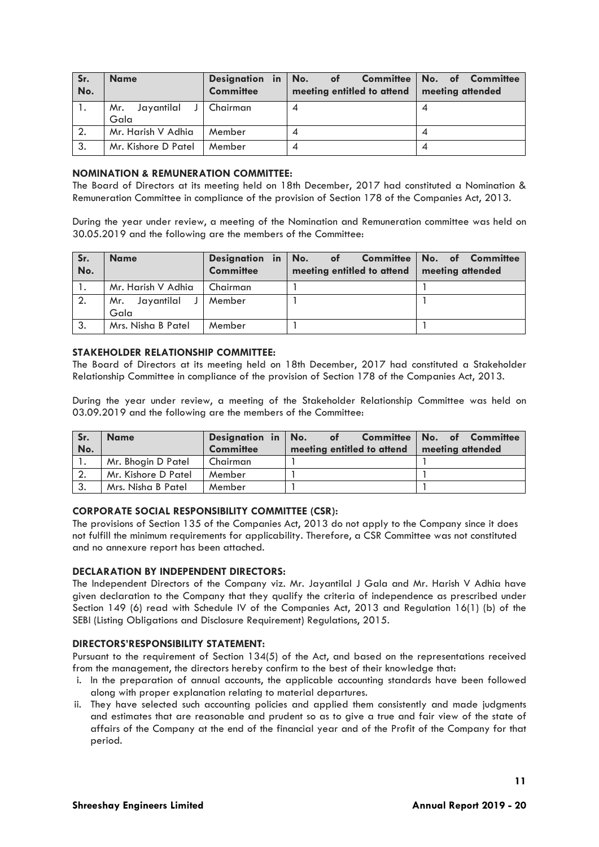| Sr.<br>No. | <b>Name</b>                          | <b>Committee</b> | Designation in No. of Committee No. of Committee<br>meeting entitled to attend   meeting attended |  |
|------------|--------------------------------------|------------------|---------------------------------------------------------------------------------------------------|--|
|            | Jayantilal J Chairman<br>Mr.<br>Gala |                  | 4                                                                                                 |  |
| 2.         | Mr. Harish V Adhia                   | Member           | 4                                                                                                 |  |
| 3.         | Mr. Kishore D Patel                  | Member           | 4                                                                                                 |  |

#### **NOMINATION & REMUNERATION COMMITTEE:**

The Board of Directors at its meeting held on 18th December, 2017 had constituted a Nomination & Remuneration Committee in compliance of the provision of Section 178 of the Companies Act, 2013.

During the year under review, a meeting of the Nomination and Remuneration committee was held on 30.05.2019 and the following are the members of the Committee:

| Sr.<br>No.       | <b>Name</b>                     | <b>Committee</b> | Designation in No. of Committee No. of Committee<br>meeting entitled to attend   meeting attended |  |
|------------------|---------------------------------|------------------|---------------------------------------------------------------------------------------------------|--|
|                  | Mr. Harish V Adhia              | I Chairman       |                                                                                                   |  |
| $\overline{2}$ . | Mr. Jayantilal J Member<br>Gala |                  |                                                                                                   |  |
| 3.               | Mrs. Nisha B Patel              | Member           |                                                                                                   |  |

#### **STAKEHOLDER RELATIONSHIP COMMITTEE:**

The Board of Directors at its meeting held on 18th December, 2017 had constituted a Stakeholder Relationship Committee in compliance of the provision of Section 178 of the Companies Act, 2013.

During the year under review, a meeting of the Stakeholder Relationship Committee was held on 03.09.2019 and the following are the members of the Committee:

| Sr. | <b>Name</b>         | Designation in No. | of                         | Committee No. of Committee |
|-----|---------------------|--------------------|----------------------------|----------------------------|
| No. |                     | <b>Committee</b>   | meeting entitled to attend | meeting attended           |
| . . | Mr. Bhogin D Patel  | Chairman           |                            |                            |
|     | Mr. Kishore D Patel | Member             |                            |                            |
| 3.  | Mrs. Nisha B Patel  | Member             |                            |                            |

# **CORPORATE SOCIAL RESPONSIBILITY COMMITTEE (CSR):**

The provisions of Section 135 of the Companies Act, 2013 do not apply to the Company since it does not fulfill the minimum requirements for applicability. Therefore, a CSR Committee was not constituted and no annexure report has been attached.

#### **DECLARATION BY INDEPENDENT DIRECTORS:**

The Independent Directors of the Company viz. Mr. Jayantilal J Gala and Mr. Harish V Adhia have given declaration to the Company that they qualify the criteria of independence as prescribed under Section 149 (6) read with Schedule IV of the Companies Act, 2013 and Regulation 16(1) (b) of the SEBI (Listing Obligations and Disclosure Requirement) Regulations, 2015.

#### **DIRECTORS'RESPONSIBILITY STATEMENT:**

Pursuant to the requirement of Section 134(5) of the Act, and based on the representations received from the management, the directors hereby confirm to the best of their knowledge that:

- i. In the preparation of annual accounts, the applicable accounting standards have been followed along with proper explanation relating to material departures.
- ii. They have selected such accounting policies and applied them consistently and made judgments and estimates that are reasonable and prudent so as to give a true and fair view of the state of affairs of the Company at the end of the financial year and of the Profit of the Company for that period.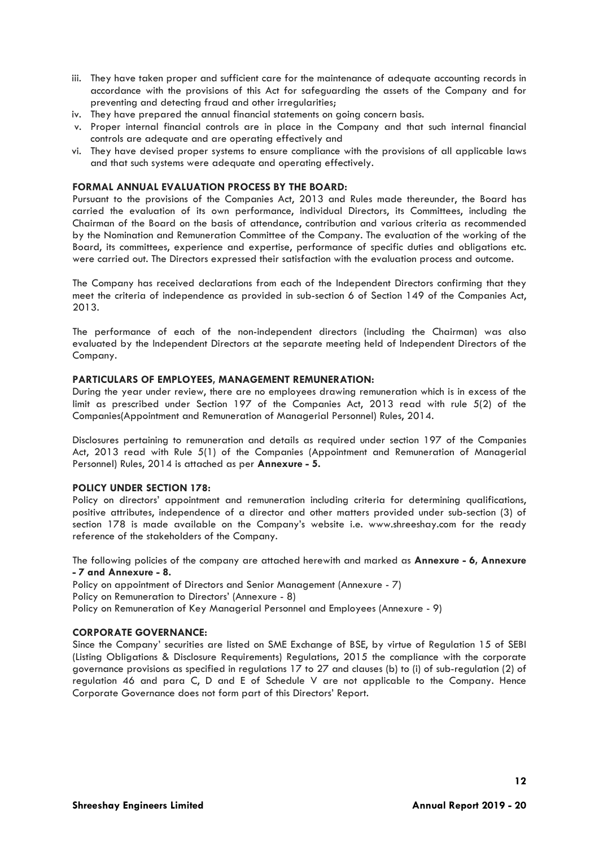- iii. They have taken proper and sufficient care for the maintenance of adequate accounting records in accordance with the provisions of this Act for safeguarding the assets of the Company and for preventing and detecting fraud and other irregularities;
- iv. They have prepared the annual financial statements on going concern basis.
- v. Proper internal financial controls are in place in the Company and that such internal financial controls are adequate and are operating effectively and
- vi. They have devised proper systems to ensure compliance with the provisions of all applicable laws and that such systems were adequate and operating effectively.

#### **FORMAL ANNUAL EVALUATION PROCESS BY THE BOARD:**

Pursuant to the provisions of the Companies Act, 2013 and Rules made thereunder, the Board has carried the evaluation of its own performance, individual Directors, its Committees, including the Chairman of the Board on the basis of attendance, contribution and various criteria as recommended by the Nomination and Remuneration Committee of the Company. The evaluation of the working of the Board, its committees, experience and expertise, performance of specific duties and obligations etc. were carried out. The Directors expressed their satisfaction with the evaluation process and outcome.

The Company has received declarations from each of the Independent Directors confirming that they meet the criteria of independence as provided in sub-section 6 of Section 149 of the Companies Act, 2013.

The performance of each of the non-independent directors (including the Chairman) was also evaluated by the Independent Directors at the separate meeting held of Independent Directors of the Company.

#### **PARTICULARS OF EMPLOYEES, MANAGEMENT REMUNERATION:**

During the year under review, there are no employees drawing remuneration which is in excess of the limit as prescribed under Section 197 of the Companies Act, 2013 read with rule 5(2) of the Companies(Appointment and Remuneration of Managerial Personnel) Rules, 2014.

Disclosures pertaining to remuneration and details as required under section 197 of the Companies Act, 2013 read with Rule 5(1) of the Companies (Appointment and Remuneration of Managerial Personnel) Rules, 2014 is attached as per **Annexure - 5.**

#### **POLICY UNDER SECTION 178:**

Policy on directors' appointment and remuneration including criteria for determining qualifications, positive attributes, independence of a director and other matters provided under sub-section (3) of section 178 is made available on the Company's website i.e. www.shreeshay.com for the ready reference of the stakeholders of the Company.

The following policies of the company are attached herewith and marked as **Annexure - 6, Annexure - 7 and Annexure - 8.**

Policy on appointment of Directors and Senior Management (Annexure - 7)

Policy on Remuneration to Directors' (Annexure - 8)

Policy on Remuneration of Key Managerial Personnel and Employees (Annexure - 9)

#### **CORPORATE GOVERNANCE:**

Since the Company' securities are listed on SME Exchange of BSE, by virtue of Regulation 15 of SEBI (Listing Obligations & Disclosure Requirements) Regulations, 2015 the compliance with the corporate governance provisions as specified in regulations 17 to 27 and clauses (b) to (i) of sub-regulation (2) of regulation 46 and para C, D and E of Schedule V are not applicable to the Company. Hence Corporate Governance does not form part of this Directors' Report.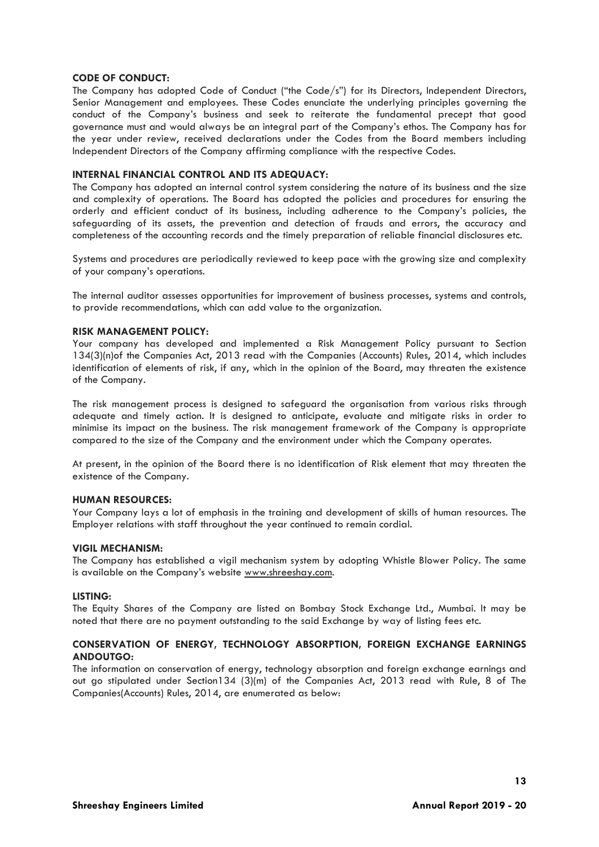#### **CODE OF CONDUCT:**

The Company has adopted Code of Conduct ("the Code/s") for its Directors, Independent Directors, Senior Management and employees. These Codes enunciate the underlying principles governing the conduct of the Company's business and seek to reiterate the fundamental precept that good governance must and would always be an integral part of the Company's ethos. The Company has for the year under review, received declarations under the Codes from the Board members including Independent Directors of the Company affirming compliance with the respective Codes.

#### **INTERNAL FINANCIAL CONTROL AND ITS ADEQUACY:**

The Company has adopted an internal control system considering the nature of its business and the size and complexity of operations. The Board has adopted the policies and procedures for ensuring the orderly and efficient conduct of its business, including adherence to the Company's policies, the safeguarding of its assets, the prevention and detection of frauds and errors, the accuracy and completeness of the accounting records and the timely preparation of reliable financial disclosures etc.

Systems and procedures are periodically reviewed to keep pace with the growing size and complexity of your company's operations.

The internal auditor assesses opportunities for improvement of business processes, systems and controls, to provide recommendations, which can add value to the organization.

#### **RISK MANAGEMENT POLICY:**

Your company has developed and implemented a Risk Management Policy pursuant to Section 134(3)(n)of the Companies Act, 2013 read with the Companies (Accounts) Rules, 2014, which includes identification of elements of risk, if any, which in the opinion of the Board, may threaten the existence of the Company.

The risk management process is designed to safeguard the organisation from various risks through adequate and timely action. It is designed to anticipate, evaluate and mitigate risks in order to minimise its impact on the business. The risk management framework of the Company is appropriate compared to the size of the Company and the environment under which the Company operates.

At present, in the opinion of the Board there is no identification of Risk element that may threaten the existence of the Company.

#### **HUMAN RESOURCES:**

Your Company lays a lot of emphasis in the training and development of skills of human resources. The Employer relations with staff throughout the year continued to remain cordial.

#### **VIGIL MECHANISM:**

The Company has established a vigil mechanism system by adopting Whistle Blower Policy. The same is available on the Company's website [www.shreeshay.com.](http://www.shreeshay.com/)

#### **LISTING:**

The Equity Shares of the Company are listed on Bombay Stock Exchange Ltd., Mumbai. It may be noted that there are no payment outstanding to the said Exchange by way of listing fees etc.

## **CONSERVATION OF ENERGY, TECHNOLOGY ABSORPTION, FOREIGN EXCHANGE EARNINGS ANDOUTGO:**

The information on conservation of energy, technology absorption and foreign exchange earnings and out go stipulated under Section134 (3)(m) of the Companies Act, 2013 read with Rule, 8 of The Companies(Accounts) Rules, 2014, are enumerated as below: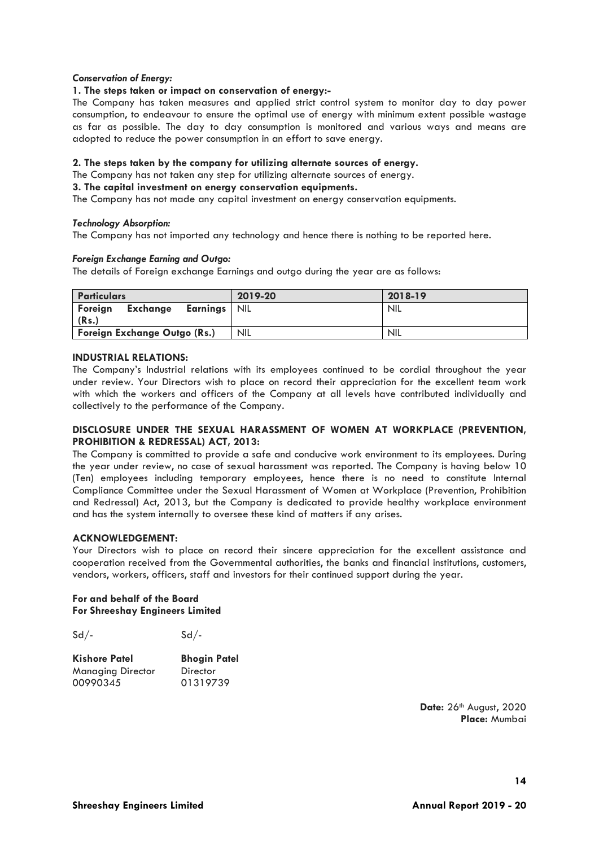#### *Conservation of Energy:*

#### **1. The steps taken or impact on conservation of energy:-**

The Company has taken measures and applied strict control system to monitor day to day power consumption, to endeavour to ensure the optimal use of energy with minimum extent possible wastage as far as possible. The day to day consumption is monitored and various ways and means are adopted to reduce the power consumption in an effort to save energy.

#### **2. The steps taken by the company for utilizing alternate sources of energy.**

The Company has not taken any step for utilizing alternate sources of energy.

#### **3. The capital investment on energy conservation equipments.**

The Company has not made any capital investment on energy conservation equipments.

#### *Technology Absorption:*

The Company has not imported any technology and hence there is nothing to be reported here.

#### *Foreign Exchange Earning and Outgo:*

The details of Foreign exchange Earnings and outgo during the year are as follows:

| <b>Particulars</b>                                           | 2019-20    | 2018-19    |
|--------------------------------------------------------------|------------|------------|
| <b>Exchange</b><br>Foreign<br><b>Earnings</b>   NIL<br>(Rs.) |            | <b>NIL</b> |
| Foreign Exchange Outgo (Rs.)                                 | <b>NIL</b> | <b>NIL</b> |

#### **INDUSTRIAL RELATIONS:**

The Company's Industrial relations with its employees continued to be cordial throughout the year under review. Your Directors wish to place on record their appreciation for the excellent team work with which the workers and officers of the Company at all levels have contributed individually and collectively to the performance of the Company.

#### **DISCLOSURE UNDER THE SEXUAL HARASSMENT OF WOMEN AT WORKPLACE (PREVENTION, PROHIBITION & REDRESSAL) ACT, 2013:**

The Company is committed to provide a safe and conducive work environment to its employees. During the year under review, no case of sexual harassment was reported. The Company is having below 10 (Ten) employees including temporary employees, hence there is no need to constitute Internal Compliance Committee under the Sexual Harassment of Women at Workplace (Prevention, Prohibition and Redressal) Act, 2013, but the Company is dedicated to provide healthy workplace environment and has the system internally to oversee these kind of matters if any arises.

#### **ACKNOWLEDGEMENT:**

Your Directors wish to place on record their sincere appreciation for the excellent assistance and cooperation received from the Governmental authorities, the banks and financial institutions, customers, vendors, workers, officers, staff and investors for their continued support during the year.

#### **For and behalf of the Board For Shreeshay Engineers Limited**

 $Sd/ Sd/-$ 

| <b>Kishore Patel</b>     | <b>Bhogin Patel</b> |
|--------------------------|---------------------|
| <b>Managing Director</b> | Director            |
| 00990345                 | 01319739            |

**Date:** 26th August, 2020 **Place:** Mumbai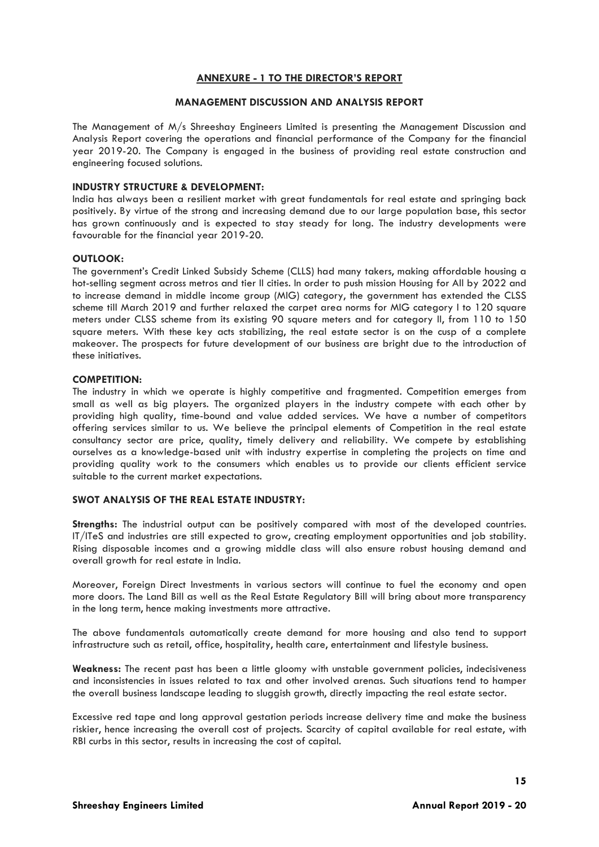#### **ANNEXURE - 1 TO THE DIRECTOR'S REPORT**

#### **MANAGEMENT DISCUSSION AND ANALYSIS REPORT**

The Management of M/s Shreeshay Engineers Limited is presenting the Management Discussion and Analysis Report covering the operations and financial performance of the Company for the financial year 2019-20. The Company is engaged in the business of providing real estate construction and engineering focused solutions.

#### **INDUSTRY STRUCTURE & DEVELOPMENT:**

India has always been a resilient market with great fundamentals for real estate and springing back positively. By virtue of the strong and increasing demand due to our large population base, this sector has grown continuously and is expected to stay steady for long. The industry developments were favourable for the financial year 2019-20.

#### **OUTLOOK:**

The government's Credit Linked Subsidy Scheme (CLLS) had many takers, making affordable housing a hot-selling segment across metros and tier II cities. In order to push mission Housing for All by 2022 and to increase demand in middle income group (MIG) category, the government has extended the CLSS scheme till March 2019 and further relaxed the carpet area norms for MIG category I to 120 square meters under CLSS scheme from its existing 90 square meters and for category II, from 110 to 150 square meters. With these key acts stabilizing, the real estate sector is on the cusp of a complete makeover. The prospects for future development of our business are bright due to the introduction of these initiatives.

#### **COMPETITION:**

The industry in which we operate is highly competitive and fragmented. Competition emerges from small as well as big players. The organized players in the industry compete with each other by providing high quality, time-bound and value added services. We have a number of competitors offering services similar to us. We believe the principal elements of Competition in the real estate consultancy sector are price, quality, timely delivery and reliability. We compete by establishing ourselves as a knowledge-based unit with industry expertise in completing the projects on time and providing quality work to the consumers which enables us to provide our clients efficient service suitable to the current market expectations.

#### **SWOT ANALYSIS OF THE REAL ESTATE INDUSTRY:**

**Strengths:** The industrial output can be positively compared with most of the developed countries. IT/ITeS and industries are still expected to grow, creating employment opportunities and job stability. Rising disposable incomes and a growing middle class will also ensure robust housing demand and overall growth for real estate in India.

Moreover, Foreign Direct Investments in various sectors will continue to fuel the economy and open more doors. The Land Bill as well as the Real Estate Regulatory Bill will bring about more transparency in the long term, hence making investments more attractive.

The above fundamentals automatically create demand for more housing and also tend to support infrastructure such as retail, office, hospitality, health care, entertainment and lifestyle business.

**Weakness:** The recent past has been a little gloomy with unstable government policies, indecisiveness and inconsistencies in issues related to tax and other involved arenas. Such situations tend to hamper the overall business landscape leading to sluggish growth, directly impacting the real estate sector.

Excessive red tape and long approval gestation periods increase delivery time and make the business riskier, hence increasing the overall cost of projects. Scarcity of capital available for real estate, with RBI curbs in this sector, results in increasing the cost of capital.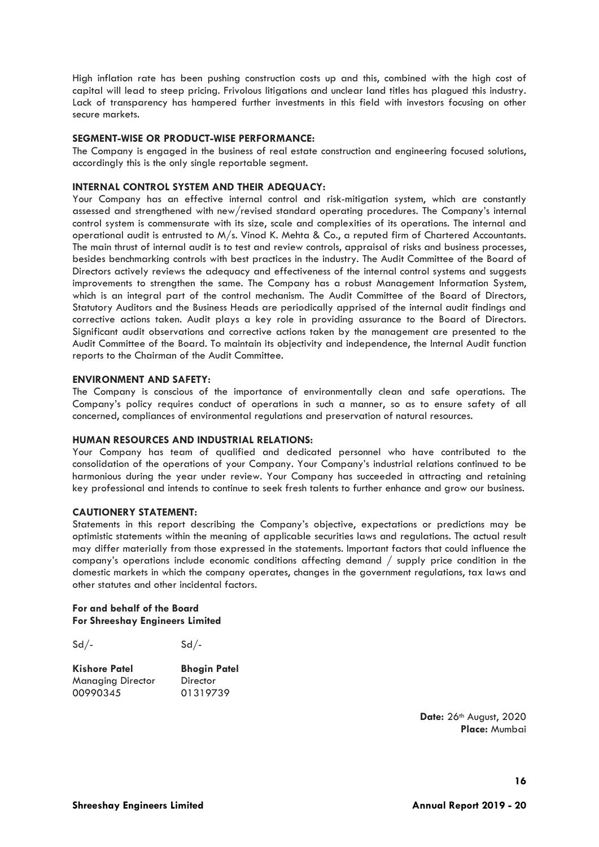High inflation rate has been pushing construction costs up and this, combined with the high cost of capital will lead to steep pricing. Frivolous litigations and unclear land titles has plagued this industry. Lack of transparency has hampered further investments in this field with investors focusing on other secure markets.

#### **SEGMENT-WISE OR PRODUCT-WISE PERFORMANCE:**

The Company is engaged in the business of real estate construction and engineering focused solutions, accordingly this is the only single reportable segment.

#### **INTERNAL CONTROL SYSTEM AND THEIR ADEQUACY:**

Your Company has an effective internal control and risk-mitigation system, which are constantly assessed and strengthened with new/revised standard operating procedures. The Company's internal control system is commensurate with its size, scale and complexities of its operations. The internal and operational audit is entrusted to M/s. Vinod K. Mehta & Co., a reputed firm of Chartered Accountants. The main thrust of internal audit is to test and review controls, appraisal of risks and business processes, besides benchmarking controls with best practices in the industry. The Audit Committee of the Board of Directors actively reviews the adequacy and effectiveness of the internal control systems and suggests improvements to strengthen the same. The Company has a robust Management Information System, which is an integral part of the control mechanism. The Audit Committee of the Board of Directors, Statutory Auditors and the Business Heads are periodically apprised of the internal audit findings and corrective actions taken. Audit plays a key role in providing assurance to the Board of Directors. Significant audit observations and corrective actions taken by the management are presented to the Audit Committee of the Board. To maintain its objectivity and independence, the Internal Audit function reports to the Chairman of the Audit Committee.

#### **ENVIRONMENT AND SAFETY:**

The Company is conscious of the importance of environmentally clean and safe operations. The Company's policy requires conduct of operations in such a manner, so as to ensure safety of all concerned, compliances of environmental regulations and preservation of natural resources.

#### **HUMAN RESOURCES AND INDUSTRIAL RELATIONS:**

Your Company has team of qualified and dedicated personnel who have contributed to the consolidation of the operations of your Company. Your Company's industrial relations continued to be harmonious during the year under review. Your Company has succeeded in attracting and retaining key professional and intends to continue to seek fresh talents to further enhance and grow our business.

#### **CAUTIONERY STATEMENT:**

Statements in this report describing the Company's objective, expectations or predictions may be optimistic statements within the meaning of applicable securities laws and regulations. The actual result may differ materially from those expressed in the statements. Important factors that could influence the company's operations include economic conditions affecting demand / supply price condition in the domestic markets in which the company operates, changes in the government regulations, tax laws and other statutes and other incidental factors.

#### **For and behalf of the Board For Shreeshay Engineers Limited**

| $Sd/-$ | $Sd/$ - |
|--------|---------|
|        |         |

| <b>Kishore Patel</b> | <b>Bhogin Patel</b> |
|----------------------|---------------------|
| Managing Director    | Director            |
| 00990345             | 01319739            |

**Date:** 26th August, 2020 **Place:** Mumbai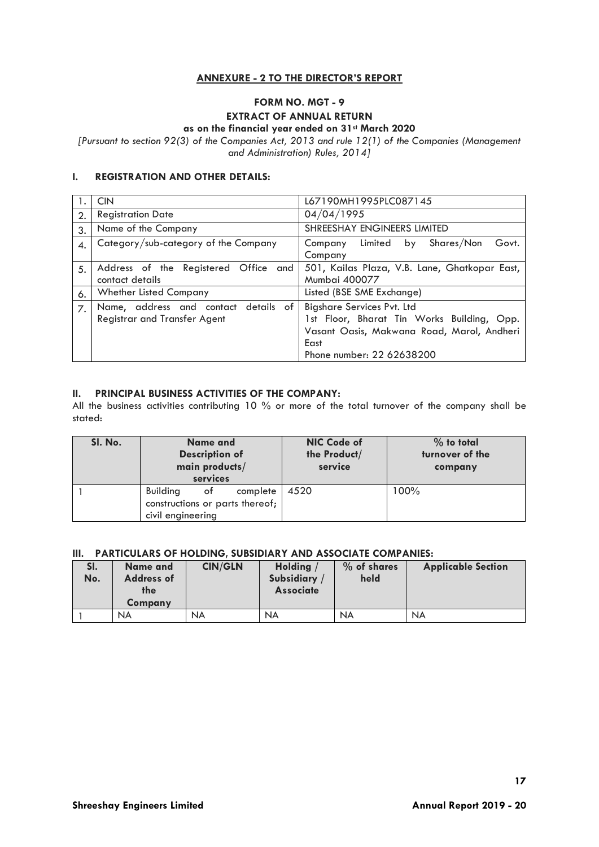# **ANNEXURE - 2 TO THE DIRECTOR'S REPORT**

# **FORM NO. MGT - 9**

# **EXTRACT OF ANNUAL RETURN**

# **as on the financial year ended on 31st March 2020**

*[Pursuant to section 92(3) of the Companies Act, 2013 and rule 12(1) of the Companies (Management and Administration) Rules, 2014]*

# **I. REGISTRATION AND OTHER DETAILS:**

|              | <b>CIN</b>                                                           | L67190MH1995PLC087145                                                                                                                                              |  |  |  |  |
|--------------|----------------------------------------------------------------------|--------------------------------------------------------------------------------------------------------------------------------------------------------------------|--|--|--|--|
| $\mathbf{2}$ | <b>Registration Date</b>                                             | 04/04/1995                                                                                                                                                         |  |  |  |  |
| 3.           | Name of the Company                                                  | SHREESHAY ENGINEERS LIMITED                                                                                                                                        |  |  |  |  |
| 4.           | Category/sub-category of the Company                                 | Shares/Non<br>Govt.<br>Limited<br>Company<br>by<br>Company                                                                                                         |  |  |  |  |
| 5.           | Address of the Registered Office and<br>contact details              | 501, Kailas Plaza, V.B. Lane, Ghatkopar East,<br>Mumbai 400077                                                                                                     |  |  |  |  |
| 6.           | <b>Whether Listed Company</b>                                        | Listed (BSE SME Exchange)                                                                                                                                          |  |  |  |  |
| 7.           | Name, address and contact details of<br>Registrar and Transfer Agent | <b>Bigshare Services Pvt. Ltd</b><br>1st Floor, Bharat Tin Works Building, Opp.<br>Vasant Oasis, Makwana Road, Marol, Andheri<br>East<br>Phone number: 22 62638200 |  |  |  |  |

# **II. PRINCIPAL BUSINESS ACTIVITIES OF THE COMPANY:**

All the business activities contributing 10 % or more of the total turnover of the company shall be stated:

| SI. No. | Name and<br><b>Description of</b><br>main products/<br>services                           | NIC Code of<br>the Product/<br>service | $%$ to total<br>turnover of the<br>company |
|---------|-------------------------------------------------------------------------------------------|----------------------------------------|--------------------------------------------|
|         | <b>Building</b><br>of<br>complete<br>constructions or parts thereof;<br>civil engineering | 4520                                   | 100%                                       |

#### **III. PARTICULARS OF HOLDING, SUBSIDIARY AND ASSOCIATE COMPANIES:**

| SI.<br>No. | Name and<br><b>Address of</b><br>the<br>Company | <b>CIN/GLN</b> | Holding<br>Subsidiary<br><b>Associate</b> | % of shares<br>held | <b>Applicable Section</b> |
|------------|-------------------------------------------------|----------------|-------------------------------------------|---------------------|---------------------------|
|            | <b>NA</b>                                       | <b>NA</b>      | <b>NA</b>                                 | <b>NA</b>           | <b>NA</b>                 |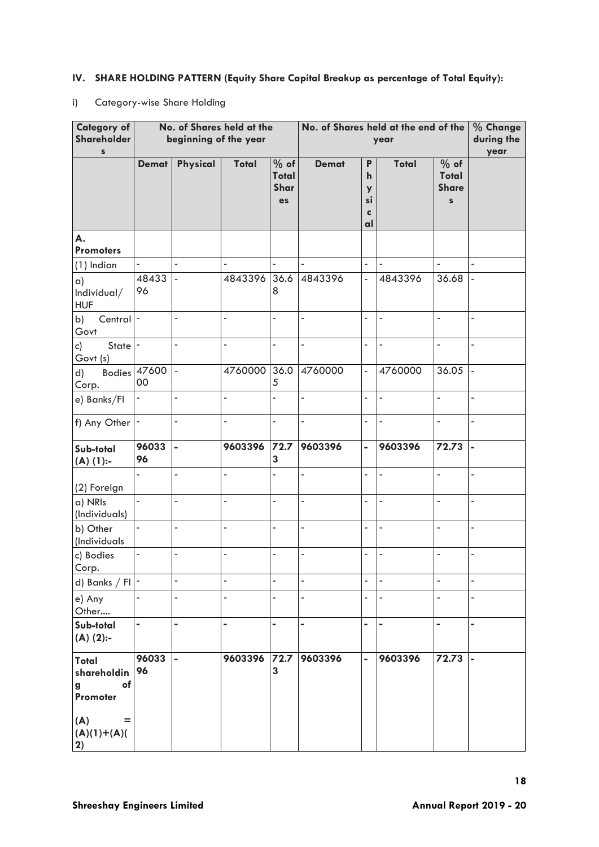# **IV. SHARE HOLDING PATTERN (Equity Share Capital Breakup as percentage of Total Equity):**

# i) Category-wise Share Holding

| <b>Category of</b><br>Shareholder<br>$\mathbb S$                                 | No. of Shares held at the<br>beginning of the year |                          |                |                                    | No. of Shares held at the end of the<br>year |                                                  |                          |                                               | % Change<br>during the<br>year |
|----------------------------------------------------------------------------------|----------------------------------------------------|--------------------------|----------------|------------------------------------|----------------------------------------------|--------------------------------------------------|--------------------------|-----------------------------------------------|--------------------------------|
|                                                                                  | <b>Demat</b>                                       | Physical                 | Total          | % of<br><b>Total</b><br>Shar<br>es | <b>Demat</b>                                 | P<br>$\mathbf h$<br>y<br>si<br>$\mathbf c$<br>al | Total                    | % of<br>Total<br><b>Share</b><br>$\mathbf{s}$ |                                |
| А.<br><b>Promoters</b>                                                           |                                                    |                          |                |                                    |                                              |                                                  |                          |                                               |                                |
| $(1)$ Indian                                                                     | $\overline{\phantom{0}}$                           | ä,                       | $\blacksquare$ |                                    | ÷,                                           | ÷,                                               | ä,                       | ä,                                            | ÷,                             |
| $\alpha$ )<br>Individual/<br><b>HUF</b>                                          | 48433<br>96                                        | $\overline{a}$           | 4843396        | 36.6<br>8                          | 4843396                                      | $\overline{a}$                                   | 4843396                  | 36.68                                         | ÷,                             |
| b)<br>Central -<br>Govt                                                          |                                                    | ÷,                       | ä,             | $\overline{a}$                     | L,                                           | ÷,                                               |                          | ÷,                                            | ÷,                             |
| State <sup>-</sup><br>c)<br>Govt (s)                                             |                                                    | ÷,                       | ÷,             | $\overline{a}$                     | L,                                           | ä,                                               | $\overline{\phantom{a}}$ | $\blacksquare$                                | ÷,                             |
| <b>Bodies</b><br>d)<br>Corp.                                                     | 47600<br>00                                        | $\bar{\phantom{a}}$      | 4760000        | 36.0<br>5                          | 4760000                                      | $\overline{a}$                                   | 4760000                  | 36.05                                         | $\overline{\phantom{a}}$       |
| e) Banks/Fl                                                                      | $\overline{\phantom{0}}$                           | $\overline{\phantom{0}}$ | ÷,             | ÷,                                 | L,                                           | ÷,                                               | $\blacksquare$           | ÷,                                            | ÷,                             |
| f) Any Other                                                                     | $\blacksquare$                                     | $\overline{a}$           | $\overline{a}$ | ÷,                                 | L,                                           | $\overline{a}$                                   | $\frac{1}{2}$            | $\overline{a}$                                | ÷,                             |
| Sub-total<br>$(A)$ (1):-                                                         | 96033<br>96                                        | L,                       | 9603396        | $72.7$<br>3                        | 9603396                                      | $\blacksquare$                                   | 9603396                  | 72.73                                         | $\blacksquare$                 |
| (2) Foreign                                                                      |                                                    | $\overline{a}$           | ä,             |                                    | $\overline{a}$                               | ä,                                               | $\overline{a}$           | $\overline{a}$                                | ÷,                             |
| a) NRIs<br>(Individuals)                                                         | ÷.                                                 | ä,                       | $\overline{a}$ | ä,                                 | L,                                           | $\overline{a}$                                   | $\overline{\phantom{a}}$ | $\overline{a}$                                | ä,                             |
| b) Other<br>(Individuals                                                         |                                                    |                          |                |                                    | -                                            | ä,                                               |                          |                                               | ÷                              |
| c) Bodies<br>Corp.                                                               | ÷,                                                 | -                        | ÷,             | $\overline{a}$                     | $\overline{a}$                               | $\overline{a}$                                   | ä,                       | $\frac{1}{2}$                                 | ä,                             |
| d) Banks / FI $\vert \cdot \vert$                                                |                                                    | $\overline{a}$           |                |                                    | $\overline{a}$                               |                                                  |                          | ä,                                            | ÷,                             |
| e) Any<br>Other                                                                  | ÷,                                                 | $\overline{a}$           |                | $\overline{a}$                     | ÷,                                           | ä,                                               |                          | ä,                                            | ÷,                             |
| Sub-total<br>$(A)$ (2):-                                                         | -                                                  |                          |                |                                    |                                              | -                                                |                          |                                               |                                |
| Total<br>shareholdin<br>of<br>g<br>Promoter<br>(A)<br>=<br>$(A)(1)+(A)(A)$<br>2) | 96033<br>96                                        | $\blacksquare$           | 9603396        | $72.7$<br>3                        | 9603396                                      | $\blacksquare$                                   | 9603396                  | 72.73                                         | $\overline{a}$                 |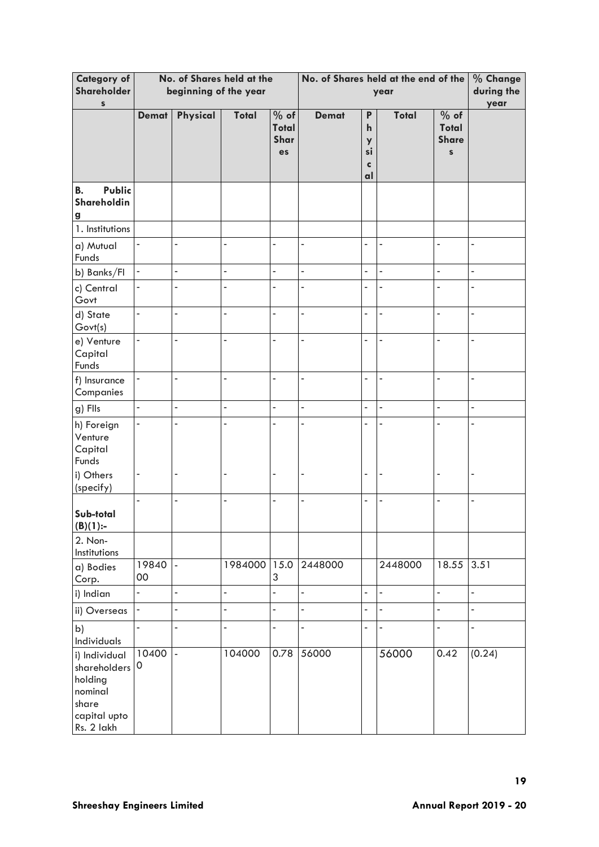| <b>Category of</b><br>Shareholder<br>$\mathbb S$                                           | No. of Shares held at the<br>beginning of the year |                          |                |                                    | No. of Shares held at the end of the<br>year |                                         |                |                                                      | % Change<br>during the<br>year |
|--------------------------------------------------------------------------------------------|----------------------------------------------------|--------------------------|----------------|------------------------------------|----------------------------------------------|-----------------------------------------|----------------|------------------------------------------------------|--------------------------------|
|                                                                                            | <b>Demat</b>                                       | Physical                 | Total          | % of<br>Total<br>Shar<br><b>es</b> | <b>Demat</b>                                 | P<br>$\mathbf{h}$<br>y<br>si<br>C<br>al | <b>Total</b>   | % of<br><b>Total</b><br><b>Share</b><br>$\mathbf{s}$ |                                |
| Public<br><b>B.</b><br>Shareholdin<br>$\mathbf{g}$                                         |                                                    |                          |                |                                    |                                              |                                         |                |                                                      |                                |
| 1. Institutions                                                                            |                                                    |                          |                |                                    |                                              |                                         |                |                                                      |                                |
| a) Mutual<br>Funds                                                                         |                                                    |                          | L,             |                                    |                                              | L,                                      |                |                                                      |                                |
| b) Banks/FI                                                                                | $\blacksquare$                                     | ÷,                       | ÷,             | ÷,                                 | ÷,                                           | $\overline{a}$                          | $\overline{a}$ | ä,                                                   | ÷,                             |
| c) Central<br>Govt                                                                         |                                                    |                          |                |                                    | L.                                           |                                         |                |                                                      | L.                             |
| d) State<br>Govt(s)                                                                        | $\blacksquare$                                     | $\overline{a}$           | ÷,             | ÷,                                 | $\overline{\phantom{a}}$                     | 4                                       | $\frac{1}{2}$  | $\blacksquare$                                       | $\overline{\phantom{a}}$       |
| e) Venture<br>Capital<br>Funds                                                             |                                                    |                          |                | ÷                                  | ä,                                           |                                         |                | L,                                                   | ä,                             |
| f) Insurance<br>Companies                                                                  |                                                    | ä                        | ä,             | L,                                 | ä,                                           |                                         |                | ÷,                                                   | ä,                             |
| g) Flls                                                                                    | ÷,                                                 | $\overline{a}$           | $\overline{a}$ | L,                                 | $\overline{a}$                               |                                         | L              | L,                                                   | $\overline{a}$                 |
| h) Foreign<br>Venture<br>Capital<br>Funds<br>i) Others                                     |                                                    |                          | L              |                                    | ä,                                           |                                         |                |                                                      | L,                             |
| (specify)                                                                                  |                                                    |                          |                |                                    |                                              |                                         |                |                                                      |                                |
| Sub-total<br>(B)(1):                                                                       | L,                                                 | Ē,                       | ÷,             | ÷,                                 | ÷,                                           | -                                       |                | $\blacksquare$                                       | $\overline{\phantom{a}}$       |
| 2. Non-<br>Institutions                                                                    |                                                    |                          |                |                                    |                                              |                                         |                |                                                      |                                |
| a) Bodies<br>Corp.                                                                         | 19840<br>$00\,$                                    | $\overline{\phantom{a}}$ | 1984000 15.0   | 3                                  | 2448000                                      |                                         | 2448000        | 18.55                                                | 3.51                           |
| i) Indian                                                                                  | 4                                                  | L,                       | $\blacksquare$ | L                                  | ÷,                                           | $\overline{a}$                          | $\blacksquare$ | $\overline{\phantom{a}}$                             | $\blacksquare$                 |
| ii) Overseas                                                                               | ÷                                                  | L,                       | $\overline{a}$ | $\overline{a}$                     | $\overline{\phantom{a}}$                     | L,                                      | $\overline{a}$ | $\blacksquare$                                       | $\Box$                         |
| b)<br>Individuals                                                                          | $\blacksquare$                                     | Ĭ.                       | $\overline{a}$ | ÷,                                 | $\overline{a}$                               | $\overline{a}$                          |                | $\frac{1}{2}$                                        | $\blacksquare$                 |
| i) Individual<br>shareholders<br>holding<br>nominal<br>share<br>capital upto<br>Rs. 2 lakh | 10400<br>0                                         | $\overline{\phantom{a}}$ | 104000         | 0.78                               | 56000                                        |                                         | 56000          | 0.42                                                 | (0.24)                         |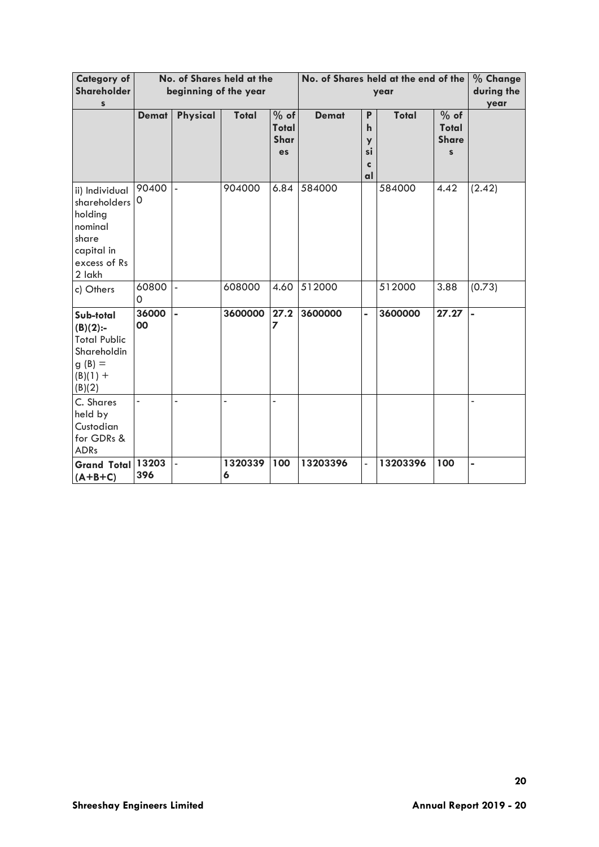| <b>Category of</b><br>Shareholder<br>S                                                                |                   | beginning of the year    | No. of Shares held at the |                                      |              | No. of Shares held at the end of the<br>year |              |                                                        |                |
|-------------------------------------------------------------------------------------------------------|-------------------|--------------------------|---------------------------|--------------------------------------|--------------|----------------------------------------------|--------------|--------------------------------------------------------|----------------|
|                                                                                                       | <b>Demat</b>      | Physical                 | Total                     | $%$ of<br><b>Total</b><br>Shar<br>es | <b>Demat</b> | P<br>$\mathbf{h}$<br>y<br>si<br>c<br>al      | <b>Total</b> | $%$ of<br><b>Total</b><br><b>Share</b><br>$\mathbf{s}$ |                |
| ii) Individual<br>shareholders<br>holding<br>nominal<br>share<br>capital in<br>excess of Rs<br>2 lakh | 90400<br>0        |                          | 904000                    | 6.84                                 | 584000       |                                              | 584000       | 4.42                                                   | (2.42)         |
| c) Others                                                                                             | 60800<br>$\Omega$ | $\overline{\phantom{a}}$ | 608000                    | 4.60                                 | 512000       |                                              | 512000       | 3.88                                                   | (0.73)         |
| Sub-total<br>$(B)(2)$ :-<br><b>Total Public</b><br>Shareholdin<br>$g(B) =$<br>$(B)(1) +$<br>(B)(2)    | 36000<br>00       | $\blacksquare$           | 3600000                   | 27.2<br>7                            | 3600000      | $\blacksquare$                               | 3600000      | 27.27                                                  | $\blacksquare$ |
| C. Shares<br>held by<br>Custodian<br>for GDRs &<br><b>ADRs</b>                                        |                   |                          |                           |                                      |              |                                              |              |                                                        |                |
| <b>Grand Total</b><br>$(A+B+C)$                                                                       | 13203<br>396      | $\overline{a}$           | 1320339<br>6              | 100                                  | 13203396     | $\frac{1}{2}$                                | 13203396     | 100                                                    | ÷,             |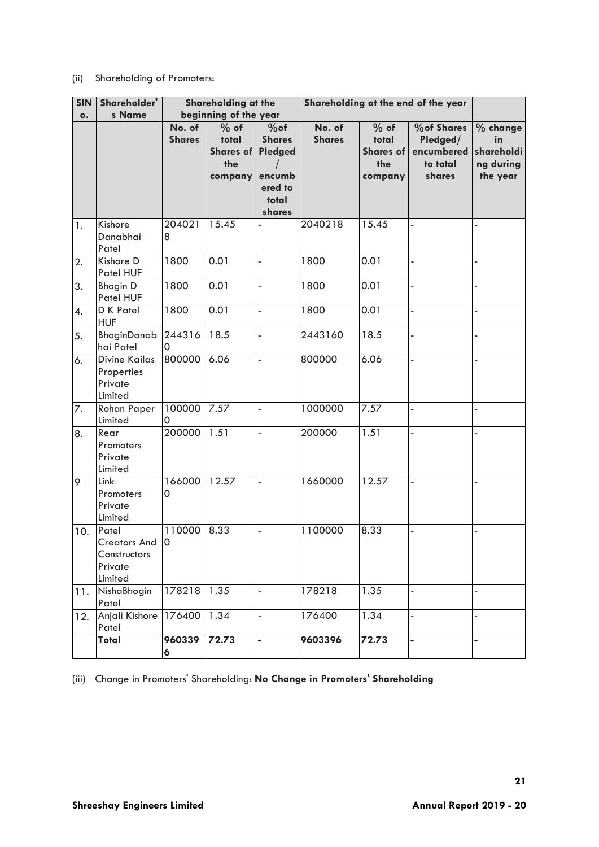# (ii) Shareholding of Promoters:

| <b>SIN</b><br>$\bullet$ . | Shareholder'<br>s Name                                        |                         | Shareholding at the<br>beginning of the year          |                                                                            | Shareholding at the end of the year |                                                       |                                                                   |                                                         |
|---------------------------|---------------------------------------------------------------|-------------------------|-------------------------------------------------------|----------------------------------------------------------------------------|-------------------------------------|-------------------------------------------------------|-------------------------------------------------------------------|---------------------------------------------------------|
|                           |                                                               | No. of<br><b>Shares</b> | $%$ of<br>total<br><b>Shares of</b><br>the<br>company | $%$ of<br><b>Shares</b><br>Pledged<br>encumb<br>ered to<br>total<br>shares | No. of<br><b>Shares</b>             | $%$ of<br>total<br><b>Shares of</b><br>the<br>company | <b>%of Shares</b><br>Pledged/<br>encumbered<br>to total<br>shares | $%$ change<br>in<br>shareholdi<br>ng during<br>the year |
| 1.                        | Kishore<br>Danabhai<br>Patel                                  | 204021<br>8             | 15.45                                                 |                                                                            | 2040218                             | 15.45                                                 |                                                                   |                                                         |
| 2.                        | Kishore D<br>Patel HUF                                        | 1800                    | 0.01                                                  | L,                                                                         | 1800                                | 0.01                                                  |                                                                   |                                                         |
| 3.                        | <b>Bhogin D</b><br>Patel HUF                                  | 1800                    | 0.01                                                  | $\overline{a}$                                                             | 1800                                | 0.01                                                  |                                                                   |                                                         |
| 4.                        | D K Patel<br><b>HUF</b>                                       | 1800                    | 0.01                                                  | L,                                                                         | 1800                                | 0.01                                                  | L,                                                                |                                                         |
| 5.                        | BhoginDanab<br>hai Patel                                      | 244316<br>0             | 18.5                                                  |                                                                            | 2443160                             | 18.5                                                  | Ĭ.                                                                |                                                         |
| 6.                        | <b>Divine Kailas</b><br>Properties<br>Private<br>Limited      | 800000                  | 6.06                                                  |                                                                            | 800000                              | 6.06                                                  | Ĭ.                                                                |                                                         |
| 7.                        | <b>Rohan Paper</b><br>Limited                                 | 100000<br>0             | 7.57                                                  | $\overline{\phantom{a}}$                                                   | 1000000                             | 7.57                                                  | ÷,                                                                |                                                         |
| 8.                        | Rear<br>Promoters<br>Private<br>Limited                       | 200000                  | 1.51                                                  | $\overline{a}$                                                             | 200000                              | 1.51                                                  | Ĭ.                                                                |                                                         |
| 9                         | Link<br>Promoters<br>Private<br>Limited                       | 166000<br>0             | 12.57                                                 | L,                                                                         | 1660000                             | 12.57                                                 | ÷,                                                                |                                                         |
| 10.                       | Patel<br>Creators And 0<br>Constructors<br>Private<br>Limited | 110000                  | 8.33                                                  | L,                                                                         | 1100000                             | 8.33                                                  | L,                                                                |                                                         |
| 11.                       | NishaBhogin<br>Patel                                          | 178218                  | 1.35                                                  | $\overline{a}$                                                             | 178218                              | 1.35                                                  | L.                                                                |                                                         |
| 12.                       | Anjali Kishore<br>Patel                                       | 176400                  | 1.34                                                  | L,                                                                         | 176400                              | 1.34                                                  |                                                                   |                                                         |
|                           | Total                                                         | 960339<br>6             | 72.73                                                 | $\overline{\phantom{0}}$                                                   | 9603396                             | 72.73                                                 |                                                                   |                                                         |

(iii) Change in Promoters' Shareholding: **No Change in Promoters' Shareholding**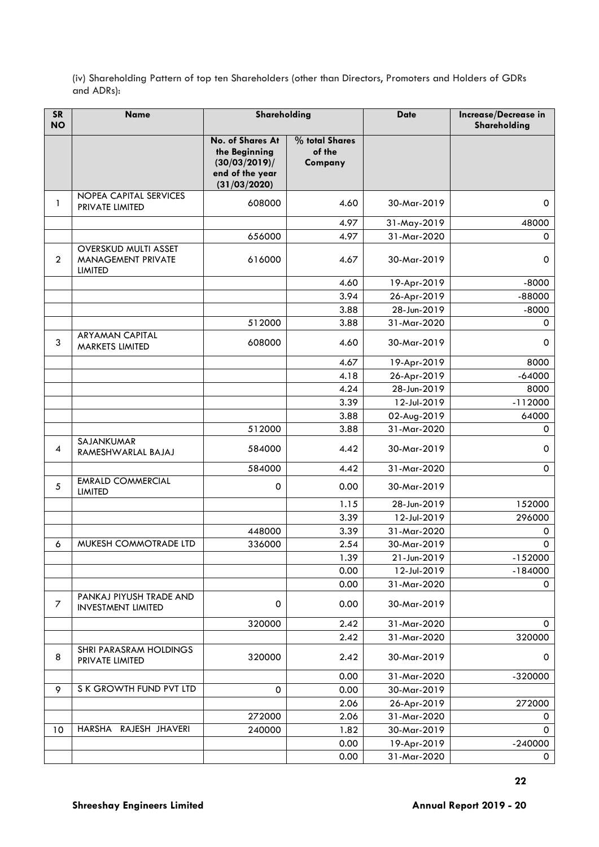(iv) Shareholding Pattern of top ten Shareholders (other than Directors, Promoters and Holders of GDRs and ADRs):

| <b>SR</b><br><b>NO</b> | <b>Name</b>                                                         | Shareholding                                                                          |                                     | <b>Date</b> | Increase/Decrease in<br>Shareholding |
|------------------------|---------------------------------------------------------------------|---------------------------------------------------------------------------------------|-------------------------------------|-------------|--------------------------------------|
|                        |                                                                     | No. of Shares At<br>the Beginning<br>(30/03/2019)/<br>end of the year<br>(31/03/2020) | % total Shares<br>of the<br>Company |             |                                      |
| 1                      | NOPEA CAPITAL SERVICES<br>PRIVATE LIMITED                           | 608000                                                                                | 4.60                                | 30-Mar-2019 | 0                                    |
|                        |                                                                     |                                                                                       | 4.97                                | 31-May-2019 | 48000                                |
|                        |                                                                     | 656000                                                                                | 4.97                                | 31-Mar-2020 | $\mathbf 0$                          |
| $\overline{2}$         | <b>OVERSKUD MULTI ASSET</b><br>MANAGEMENT PRIVATE<br><b>LIMITED</b> | 616000                                                                                | 4.67                                | 30-Mar-2019 | 0                                    |
|                        |                                                                     |                                                                                       | 4.60                                | 19-Apr-2019 | $-8000$                              |
|                        |                                                                     |                                                                                       | 3.94                                | 26-Apr-2019 | $-88000$                             |
|                        |                                                                     |                                                                                       | 3.88                                | 28-Jun-2019 | $-8000$                              |
|                        |                                                                     | 512000                                                                                | 3.88                                | 31-Mar-2020 | 0                                    |
| 3                      | <b>ARYAMAN CAPITAL</b><br>MARKETS LIMITED                           | 608000                                                                                | 4.60                                | 30-Mar-2019 | 0                                    |
|                        |                                                                     |                                                                                       | 4.67                                | 19-Apr-2019 | 8000                                 |
|                        |                                                                     |                                                                                       | 4.18                                | 26-Apr-2019 | $-64000$                             |
|                        |                                                                     |                                                                                       | 4.24                                | 28-Jun-2019 | 8000                                 |
|                        |                                                                     |                                                                                       | 3.39                                | 12-Jul-2019 | $-112000$                            |
|                        |                                                                     |                                                                                       | 3.88                                | 02-Aug-2019 | 64000                                |
|                        |                                                                     | 512000                                                                                | 3.88                                | 31-Mar-2020 | 0                                    |
| 4                      | SAJANKUMAR<br>RAMESHWARLAL BAJAJ                                    | 584000                                                                                | 4.42                                | 30-Mar-2019 | $\mathbf 0$                          |
|                        |                                                                     | 584000                                                                                | 4.42                                | 31-Mar-2020 | $\mathbf 0$                          |
| 5                      | <b>EMRALD COMMERCIAL</b><br><b>LIMITED</b>                          | 0                                                                                     | 0.00                                | 30-Mar-2019 |                                      |
|                        |                                                                     |                                                                                       | 1.15                                | 28-Jun-2019 | 152000                               |
|                        |                                                                     |                                                                                       | 3.39                                | 12-Jul-2019 | 296000                               |
|                        |                                                                     | 448000                                                                                | 3.39                                | 31-Mar-2020 | 0                                    |
| 6                      | MUKESH COMMOTRADE LTD                                               | 336000                                                                                | 2.54                                | 30-Mar-2019 | $\mathbf 0$                          |
|                        |                                                                     |                                                                                       | 1.39                                | 21-Jun-2019 | $-152000$                            |
|                        |                                                                     |                                                                                       | 0.00                                | 12-Jul-2019 | $-184000$                            |
|                        |                                                                     |                                                                                       | 0.00                                | 31-Mar-2020 | 0                                    |
| 7                      | PANKAJ PIYUSH TRADE AND<br><b>INVESTMENT LIMITED</b>                | 0                                                                                     | 0.00                                | 30-Mar-2019 |                                      |
|                        |                                                                     | 320000                                                                                | 2.42                                | 31-Mar-2020 | 0                                    |
|                        |                                                                     |                                                                                       | 2.42                                | 31-Mar-2020 | 320000                               |
| 8                      | SHRI PARASRAM HOLDINGS<br>PRIVATE LIMITED                           | 320000                                                                                | 2.42                                | 30-Mar-2019 | 0                                    |
|                        |                                                                     |                                                                                       | 0.00                                | 31-Mar-2020 | -320000                              |
| 9                      | S K GROWTH FUND PVT LTD                                             | 0                                                                                     | 0.00                                | 30-Mar-2019 |                                      |
|                        |                                                                     |                                                                                       | 2.06                                | 26-Apr-2019 | 272000                               |
|                        |                                                                     | 272000                                                                                | 2.06                                | 31-Mar-2020 | 0                                    |
| 10                     | RAJESH JHAVERI<br>HARSHA                                            | 240000                                                                                | 1.82                                | 30-Mar-2019 | 0                                    |
|                        |                                                                     |                                                                                       | 0.00                                | 19-Apr-2019 | $-240000$                            |
|                        |                                                                     |                                                                                       | 0.00                                | 31-Mar-2020 | 0                                    |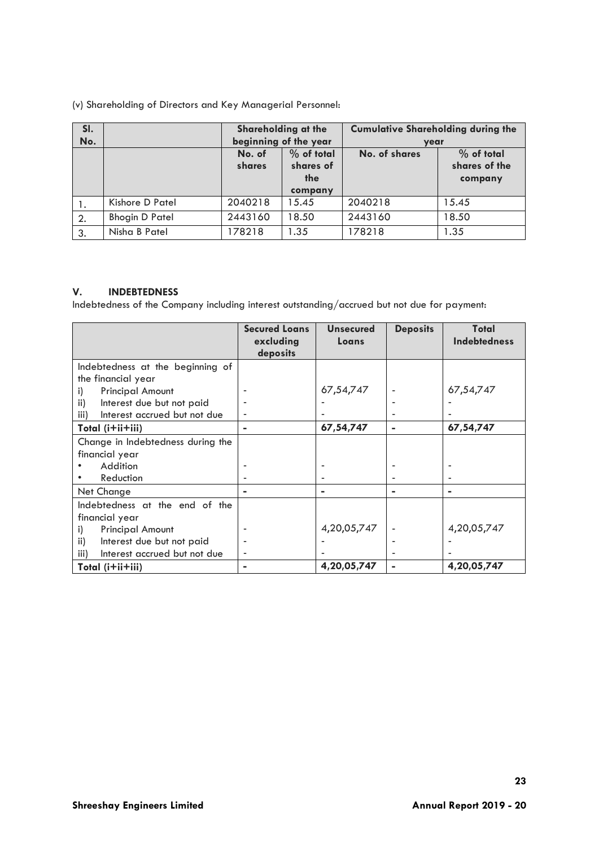(v) Shareholding of Directors and Key Managerial Personnel:

| SI.<br>No. |                       | Shareholding at the<br>beginning of the year |                                             | <b>Cumulative Shareholding during the</b><br>year |                                          |  |
|------------|-----------------------|----------------------------------------------|---------------------------------------------|---------------------------------------------------|------------------------------------------|--|
|            |                       | No. of<br>shares                             | $%$ of total<br>shares of<br>the<br>company | No. of shares                                     | $%$ of total<br>shares of the<br>company |  |
| ι.         | Kishore D Patel       | 2040218                                      | 15.45                                       | 2040218                                           | 15.45                                    |  |
| 2.         | <b>Bhogin D Patel</b> | 2443160                                      | 18.50                                       | 2443160                                           | 18.50                                    |  |
| 3.         | Nisha B Patel         | 178218                                       | 1.35                                        | 178218                                            | 1.35                                     |  |

# **V. INDEBTEDNESS**

Indebtedness of the Company including interest outstanding/accrued but not due for payment:

|                                      | <b>Secured Loans</b><br>excluding<br>deposits | <b>Unsecured</b><br>Loans | <b>Deposits</b> | Total<br><b>Indebtedness</b> |
|--------------------------------------|-----------------------------------------------|---------------------------|-----------------|------------------------------|
| Indebtedness at the beginning of     |                                               |                           |                 |                              |
| the financial year                   |                                               |                           |                 |                              |
| <b>Principal Amount</b><br>i)        |                                               | 67,54,747                 |                 | 67,54,747                    |
| ii)<br>Interest due but not paid     |                                               |                           |                 |                              |
| Interest accrued but not due<br>iii) |                                               |                           |                 |                              |
| Total (i+ii+iii)                     | $\blacksquare$                                | 67,54,747                 |                 | 67,54,747                    |
| Change in Indebtedness during the    |                                               |                           |                 |                              |
| financial year                       |                                               |                           |                 |                              |
| Addition                             |                                               |                           |                 |                              |
| Reduction                            |                                               |                           |                 |                              |
| Net Change                           | $\blacksquare$                                | $\blacksquare$            | $\blacksquare$  | ۰                            |
| Indebtedness at the end of the       |                                               |                           |                 |                              |
| financial year                       |                                               |                           |                 |                              |
| <b>Principal Amount</b><br>i)        |                                               | 4,20,05,747               |                 | 4,20,05,747                  |
| ii)<br>Interest due but not paid     |                                               |                           |                 |                              |
| Interest accrued but not due<br>iii) | ٠                                             |                           |                 |                              |
| Total (i+ii+iii)                     | $\blacksquare$                                | 4,20,05,747               |                 | 4,20,05,747                  |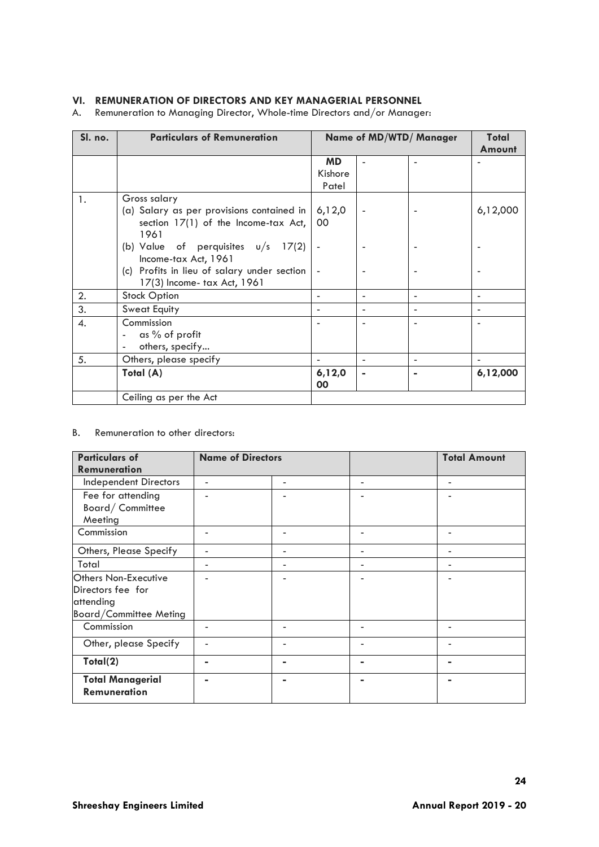# **VI. REMUNERATION OF DIRECTORS AND KEY MANAGERIAL PERSONNEL**

A. Remuneration to Managing Director, Whole-time Directors and/or Manager:

| Sl. no. | <b>Particulars of Remuneration</b>          |           | <b>Name of MD/WTD/ Manager</b> | Total          |          |
|---------|---------------------------------------------|-----------|--------------------------------|----------------|----------|
|         |                                             |           |                                |                | Amount   |
|         |                                             | <b>MD</b> |                                | ۰              |          |
|         |                                             | Kishore   |                                |                |          |
|         |                                             | Patel     |                                |                |          |
| 1.      | Gross salary                                |           |                                |                |          |
|         | (a) Salary as per provisions contained in   | 6,12,0    |                                |                | 6,12,000 |
|         | section $17(1)$ of the Income-tax Act,      | 00        |                                |                |          |
|         | 1961                                        |           |                                |                |          |
|         | (b) Value of perquisites $u/s$ 17(2)        |           |                                |                |          |
|         | Income-tax Act, 1961                        |           |                                |                |          |
|         | (c) Profits in lieu of salary under section |           |                                |                |          |
|         | 17(3) Income- tax Act, 1961                 |           |                                |                |          |
| 2.      | <b>Stock Option</b>                         |           |                                | ٠              |          |
| 3.      | <b>Sweat Equity</b>                         |           |                                |                |          |
| 4.      | Commission                                  |           |                                |                |          |
|         | as % of profit                              |           |                                |                |          |
|         | others, specify<br>٠                        |           |                                |                |          |
| 5.      | Others, please specify                      |           |                                | ٠              |          |
|         | Total (A)                                   | 6,12,0    | $\blacksquare$                 | $\blacksquare$ | 6,12,000 |
|         |                                             | 00        |                                |                |          |
|         | Ceiling as per the Act                      |           |                                |                |          |

# B. Remuneration to other directors:

| <b>Particulars of</b>                                                                   | <b>Name of Directors</b>     |   | <b>Total Amount</b> |
|-----------------------------------------------------------------------------------------|------------------------------|---|---------------------|
| Remuneration                                                                            |                              |   |                     |
| <b>Independent Directors</b>                                                            | $\qquad \qquad \blacksquare$ | ۰ | ۰                   |
| Fee for attending<br>Board/Committee<br>Meeting                                         |                              |   |                     |
| Commission                                                                              |                              |   |                     |
| Others, Please Specify                                                                  | ۰                            | ۰ | -                   |
| Total                                                                                   | $\overline{\phantom{a}}$     | ۰ | -                   |
| Others Non-Executive<br>Directors fee for<br>attending<br><b>Board/Committee Meting</b> |                              |   |                     |
| Commission                                                                              |                              |   |                     |
| Other, please Specify                                                                   |                              |   |                     |
| Total(2)                                                                                |                              |   |                     |
| <b>Total Managerial</b><br><b>Remuneration</b>                                          |                              |   |                     |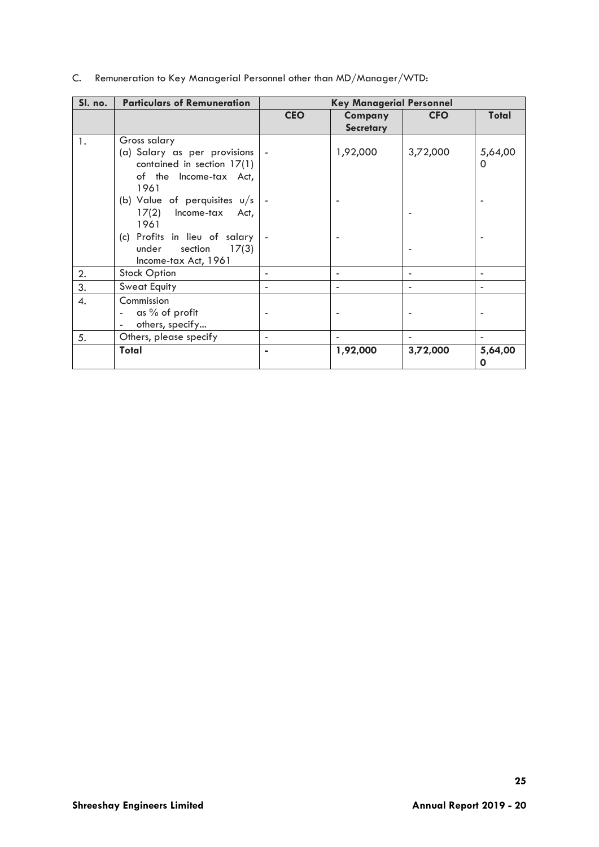| C. Remuneration to Key Managerial Personnel other than MD/Manager/WTD: |  |  |  |  |  |  |  |
|------------------------------------------------------------------------|--|--|--|--|--|--|--|
|------------------------------------------------------------------------|--|--|--|--|--|--|--|

| Sl. no. | <b>Particulars of Remuneration</b>                                                                                                                                                                                                                       |                          | <b>Key Managerial Personnel</b> |            |                     |
|---------|----------------------------------------------------------------------------------------------------------------------------------------------------------------------------------------------------------------------------------------------------------|--------------------------|---------------------------------|------------|---------------------|
|         |                                                                                                                                                                                                                                                          | <b>CEO</b>               | Company<br><b>Secretary</b>     | <b>CFO</b> | Total               |
| 1.      | Gross salary<br>(a) Salary as per provisions   -<br>contained in section 17(1)<br>of the Income-tax Act,<br>1961<br>(b) Value of perquisites $u/s$<br>17(2)<br>Income-tax Act,<br>1961<br>(c) Profits in lieu of salary   -<br>17(3)<br>under<br>section |                          | 1,92,000                        | 3,72,000   | 5,64,00<br>$\Omega$ |
|         | Income-tax Act, 1961                                                                                                                                                                                                                                     |                          |                                 |            |                     |
| 2.      | <b>Stock Option</b>                                                                                                                                                                                                                                      |                          |                                 |            |                     |
| 3.      | <b>Sweat Equity</b>                                                                                                                                                                                                                                      |                          |                                 |            |                     |
| 4.      | Commission<br>as % of profit<br>others, specify                                                                                                                                                                                                          |                          |                                 |            |                     |
| 5.      | Others, please specify                                                                                                                                                                                                                                   | $\overline{\phantom{0}}$ |                                 |            |                     |
|         | Total                                                                                                                                                                                                                                                    |                          | 1,92,000                        | 3,72,000   | 5,64,00<br>O        |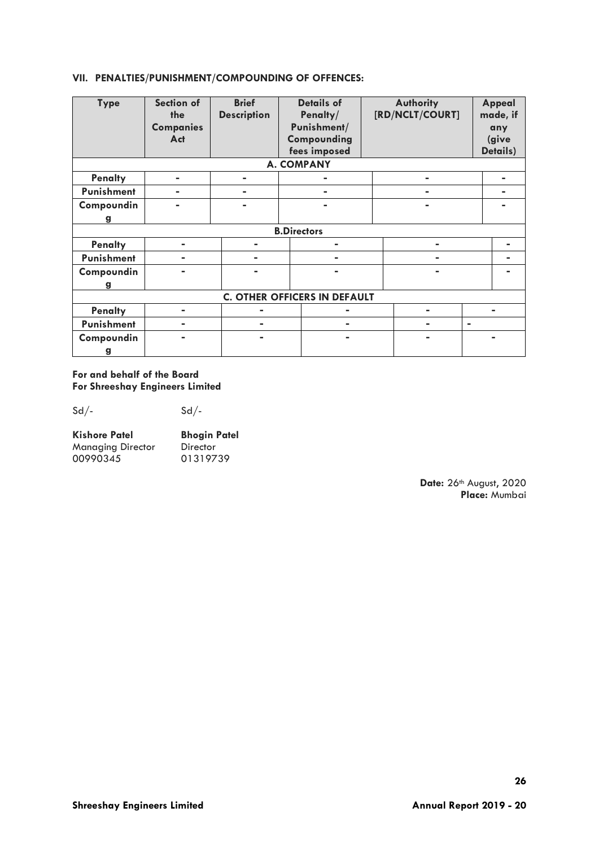# **VII. PENALTIES/PUNISHMENT/COMPOUNDING OF OFFENCES:**

| <b>Type</b>                         | Section of       | <b>Brief</b>       | <b>Details of</b> |  | <b>Authority</b> |                | Appeal   |
|-------------------------------------|------------------|--------------------|-------------------|--|------------------|----------------|----------|
|                                     | the              | <b>Description</b> | Penalty/          |  | [RD/NCLT/COURT]  |                | made, if |
|                                     | <b>Companies</b> |                    | Punishment/       |  |                  |                | any      |
|                                     | Act              |                    | Compounding       |  |                  |                | (give    |
|                                     |                  |                    | fees imposed      |  |                  |                | Details) |
|                                     |                  |                    | <b>A. COMPANY</b> |  |                  |                |          |
| <b>Penalty</b>                      | $\blacksquare$   | $\blacksquare$     |                   |  | $\blacksquare$   |                |          |
| Punishment                          |                  | $\blacksquare$     |                   |  |                  |                |          |
| Compoundin                          |                  | $\blacksquare$     |                   |  |                  |                |          |
| g                                   |                  |                    |                   |  |                  |                |          |
| <b>B.Directors</b>                  |                  |                    |                   |  |                  |                |          |
| <b>Penalty</b>                      | -                | ۰.                 | $\blacksquare$    |  |                  |                |          |
| Punishment                          |                  | ۰.                 |                   |  |                  |                |          |
| Compoundin                          |                  |                    |                   |  | -                |                |          |
| g                                   |                  |                    |                   |  |                  |                |          |
| <b>C. OTHER OFFICERS IN DEFAULT</b> |                  |                    |                   |  |                  |                |          |
| <b>Penalty</b>                      | ۰                |                    | $\blacksquare$    |  | $\blacksquare$   |                |          |
| Punishment                          | $\blacksquare$   |                    | $\blacksquare$    |  |                  | $\blacksquare$ |          |
| Compoundin                          |                  |                    |                   |  |                  |                |          |
| g                                   |                  |                    |                   |  |                  |                |          |

# **For and behalf of the Board For Shreeshay Engineers Limited**

 $Sd/ Sd/-$ 

| <b>Kishore Patel</b>     | <b>Bhogin Patel</b> |  |  |
|--------------------------|---------------------|--|--|
| <b>Managing Director</b> | Director            |  |  |
| 00990345                 | 01319739            |  |  |

**Date:** 26th August, 2020 **Place:** Mumbai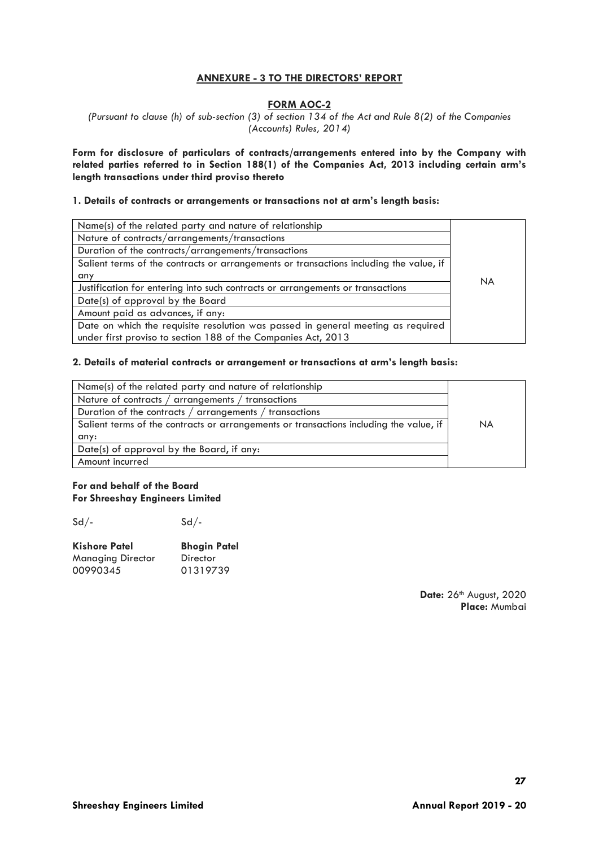# **ANNEXURE - 3 TO THE DIRECTORS' REPORT**

#### **FORM AOC-2**

*(Pursuant to clause (h) of sub-section (3) of section 134 of the Act and Rule 8(2) of the Companies (Accounts) Rules, 2014)*

**Form for disclosure of particulars of contracts/arrangements entered into by the Company with related parties referred to in Section 188(1) of the Companies Act, 2013 including certain arm's length transactions under third proviso thereto**

#### **1. Details of contracts or arrangements or transactions not at arm's length basis:**

| Name(s) of the related party and nature of relationship                                |           |
|----------------------------------------------------------------------------------------|-----------|
| Nature of contracts/arrangements/transactions                                          |           |
| Duration of the contracts/arrangements/transactions                                    |           |
| Salient terms of the contracts or arrangements or transactions including the value, if |           |
| any                                                                                    | <b>NA</b> |
| Justification for entering into such contracts or arrangements or transactions         |           |
| Date(s) of approval by the Board                                                       |           |
| Amount paid as advances, if any:                                                       |           |
| Date on which the requisite resolution was passed in general meeting as required       |           |
| under first proviso to section 188 of the Companies Act, 2013                          |           |

#### **2. Details of material contracts or arrangement or transactions at arm's length basis:**

| Name(s) of the related party and nature of relationship                                |           |
|----------------------------------------------------------------------------------------|-----------|
| Nature of contracts / arrangements / transactions                                      |           |
| Duration of the contracts / arrangements / transactions                                |           |
| Salient terms of the contracts or arrangements or transactions including the value, if | <b>NA</b> |
| any:                                                                                   |           |
| Date(s) of approval by the Board, if any:                                              |           |
| Amount incurred                                                                        |           |

#### **For and behalf of the Board For Shreeshay Engineers Limited**

 $Sd/-$ 

| <b>Kishore Patel</b> | <b>Bhogin Patel</b> |
|----------------------|---------------------|
| Managing Director    | Director            |
| 00990345             | 01319739            |

Date: 26<sup>th</sup> August, 2020 **Place:** Mumbai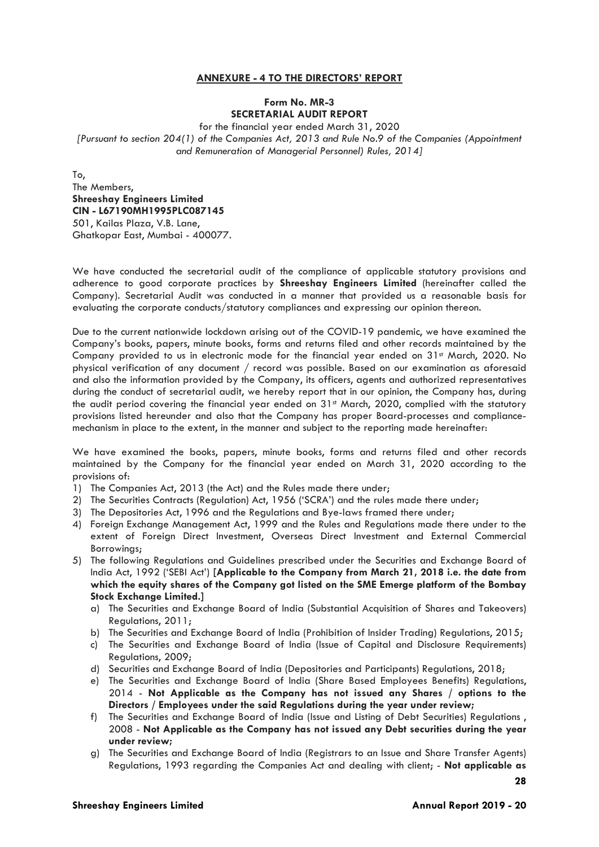# **ANNEXURE - 4 TO THE DIRECTORS' REPORT**

#### **Form No. MR-3 SECRETARIAL AUDIT REPORT**

for the financial year ended March 31, 2020 *[Pursuant to section 204(1) of the Companies Act, 2013 and Rule No.9 of the Companies (Appointment and Remuneration of Managerial Personnel) Rules, 2014]*

To,

The Members, **Shreeshay Engineers Limited CIN - L67190MH1995PLC087145** 501, Kailas Plaza, V.B. Lane, Ghatkopar East, Mumbai - 400077.

We have conducted the secretarial audit of the compliance of applicable statutory provisions and adherence to good corporate practices by **Shreeshay Engineers Limited** (hereinafter called the Company). Secretarial Audit was conducted in a manner that provided us a reasonable basis for evaluating the corporate conducts/statutory compliances and expressing our opinion thereon.

Due to the current nationwide lockdown arising out of the COVID-19 pandemic, we have examined the Company's books, papers, minute books, forms and returns filed and other records maintained by the Company provided to us in electronic mode for the financial year ended on 31<sup>st</sup> March, 2020. No physical verification of any document / record was possible. Based on our examination as aforesaid and also the information provided by the Company, its officers, agents and authorized representatives during the conduct of secretarial audit, we hereby report that in our opinion, the Company has, during the audit period covering the financial year ended on 31<sup>st</sup> March, 2020, complied with the statutory provisions listed hereunder and also that the Company has proper Board-processes and compliancemechanism in place to the extent, in the manner and subject to the reporting made hereinafter:

We have examined the books, papers, minute books, forms and returns filed and other records maintained by the Company for the financial year ended on March 31, 2020 according to the provisions of:

- 1) The Companies Act, 2013 (the Act) and the Rules made there under;
- 2) The Securities Contracts (Regulation) Act, 1956 ('SCRA') and the rules made there under;
- 3) The Depositories Act, 1996 and the Regulations and Bye-laws framed there under;
- 4) Foreign Exchange Management Act, 1999 and the Rules and Regulations made there under to the extent of Foreign Direct Investment, Overseas Direct Investment and External Commercial Borrowings;
- 5) The following Regulations and Guidelines prescribed under the Securities and Exchange Board of India Act, 1992 ('SEBI Act') **[Applicable to the Company from March 21, 2018 i.e. the date from which the equity shares of the Company got listed on the SME Emerge platform of the Bombay Stock Exchange Limited.]**
	- a) The Securities and Exchange Board of India (Substantial Acquisition of Shares and Takeovers) Regulations, 2011;
	- b) The Securities and Exchange Board of India (Prohibition of Insider Trading) Regulations, 2015;
	- c) The Securities and Exchange Board of India (Issue of Capital and Disclosure Requirements) Regulations, 2009;
	- d) Securities and Exchange Board of India (Depositories and Participants) Regulations, 2018;
	- e) The Securities and Exchange Board of India (Share Based Employees Benefits) Regulations, 2014 - **Not Applicable as the Company has not issued any Shares / options to the Directors / Employees under the said Regulations during the year under review;**
	- f) The Securities and Exchange Board of India (Issue and Listing of Debt Securities) Regulations , 2008 - **Not Applicable as the Company has not issued any Debt securities during the year under review;**
	- g) The Securities and Exchange Board of India (Registrars to an Issue and Share Transfer Agents) Regulations, 1993 regarding the Companies Act and dealing with client; - **Not applicable as**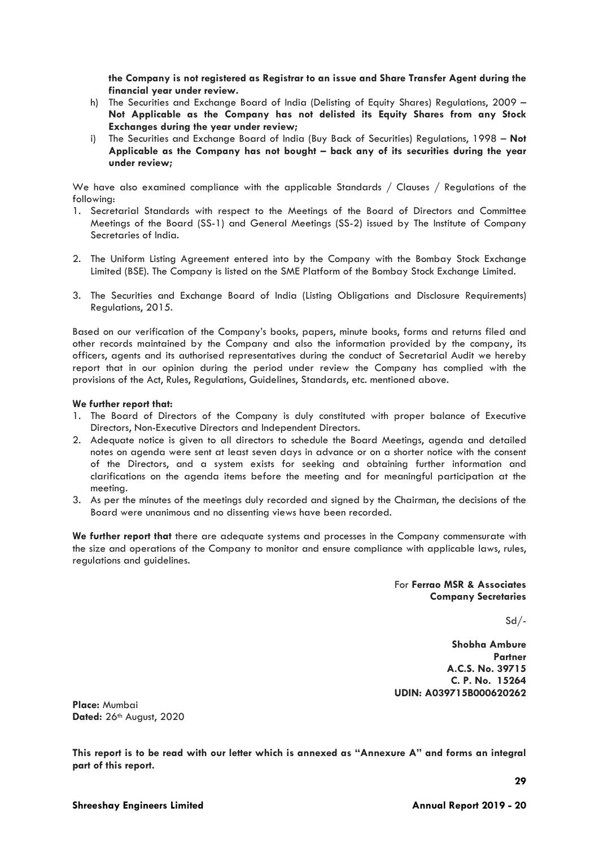**the Company is not registered as Registrar to an issue and Share Transfer Agent during the financial year under review.**

- h) The Securities and Exchange Board of India (Delisting of Equity Shares) Regulations, 2009 **Not Applicable as the Company has not delisted its Equity Shares from any Stock Exchanges during the year under review;**
- i) The Securities and Exchange Board of India (Buy Back of Securities) Regulations, 1998 **Not Applicable as the Company has not bought – back any of its securities during the year under review;**

We have also examined compliance with the applicable Standards / Clauses / Regulations of the following:

- 1. Secretarial Standards with respect to the Meetings of the Board of Directors and Committee Meetings of the Board (SS-1) and General Meetings (SS-2) issued by The Institute of Company Secretaries of India.
- 2. The Uniform Listing Agreement entered into by the Company with the Bombay Stock Exchange Limited (BSE). The Company is listed on the SME Platform of the Bombay Stock Exchange Limited.
- 3. The Securities and Exchange Board of India (Listing Obligations and Disclosure Requirements) Regulations, 2015.

Based on our verification of the Company's books, papers, minute books, forms and returns filed and other records maintained by the Company and also the information provided by the company, its officers, agents and its authorised representatives during the conduct of Secretarial Audit we hereby report that in our opinion during the period under review the Company has complied with the provisions of the Act, Rules, Regulations, Guidelines, Standards, etc. mentioned above.

#### **We further report that:**

- 1. The Board of Directors of the Company is duly constituted with proper balance of Executive Directors, Non-Executive Directors and Independent Directors.
- 2. Adequate notice is given to all directors to schedule the Board Meetings, agenda and detailed notes on agenda were sent at least seven days in advance or on a shorter notice with the consent of the Directors, and a system exists for seeking and obtaining further information and clarifications on the agenda items before the meeting and for meaningful participation at the meeting.
- 3. As per the minutes of the meetings duly recorded and signed by the Chairman, the decisions of the Board were unanimous and no dissenting views have been recorded.

**We further report that** there are adequate systems and processes in the Company commensurate with the size and operations of the Company to monitor and ensure compliance with applicable laws, rules, regulations and guidelines.

> For **Ferrao MSR & Associates Company Secretaries**

> > Sd/-

**Shobha Ambure Partner A.C.S. No. 39715 C. P. No. 15264 UDIN: A039715B000620262**

**Place:** Mumbai **Dated:** 26th August, 2020

**This report is to be read with our letter which is annexed as "Annexure A" and forms an integral part of this report.**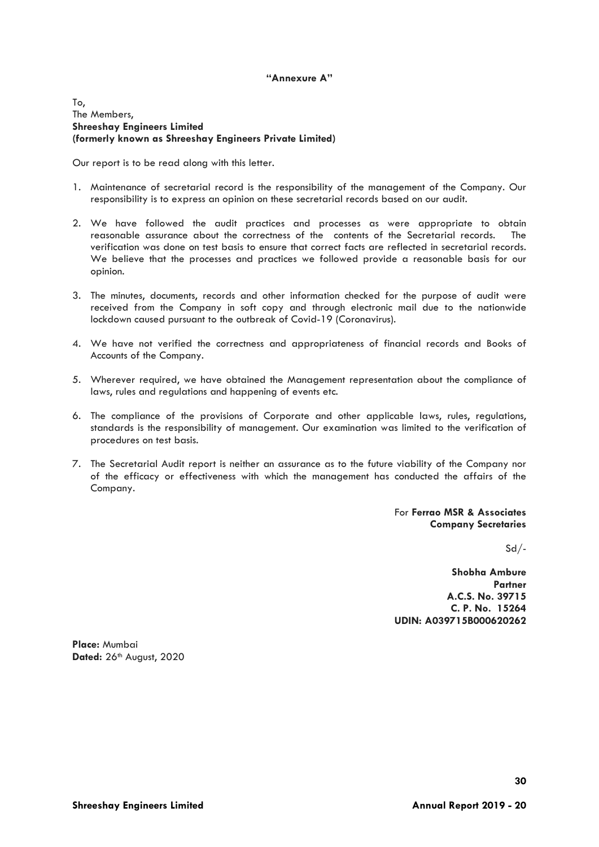#### **"Annexure A"**

To, The Members, **Shreeshay Engineers Limited (formerly known as Shreeshay Engineers Private Limited)**

Our report is to be read along with this letter.

- 1. Maintenance of secretarial record is the responsibility of the management of the Company. Our responsibility is to express an opinion on these secretarial records based on our audit.
- 2. We have followed the audit practices and processes as were appropriate to obtain reasonable assurance about the correctness of the contents of the Secretarial records. The verification was done on test basis to ensure that correct facts are reflected in secretarial records. We believe that the processes and practices we followed provide a reasonable basis for our opinion.
- 3. The minutes, documents, records and other information checked for the purpose of audit were received from the Company in soft copy and through electronic mail due to the nationwide lockdown caused pursuant to the outbreak of Covid-19 (Coronavirus).
- 4. We have not verified the correctness and appropriateness of financial records and Books of Accounts of the Company.
- 5. Wherever required, we have obtained the Management representation about the compliance of laws, rules and regulations and happening of events etc.
- 6. The compliance of the provisions of Corporate and other applicable laws, rules, regulations, standards is the responsibility of management. Our examination was limited to the verification of procedures on test basis.
- 7. The Secretarial Audit report is neither an assurance as to the future viability of the Company nor of the efficacy or effectiveness with which the management has conducted the affairs of the Company.

For **Ferrao MSR & Associates Company Secretaries**

 $Sd/-$ 

**Shobha Ambure Partner A.C.S. No. 39715 C. P. No. 15264 UDIN: A039715B000620262**

**Place:** Mumbai **Dated:** 26th August, 2020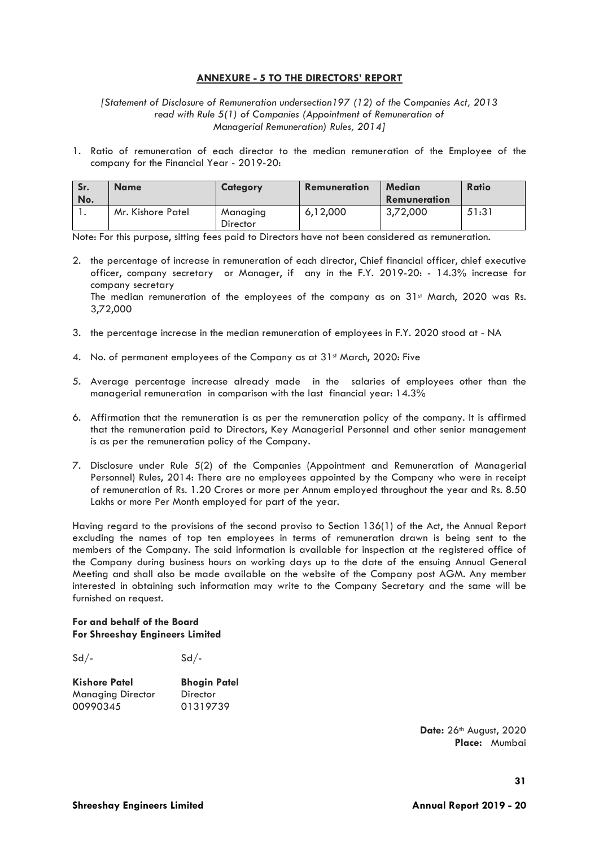# **ANNEXURE - 5 TO THE DIRECTORS' REPORT**

*[Statement of Disclosure of Remuneration undersection197 (12) of the Companies Act, 2013 read with Rule 5(1) of Companies (Appointment of Remuneration of Managerial Remuneration) Rules, 2014]*

1. Ratio of remuneration of each director to the median remuneration of the Employee of the company for the Financial Year - 2019-20:

| Sr.<br>No. | <b>Name</b>       | <b>Category</b>             | <b>Remuneration</b> | <b>Median</b><br>Remuneration | Ratio |
|------------|-------------------|-----------------------------|---------------------|-------------------------------|-------|
|            | Mr. Kishore Patel | Managing<br><b>Director</b> | 6.12.000            | 3,72,000                      | 51:31 |

Note: For this purpose, sitting fees paid to Directors have not been considered as remuneration.

2. the percentage of increase in remuneration of each director, Chief financial officer, chief executive officer, company secretary or Manager, if any in the F.Y. 2019-20: - 14.3% increase for company secretary The median remuneration of the employees of the company as on  $31<sup>st</sup>$  March, 2020 was Rs.

3,72,000

- 3. the percentage increase in the median remuneration of employees in F.Y. 2020 stood at NA
- 4. No. of permanent employees of the Company as at 31st March, 2020: Five
- 5. Average percentage increase already made in the salaries of employees other than the managerial remuneration in comparison with the last financial year: 14.3%
- 6. Affirmation that the remuneration is as per the remuneration policy of the company. It is affirmed that the remuneration paid to Directors, Key Managerial Personnel and other senior management is as per the remuneration policy of the Company.
- 7. Disclosure under Rule 5(2) of the Companies (Appointment and Remuneration of Managerial Personnel) Rules, 2014: There are no employees appointed by the Company who were in receipt of remuneration of Rs. 1.20 Crores or more per Annum employed throughout the year and Rs. 8.50 Lakhs or more Per Month employed for part of the year.

Having regard to the provisions of the second proviso to Section 136(1) of the Act, the Annual Report excluding the names of top ten employees in terms of remuneration drawn is being sent to the members of the Company. The said information is available for inspection at the registered office of the Company during business hours on working days up to the date of the ensuing Annual General Meeting and shall also be made available on the website of the Company post AGM. Any member interested in obtaining such information may write to the Company Secretary and the same will be furnished on request.

#### **For and behalf of the Board For Shreeshay Engineers Limited**

| $Sd/-$ | $Sd/-$ |
|--------|--------|
|--------|--------|

| <b>Kishore Patel</b> | <b>Bhogin Patel</b> |
|----------------------|---------------------|
| Managing Director    | Director            |
| 00990345             | 01319739            |

**Date:** 26th August, 2020 **Place:** Mumbai

**31**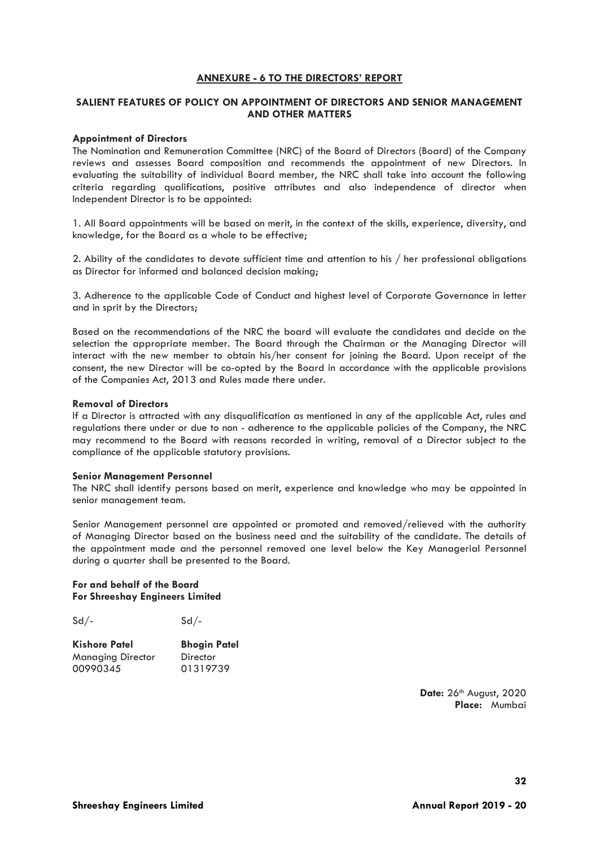#### **ANNEXURE - 6 TO THE DIRECTORS' REPORT**

#### **SALIENT FEATURES OF POLICY ON APPOINTMENT OF DIRECTORS AND SENIOR MANAGEMENT AND OTHER MATTERS**

#### **Appointment of Directors**

The Nomination and Remuneration Committee (NRC) of the Board of Directors (Board) of the Company reviews and assesses Board composition and recommends the appointment of new Directors. In evaluating the suitability of individual Board member, the NRC shall take into account the following criteria regarding qualifications, positive attributes and also independence of director when Independent Director is to be appointed:

1. All Board appointments will be based on merit, in the context of the skills, experience, diversity, and knowledge, for the Board as a whole to be effective;

2. Ability of the candidates to devote sufficient time and attention to his / her professional obligations as Director for informed and balanced decision making;

3. Adherence to the applicable Code of Conduct and highest level of Corporate Governance in letter and in sprit by the Directors;

Based on the recommendations of the NRC the board will evaluate the candidates and decide on the selection the appropriate member. The Board through the Chairman or the Managing Director will interact with the new member to obtain his/her consent for joining the Board. Upon receipt of the consent, the new Director will be co-opted by the Board in accordance with the applicable provisions of the Companies Act, 2013 and Rules made there under.

#### **Removal of Directors**

If a Director is attracted with any disqualification as mentioned in any of the applicable Act, rules and regulations there under or due to non - adherence to the applicable policies of the Company, the NRC may recommend to the Board with reasons recorded in writing, removal of a Director subject to the compliance of the applicable statutory provisions.

#### **Senior Management Personnel**

The NRC shall identify persons based on merit, experience and knowledge who may be appointed in senior management team.

Senior Management personnel are appointed or promoted and removed/relieved with the authority of Managing Director based on the business need and the suitability of the candidate. The details of the appointment made and the personnel removed one level below the Key Managerial Personnel during a quarter shall be presented to the Board.

#### **For and behalf of the Board For Shreeshay Engineers Limited**

 $Sd/-$ 

**Kishore Patel Bhogin Patel** Managing Director Director<br>00990345 01319739 00990345

> **Date:** 26th August, 2020 **Place:** Mumbai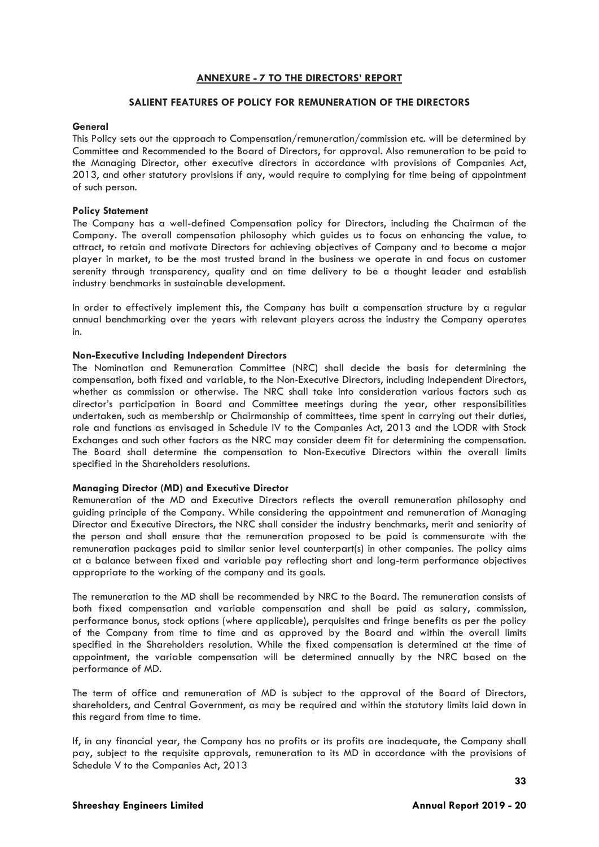#### **ANNEXURE - 7 TO THE DIRECTORS' REPORT**

#### **SALIENT FEATURES OF POLICY FOR REMUNERATION OF THE DIRECTORS**

#### **General**

This Policy sets out the approach to Compensation/remuneration/commission etc. will be determined by Committee and Recommended to the Board of Directors, for approval. Also remuneration to be paid to the Managing Director, other executive directors in accordance with provisions of Companies Act, 2013, and other statutory provisions if any, would require to complying for time being of appointment of such person.

#### **Policy Statement**

The Company has a well-defined Compensation policy for Directors, including the Chairman of the Company. The overall compensation philosophy which guides us to focus on enhancing the value, to attract, to retain and motivate Directors for achieving objectives of Company and to become a major player in market, to be the most trusted brand in the business we operate in and focus on customer serenity through transparency, quality and on time delivery to be a thought leader and establish industry benchmarks in sustainable development.

In order to effectively implement this, the Company has built a compensation structure by a regular annual benchmarking over the years with relevant players across the industry the Company operates in.

#### **Non-Executive Including Independent Directors**

The Nomination and Remuneration Committee (NRC) shall decide the basis for determining the compensation, both fixed and variable, to the Non-Executive Directors, including Independent Directors, whether as commission or otherwise. The NRC shall take into consideration various factors such as director's participation in Board and Committee meetings during the year, other responsibilities undertaken, such as membership or Chairmanship of committees, time spent in carrying out their duties, role and functions as envisaged in Schedule IV to the Companies Act, 2013 and the LODR with Stock Exchanges and such other factors as the NRC may consider deem fit for determining the compensation. The Board shall determine the compensation to Non-Executive Directors within the overall limits specified in the Shareholders resolutions.

#### **Managing Director (MD) and Executive Director**

Remuneration of the MD and Executive Directors reflects the overall remuneration philosophy and guiding principle of the Company. While considering the appointment and remuneration of Managing Director and Executive Directors, the NRC shall consider the industry benchmarks, merit and seniority of the person and shall ensure that the remuneration proposed to be paid is commensurate with the remuneration packages paid to similar senior level counterpart(s) in other companies. The policy aims at a balance between fixed and variable pay reflecting short and long-term performance objectives appropriate to the working of the company and its goals.

The remuneration to the MD shall be recommended by NRC to the Board. The remuneration consists of both fixed compensation and variable compensation and shall be paid as salary, commission, performance bonus, stock options (where applicable), perquisites and fringe benefits as per the policy of the Company from time to time and as approved by the Board and within the overall limits specified in the Shareholders resolution. While the fixed compensation is determined at the time of appointment, the variable compensation will be determined annually by the NRC based on the performance of MD.

The term of office and remuneration of MD is subject to the approval of the Board of Directors, shareholders, and Central Government, as may be required and within the statutory limits laid down in this regard from time to time.

If, in any financial year, the Company has no profits or its profits are inadequate, the Company shall pay, subject to the requisite approvals, remuneration to its MD in accordance with the provisions of Schedule V to the Companies Act, 2013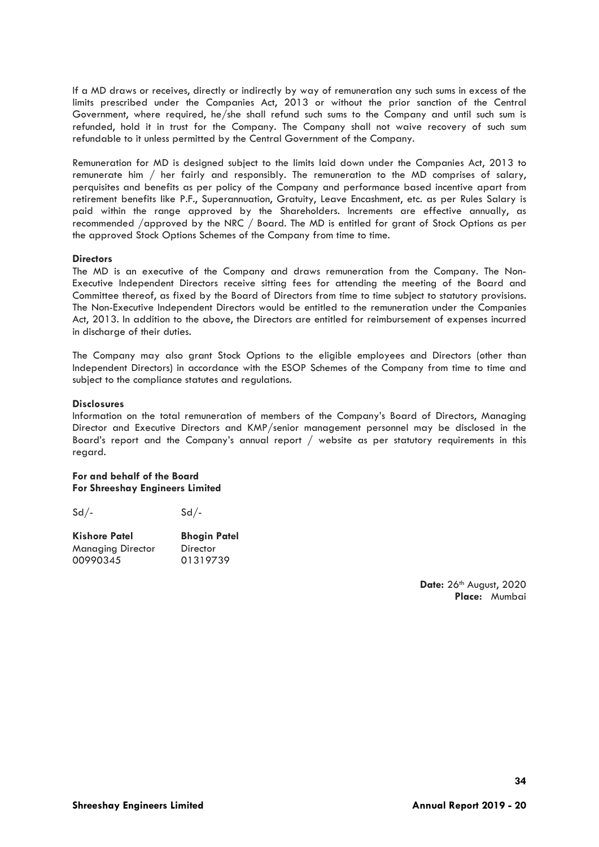If a MD draws or receives, directly or indirectly by way of remuneration any such sums in excess of the limits prescribed under the Companies Act, 2013 or without the prior sanction of the Central Government, where required, he/she shall refund such sums to the Company and until such sum is refunded, hold it in trust for the Company. The Company shall not waive recovery of such sum refundable to it unless permitted by the Central Government of the Company.

Remuneration for MD is designed subject to the limits laid down under the Companies Act, 2013 to remunerate him / her fairly and responsibly. The remuneration to the MD comprises of salary, perquisites and benefits as per policy of the Company and performance based incentive apart from retirement benefits like P.F., Superannuation, Gratuity, Leave Encashment, etc. as per Rules Salary is paid within the range approved by the Shareholders. Increments are effective annually, as recommended /approved by the NRC / Board. The MD is entitled for grant of Stock Options as per the approved Stock Options Schemes of the Company from time to time.

#### **Directors**

The MD is an executive of the Company and draws remuneration from the Company. The Non-Executive Independent Directors receive sitting fees for attending the meeting of the Board and Committee thereof, as fixed by the Board of Directors from time to time subject to statutory provisions. The Non-Executive Independent Directors would be entitled to the remuneration under the Companies Act, 2013. In addition to the above, the Directors are entitled for reimbursement of expenses incurred in discharge of their duties.

The Company may also grant Stock Options to the eligible employees and Directors (other than Independent Directors) in accordance with the ESOP Schemes of the Company from time to time and subject to the compliance statutes and regulations.

#### **Disclosures**

Information on the total remuneration of members of the Company's Board of Directors, Managing Director and Executive Directors and KMP/senior management personnel may be disclosed in the Board's report and the Company's annual report / website as per statutory requirements in this regard.

#### **For and behalf of the Board For Shreeshay Engineers Limited**

 $Sd/ Sd/-$ 

| <b>Kishore Patel</b>     | <b>Bhogin Patel</b> |  |  |
|--------------------------|---------------------|--|--|
| <b>Managing Director</b> | Director            |  |  |
| 00990345                 | 01319739            |  |  |

**Date:** 26th August, 2020 **Place:** Mumbai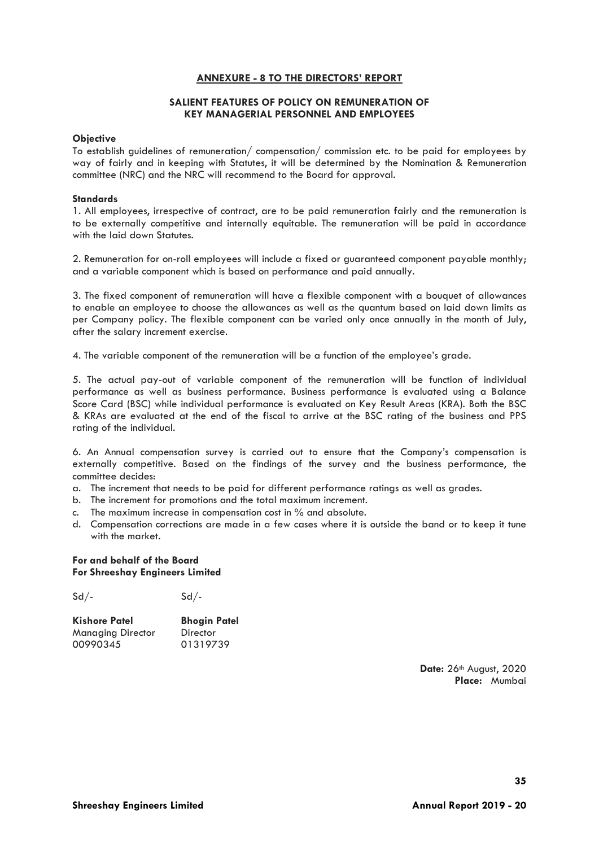# **ANNEXURE - 8 TO THE DIRECTORS' REPORT**

#### **SALIENT FEATURES OF POLICY ON REMUNERATION OF KEY MANAGERIAL PERSONNEL AND EMPLOYEES**

#### **Objective**

To establish guidelines of remuneration/ compensation/ commission etc. to be paid for employees by way of fairly and in keeping with Statutes, it will be determined by the Nomination & Remuneration committee (NRC) and the NRC will recommend to the Board for approval.

#### **Standards**

1. All employees, irrespective of contract, are to be paid remuneration fairly and the remuneration is to be externally competitive and internally equitable. The remuneration will be paid in accordance with the laid down Statutes.

2. Remuneration for on-roll employees will include a fixed or guaranteed component payable monthly; and a variable component which is based on performance and paid annually.

3. The fixed component of remuneration will have a flexible component with a bouquet of allowances to enable an employee to choose the allowances as well as the quantum based on laid down limits as per Company policy. The flexible component can be varied only once annually in the month of July, after the salary increment exercise.

4. The variable component of the remuneration will be a function of the employee's grade.

5. The actual pay-out of variable component of the remuneration will be function of individual performance as well as business performance. Business performance is evaluated using a Balance Score Card (BSC) while individual performance is evaluated on Key Result Areas (KRA). Both the BSC & KRAs are evaluated at the end of the fiscal to arrive at the BSC rating of the business and PPS rating of the individual.

6. An Annual compensation survey is carried out to ensure that the Company's compensation is externally competitive. Based on the findings of the survey and the business performance, the committee decides:

- a. The increment that needs to be paid for different performance ratings as well as grades.
- b. The increment for promotions and the total maximum increment.
- c. The maximum increase in compensation cost in % and absolute.
- d. Compensation corrections are made in a few cases where it is outside the band or to keep it tune with the market.

#### **For and behalf of the Board For Shreeshay Engineers Limited**

 $Sd/-$ 

| <b>Kishore Patel</b>     | <b>Bhogin Patel</b> |  |  |
|--------------------------|---------------------|--|--|
| <b>Managing Director</b> | Director            |  |  |
| 00990345                 | 01319739            |  |  |

**Date:** 26th August, 2020 **Place:** Mumbai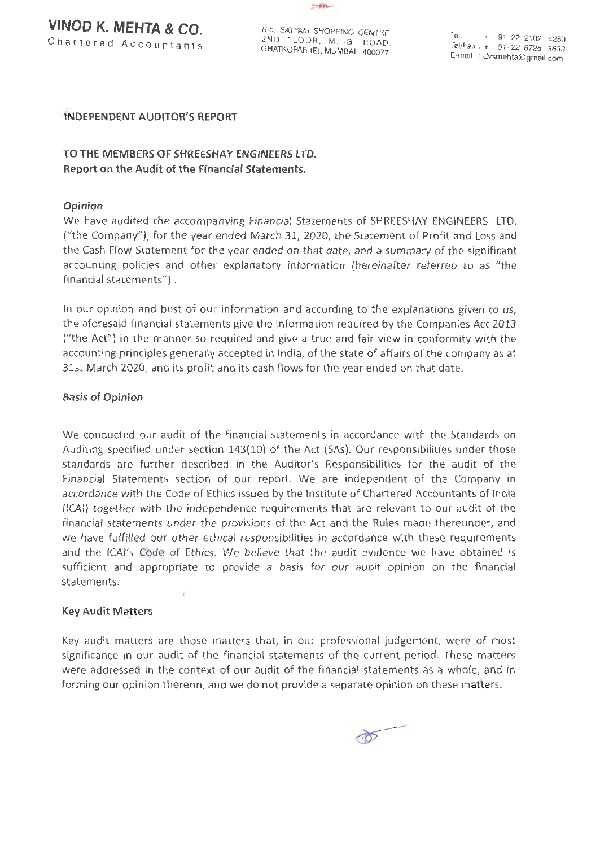**VINOD K. MEHTA & CO.** Chartered Accountants



8-5, SATYAM SHOPPING CENTRE 2ND FLOOR, M. G. ROAD, GHATKOPAR (E), MUMBAI - 400077:

Tel.  $+ 91 - 22 2102 4280$ Tel/Fax : + 91 -22 6725 5633 E-mail : dvsmehta@gmail.com

# INDEPENDENT AUDITOR'S REPORT

# TO THE MEMBERS OF SHREESHAY ENGINEERS LTD. Report on the Audit of the Financial Statements.

# Opinion

We have audited the accompanying Financial Statements of SHREESHAY ENGINEERS LTD. ("the Company"), for the year ended March 31, 2020, the Statement of Profit and Loss and the Cash Flow Statement for the year ended on that date, and a summary of the significant accounting policies and other explanatory information (hereinafter referred to as "the financial statements") .

In our opinion and best of our information and according to the explanations given to us, the aforesaid financial statements give the information required by the Companies Act 2013 ("the Act") in the manner so required and give a true and fair view in conformity with the accounting principles generally accepted in India, of the state of affairs of the company as at 31st March 2020, and its profit and its cash flows for the year ended on that date.

#### Basis of Opinion

We conducted our audit of the financial statements in accordance with the Standards on Auditing specified under section 143(10) of the Act (SAs). Our responsibilities under those standards are further described in the Auditor's Responsibilities for the audit of the Financial Statements section of our report. We are independent of the Company in accordance with the Code of Ethics issued by the Institute of Chartered Accountants of India (ICAI) together with the independence requirements that are relevant to our audit of the financial statements under the provisions of the Act and the Rules made thereunder, and we have fulfilled our other ethical responsibilities in accordance with these requirements and the ICAI's Code of Ethics. We believe that the audit evidence we have obtained is sufficient and appropriate to provide a basis for our audit opinion on the financial statements.

# Key Audit Matters

 $\bar{L}$ 

Key audit matters are those matters that, in our professional judgement, were of most significance in our audit of the financial statements of the current period. These matters were addressed in the context of our audit of the financial statements as a whole, and in forming our opinion thereon, and we do not provide a separate opinion on these matters.

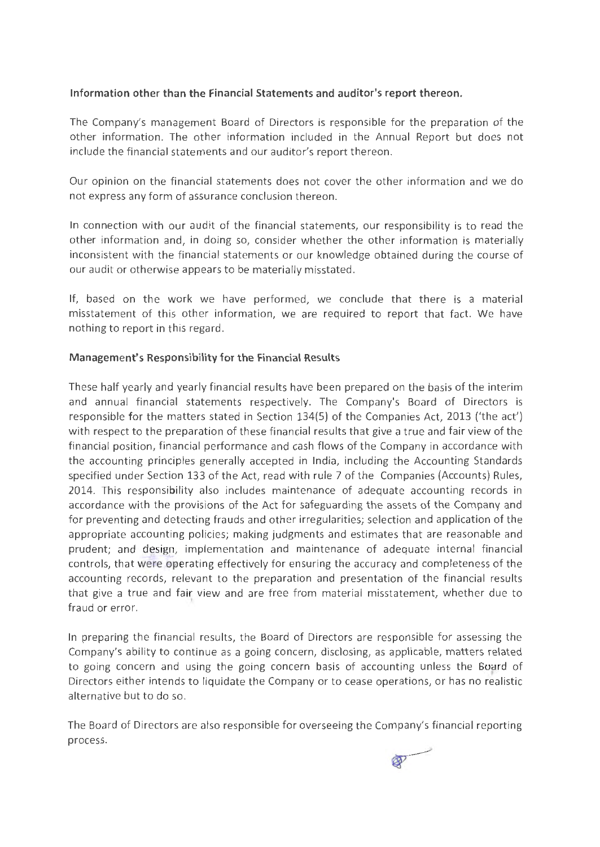# **Information other than the Financial Statements and auditor's report thereon.**

The Company's management Board of Directors is responsible for the preparation of the other information. The other information included in the Annual Report but does not include the financial statements and our auditor's report thereon.

Our opinion on the financial statements does not cover the other information and we do not express any form of assurance conclusion thereon.

In connection with our audit of the financial statements, our responsibility is to read the other information and, in doing so, consider whether the other information is materially inconsistent with the financial statements or our knowledge obtained during the course of our audit or otherwise appears to be materially misstated.

If, based on the work we have performed, we conclude that there is a material misstatement of this other information, we are required to report that fact. We have nothing to report in this regard.

# **Management's Responsibility for the Financial Results**

These half yearly and yearly financial results have been prepared on the basis of the interim and annual financial statements respectively. The Company's Board of Directors is responsible for the matters stated in Section 134(5) of the Companies Act, 2013 ('the act') with respect to the preparation of these financial results that give a true and fair view of the financial position, financial performance and cash flows of the Company in accordance with the accounting principles generally accepted in India, including the Accounting Standards specified under Section 133 of the Act, read with rule 7 of the Companies (Accounts) Rules, 2014. This responsibility also includes maintenance of adequate accounting records in accordance with the provisions of the Act for safeguarding the assets of the Company and for preventing and detecting frauds and other irregularities; selection and application of the appropriate accounting policies; making judgments and estimates that are reasonable and prudent; and design, implementation and maintenance of adequate internal financial controls, that were operating effectively for ensuring the accuracy and completeness of the accounting records, relevant to the preparation and presentation of the financial results that give a true and fair view and are free from material misstatement, whether due to fraud or error.

In preparing the financial results, the Board of Directors are responsible for assessing the Company's ability to continue as a going concern, disclosing, as applicable, matters related to going concern and using the going concern basis of accounting unless the Board of Directors either intends to liquidate the Company or to cease operations, or has no realistic alternative but to do so.

The Board of Directors are also responsible for overseeing the Company's financial reporting process.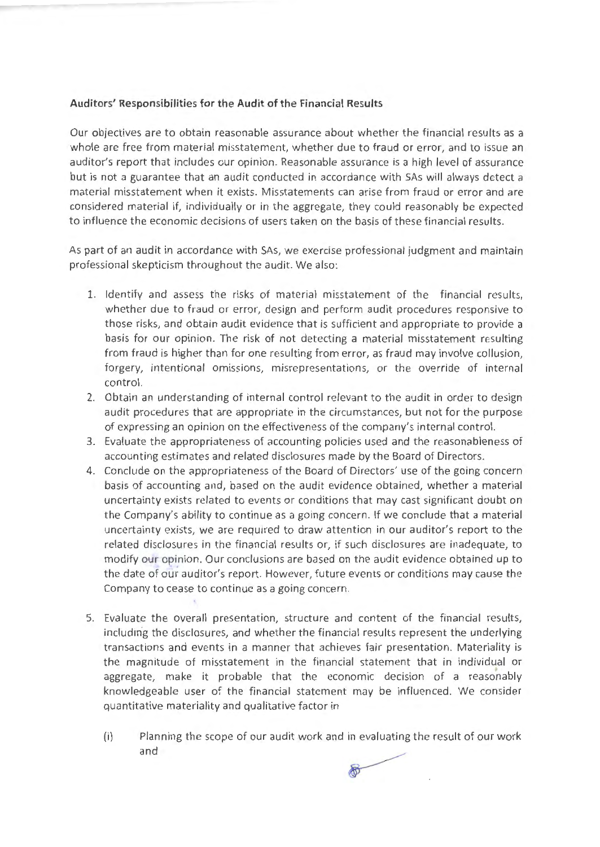# **Auditors' Responsibilities for the Audit of the Financial Results**

Our objectives are to obtain reasonable assurance about whether the financial results as a whole are free from material misstatement, whether due to fraud or error, and to issue an auditor's report that includes our opinion. Reasonable assurance is a high level of assurance but is not a guarantee that an audit conducted in accordance with SAs will always detect a material misstatement when it exists. Misstatements can arise from fraud or error and are considered material if, individually or in the aggregate, they could reasonably be expected to influence the economic decisions of users taken on the basis of these financial results.

As part of an audit in accordance with SAs, we exercise professional judgment and maintain professional skepticism throughout the audit. We also:

- 1. Identify and assess the risks of material misstatement of the financial results, whether due to fraud or error, design and perform audit procedures responsive to those risks, and obtain audit evidence that is sufficient and appropriate to provide a basis for our opinion. The risk of not detecting a material misstatement resulting from fraud is higher than for one resulting from error, as fraud may involve collusion, forgery, intentional omissions, misrepresentations, or the override of internal control.
- 2. Obtain an understanding of internal control relevant to the audit in order to design audit procedures that are appropriate in the circumstances, but not for the purpose of expressing an opinion on the effectiveness of the company's internal control.
- 3. Evaluate the appropriateness of accounting policies used and the reasonableness of accounting estimates and related disclosures made by the Board of Directors.
- 4. Conclude on the appropriateness of the Board of Directors' use of the going concern basis of accounting and, based on the audit evidence obtained, whether a material uncertainty exists related to events or conditions that may cast significant doubt on the Company's ability to continue as a going concern. If we conclude that a material uncertainty exists, we are required to draw attention in our auditor's report to the related disclosures in the financial results or, if such disclosures are inadequate, to modify our opinion. Our conclusions are based on the audit evidence obtained up to the date of our auditor's report. However, future events or conditions may cause the Company to cease to continue as a going concern.
- 5. Evaluate the overall presentation, structure and content of the financial results, including the disclosures, and whether the financial results represent the underlying transactions and events in a manner that achieves fair presentation. Materiality is the magnitude of misstatement in the financial statement that in individual or aggregate, make it probable that the economic decision of a reasonably knowledgeable user of the financial statement may be influenced. We consider quantitative materiality and qualitative factor in
	- (i) Planning the scope of our audit work and in evaluating the result of our work and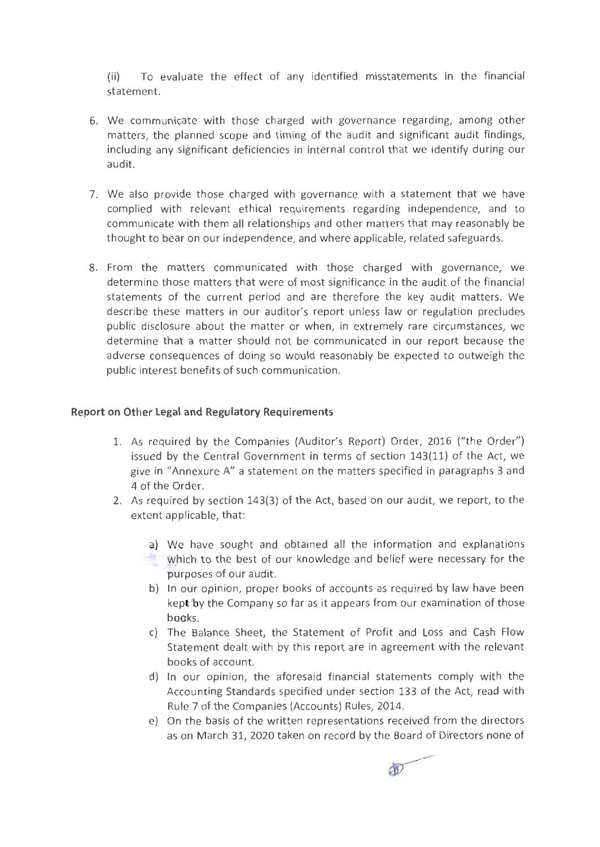(ii) To evaluate the effect of any identified misstatements in the financial statement.

- 6. We communicate with those charged with governance regarding, among other matters, the planned scope and timing of the audit and significant audit findings, including any significant deficiencies in internal control that we identify during our audit.
- 7. We also provide those charged with governance with a statement that we have complied with relevant ethical requirements regarding independence, and to communicate with them all relationships and other matters that may reasonably be thought to bear on our independence, and where applicable, related safeguards.
- 8. From the matters communicated with those charged with governance, we determine those matters that were of most significance in the audit of the financial statements of the current period and are therefore the key audit matters. We describe these matters in our auditor's report unless law or regulation precludes public disclosure about the matter or when, in extremely rare circumstances, we determine that a matter should not be communicated in our report because the adverse consequences of doing so would reasonably be expected to outweigh the public interest benefits of such communication.

# **Report on Other Legal and Regulatory Requirements**

- 1. As required by the Companies (Auditor's Report) Order, 2016 ("the Order") issued by the Central Government in terms of section 143(11) of the Act, we give in "Annexure A" a statement on the matters specified in paragraphs 3 and 4 of the Order.
- 2. As required by section 143(3) of the Act, based on our audit, we report, to the extent applicable, that:
	- a) We have sought and obtained all the information and explanations
	- which to the best of our knowledge and belief were necessary for the purposes of our audit.
	- b) In our opinion, proper books of accounts as required by law have been kept by the Company so far as it appears from our examination of those books.
	- c) The Balance Sheet, the Statement of Profit and Loss and Cash Flow Statement dealt with by this report are in agreement with the relevant books of account.
	- d) In our opinion, the aforesaid financial statements comply with the Accounting Standards specified under section 133 of the Act, read with Rule 7 of the Companies (Accounts) Rules, 2014.
	- e) On the basis of the written representations received from the directors as on March 31, 2020 taken on record by the Board of Directors none of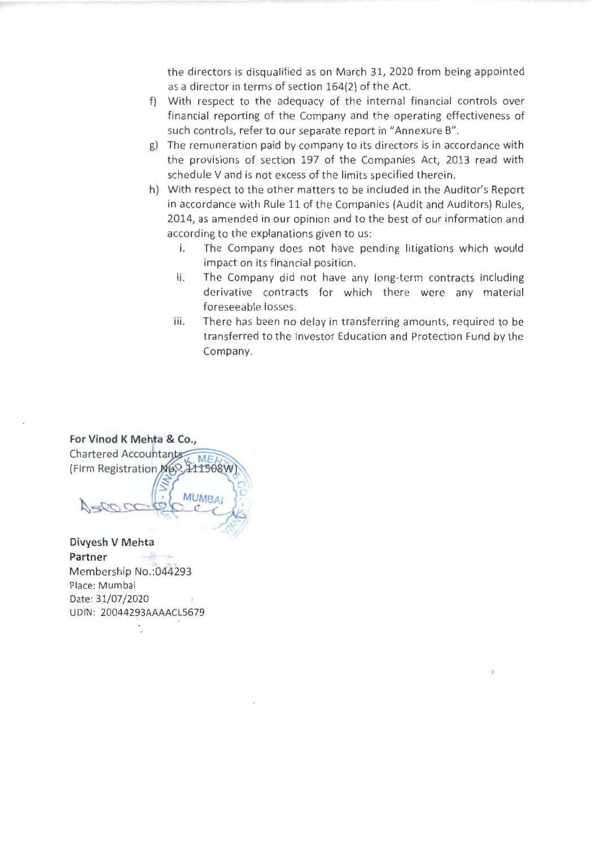the directors is disqualified as on March 31, 2020 from being appointed as a director in terms of section 164(2} of the Act.

- f) With respect to the adequacy of the internal financial controls over financial reporting of the Company and the operating effectiveness of such controls, refer to our separate report in "Annexure B".
- g) The remuneration paid by company to its directors is in accordance with the provisions of section 197 of the Companies Act, 2013 read with schedule V and is not excess of the limits specified therein.
- h) With respect to the other matters to be included in the Auditor's Report in accordance with Rule 11 of the Companies (Audit and Auditors} Rules, 2014, as amended in our opinion and to the best of our information and according to the explanations given to us:
	- i. The Company does not have pending litigations which would impact on its financial position.
	- ii. The Company did not have any long-term contracts including derivative contracts for which there were any material foreseeable losses.
	- iii. There has been no delay in transferring amounts, required to be transferred to the Investor Education and Protection Fund by the Company.



**Partner**  Membership No.:044293 Place: Mumbai Date: 31/07/2020 UDIN: 20044293AAAACL5679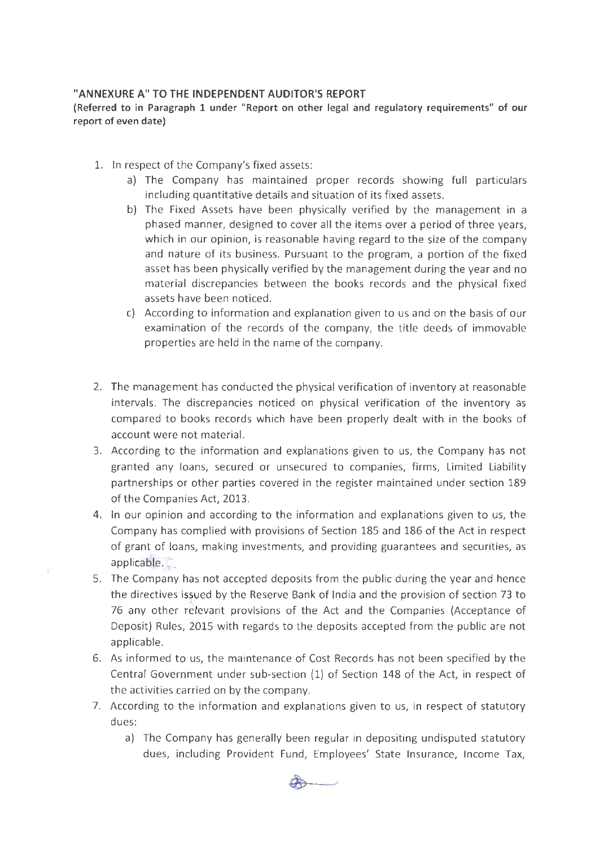# "ANNEXURE A" TO THE INDEPENDENT AUDITOR'S REPORT

(Referred to in Paragraph 1 under "Report on other legal and regulatory requirements" of our report of even date)

- 1. In respect of the Company's fixed assets:
	- a) The Company has maintained proper records showing full particulars including quantitative details and situation of its fixed assets.
	- b) The Fixed Assets have been physically verified by the management in a phased manner, designed to cover all the items over a period of three years, which in our opinion, is reasonable having regard to the size of the company and nature of its business. Pursuant to the program, a portion of the fixed asset has been physically verified by the management during the year and no material discrepancies between the books records and the physical fixed assets have been noticed.
	- c) According to information and explanation given to us and on the basis of our examination of the records of the company, the title deeds of immovable properties are held in the name of the company.
- 2. The management has conducted the physical verification of inventory at reasonable intervals. The discrepancies noticed on physical verification of the inventory as compared to books records which have been properly dealt with in the books of account were not material.
- 3. According to the information and explanations given to us, the Company has not granted any loans, secured or unsecured to companies, firms, Limited Liability partnerships or other parties covered in the register maintained under section 189 of the Companies Act, 2013.
- 4. In our opinion and according to the information and explanations given to us, the Company has complied with provisions of Section 185 and 186 of the Act in respect of grant of loans, making investments, and providing guarantees and securities, as applicable.
- 5. The Company has not accepted deposits from the public during the year and hence the directives issued by the Reserve Bank of India and the provision of section 73 to 76 any other relevant provisions of the Act and the Companies (Acceptance of Deposit) Rules, 2015 with regards to the deposits accepted from the public are not applicable.
- 6. As informed to us, the maintenance of Cost Records has not been specified by the Central Government under sub-section (1) of Section 148 of the Act, in respect of the activities carried on by the company.
- 7. According to the information and explanations given to us, in respect of statutory dues:
	- a) The Company has generally been regular in depositing undisputed statutory dues, including Provident Fund, Employees' State Insurance, Income Tax,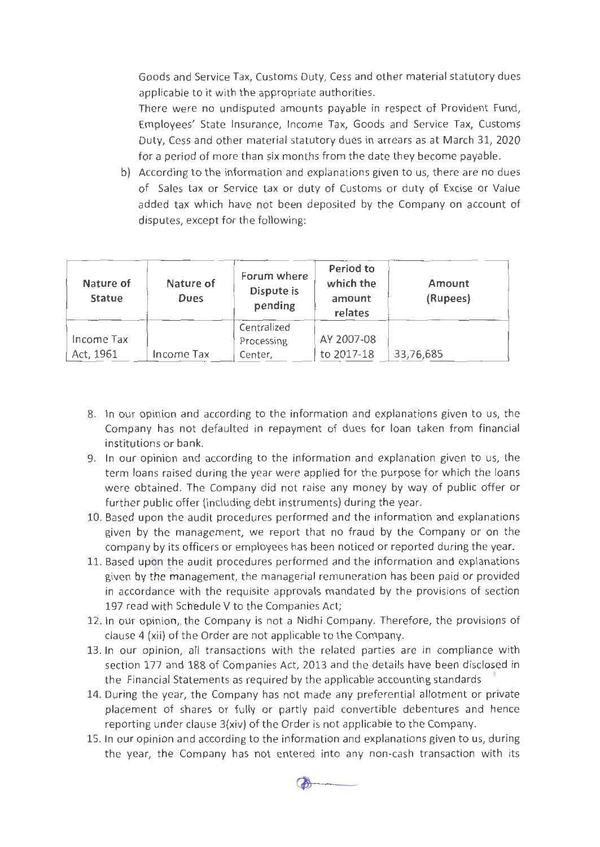Goods and Service Tax, Customs Duty, Cess and other material statutory dues applicable to it with the appropriate authorities.

There were no undisputed amounts payable in respect of Provident Fund, Employees' State Insurance, Income Tax, Goods and Service Tax, Customs Duty, Cess and other material statutory dues in arrears as at March 31, 2020 for a period of more than six months from the date they become payable.

b) According to the information and explanations given to us, there are no dues of Sales tax or Service tax or duty of Customs or duty of Excise or Value added tax which have not been deposited by the Company on account of disputes, except for the following:

| Nature of<br><b>Statue</b> | Nature of<br>Dues | Forum where<br>Dispute is<br>pending | Period to<br>which the<br>amount<br>relates | Amount<br>(Rupees) |
|----------------------------|-------------------|--------------------------------------|---------------------------------------------|--------------------|
| Income Tax<br>Act, 1961    | Income Tax        | Centralized<br>Processing<br>Center, | AY 2007-08<br>to 2017-18                    | 33,76,685          |

- 8. In our opinion and according to the information and explanations given to us, the Company has not defaulted in repayment of dues for loan taken from financial institutions or bank.
- 9. In our opinion and according to the information and explanation given to us, the term loans raised during the year were applied for the purpose for which the loans were obtained. The Company did not raise any money by way of public offer or further public offer (including debt instruments) during the year.
- 10. Based upon the audit procedures performed and the information and explanations given by the management, we report that no fraud by the Company or on the company by its officers or employees has been noticed or reported during the year.
- 11. Based upon the audit procedures performed and the information and explanations given by the management, the managerial remuneration has been paid or provided in accordance with the requisite approvals mandated by the provisions of section 197 read with Schedule V to the Companies Act;
- 12. In our opinion, the Company is not a Nidhi Company. Therefore, the provisions of clause 4 (xii) of the Order are not applicable to the Company.
- 13. In our opinion, all transactions with the related parties are in compliance with section 177 and 188 of Companies Act, 2013 and the details have been disclosed in the Financial Statements as required by the applicable accounting standards
- 14. During the year, the Company has not made any preferential allotment or private placement of shares or fully or partly paid convertible debentures and hence reporting under clause 3{xiv) of the Order is not applicable to the Company.
- 15. In our opinion and according to the information and explanations given to us, during the year, the Company has not entered into any non-cash transaction with its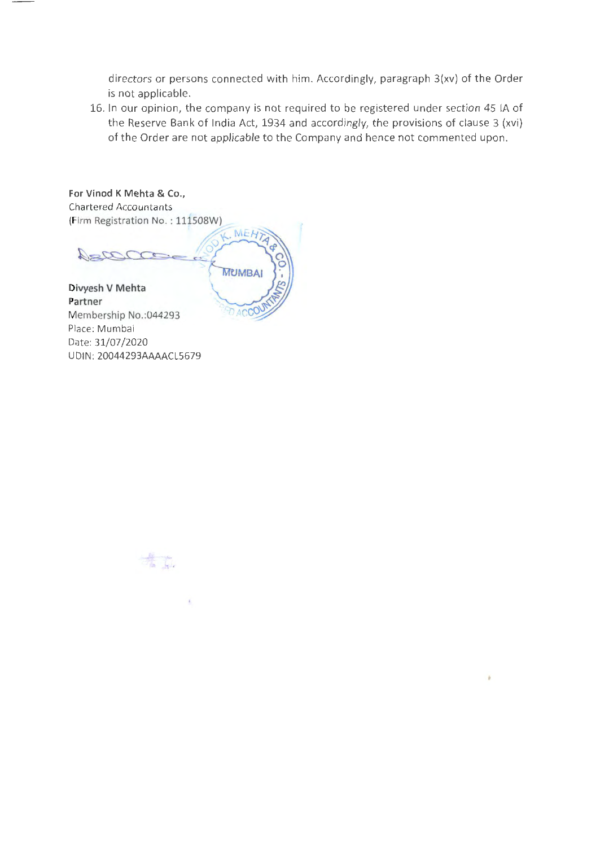directors or persons connected with him. Accordingly, paragraph 3(xv) of the Order is not applicable.

16. In our opinion, the company is not required to be registered under section 45 lA of the Reserve Bank of India Act, 1934 and accordingly, the provisions of clause 3 (xvi) of the Order are not applicable to the Company and hence not commented upon.

**For Vinod K Mehta** & Co., **Chartered Accountants** (Firm Registration No.: 111508W) **MEH7** Daza **MUMBAI Divyesh V Mehta Partner**  DACCO Membership No.:044293 Place: Mumbai

Date: 31/07/2020

UDIN: 20044293AAAACL5679

精神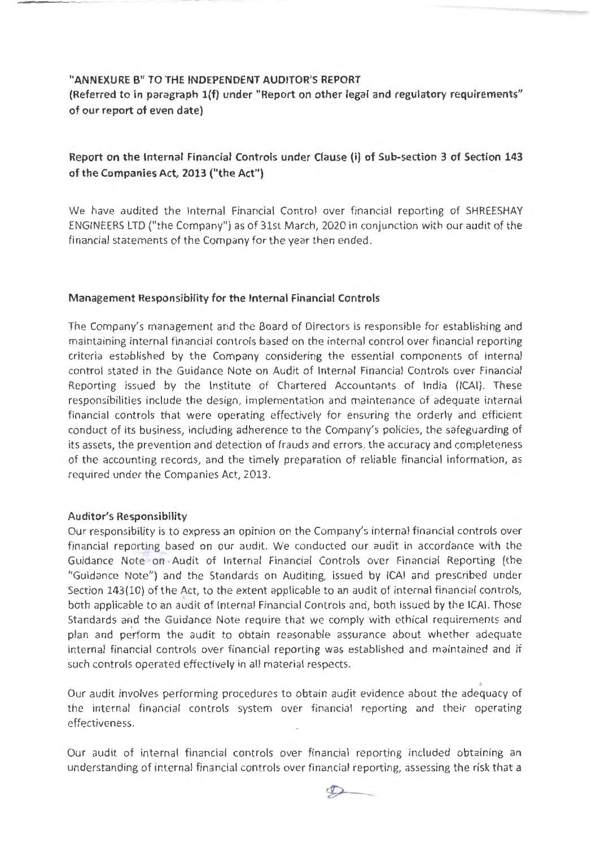#### **"ANNEXURE B" TO THE INDEPENDENT AUDITOR'S REPORT**

**(Referred to in paragraph l{f) under "Report on other legal and regulatory requirements" of our report of even date)** 

# **Report on the Internal Financial Controls under Clause (i) of Sub-section 3 of Section 143 of the Companies Act, 2013 ("the Act")**

We have audited the Internal Financial Control over financial reporting of SHREESHAY ENGINEERS LTD ("the Company") as of 31st March, 2020 in conjunction with our audit of the financial statements of the Company for the year then ended.

# **Management Responsibility for the Internal Financial Controls**

The Company's management and the Board of Directors is responsible for establishing and maintaining internal financial controls based on the internal control over financial reporting criteria established by the Company considering the essential components of internal control stated in the Guidance Note on Audit of Internal Financial Controls over Financial Reporting issued by the Institute of Chartered Accountants of India (ICAI). These responsibilities include the design, implementation and maintenance of adequate internal financial controls that were operating effectively for ensuring the orderly and efficient conduct of its business, including adherence to the Company's policies, the safeguarding of its assets, the prevention and detection of frauds and errors, the accuracy and completeness of the accounting records, and the timely preparation of reliable financial information, as required under the Companies Act, 2013.

#### **Auditor's Responsibility**

Our responsibility is to express an opinion on the Company's internal financial controls over financial reporting based on our audit. We conducted our audit in accordance with the Guidance Note on . Audit of Internal Financial Controls over Financial Reporting (the "Guidance Note") and the Standards on Auditing, issued by ICAI and prescribed under Section 143(10) of the Act, to the extent applicable to an audit of internal financial controls, both applicable to an audit of Internal Financial Controls and, both issued by the ICAI. Those Standards and the Guidance Note require that we comply with ethical requirements and plan and perform the audit to obtain reasonable assurance about whether adequate internal financial controls over financial reporting was established and maintained and if such controls operated effectively in all material respects.

Our audit involves performing procedures to obtain audit evidence about the adequacy of the internal financial controls system over financial reporting and their operating effectiveness.

Our audit of internal financial controls over financial reporting included obtaining an understanding of internal financial controls over financial reporting, assessing the risk that a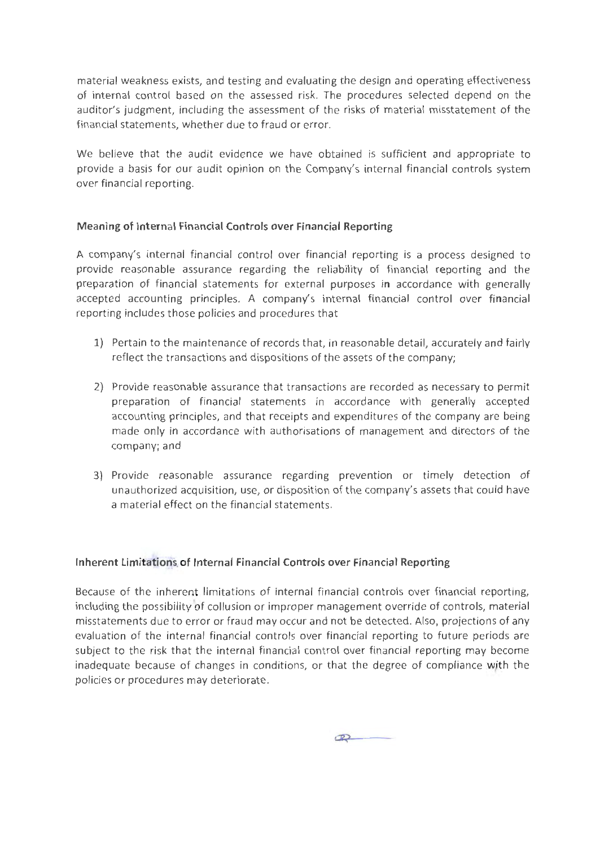material weakness exists, and testing and evaluating the design and operating effectiveness of internal control based on the assessed risk. The procedures selected depend on the auditor's judgment, including the assessment of the risks of material misstatement of the financial statements, whether due to fraud or error.

We believe that the audit evidence we have obtained is sufficient and appropriate to provide a basis for our audit opinion on the Company's internal financial controls system over financial reporting.

# **Meaning of Internal Financial Controls over Financial Reporting**

A company's internal financial control over financial reporting is a process designed to provide reasonable assurance regarding the reliability of financial reporting and the preparation of financial statements for external purposes in accordance with generally accepted accounting principles. A company's internal financial control over financial reporting includes those policies and procedures that

- 1) Pertain to the maintenance of records that, in reasonable detail, accurately and fairly reflect the transactions and dispositions of the assets of the company;
- 2) Provide reasonable assurance that transactions are recorded as necessary to permit preparation of financial statements in accordance with generally accepted accounting principles, and that receipts and expenditures of the company are being made only in accordance with authorisations of management and directors of the company; and
- 3) Provide reasonable assurance regarding prevention or timely detection of unauthorized acquisition, use, or disposition of the company's assets that could have a material effect on the financial statements.

# **Inherent Limitations. of Internal Financial Controls over Financial Reporting**

Because of the inherent limitations of internal financial controls over financial reporting, including the possibility of collusion or improper management override of controls, material misstatements due to error or fraud may occur and not be detected. Also, projections of any evaluation of the internal financial controls over financial reporting to future periods are subject to the risk that the internal financial control over financial reporting may become inadequate because of changes in conditions, or that the degree of compliance with the policies or procedures may deteriorate.

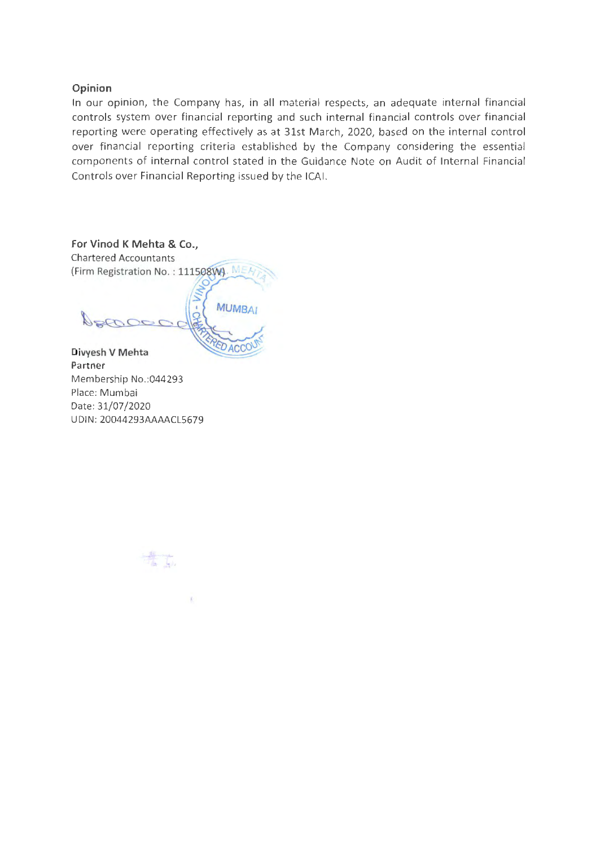# **Opinion**

In our opinion, the Company has, in all material respects, an adequate internal financial controls system over financial reporting and such internal financial controls over financial reporting were operating effectively as at 31st March, 2020, based on the internal control over financial reporting criteria established by the Company considering the essential components of internal control stated in the Guidance Note on Audit of Internal Financial Controls over Financial Reporting issued by the ICAI.



Membership No.:044293 Place: Mumbai Date: 31/07/2020 UDIN: 20044293AAAACLS679



 $\mathcal{F}$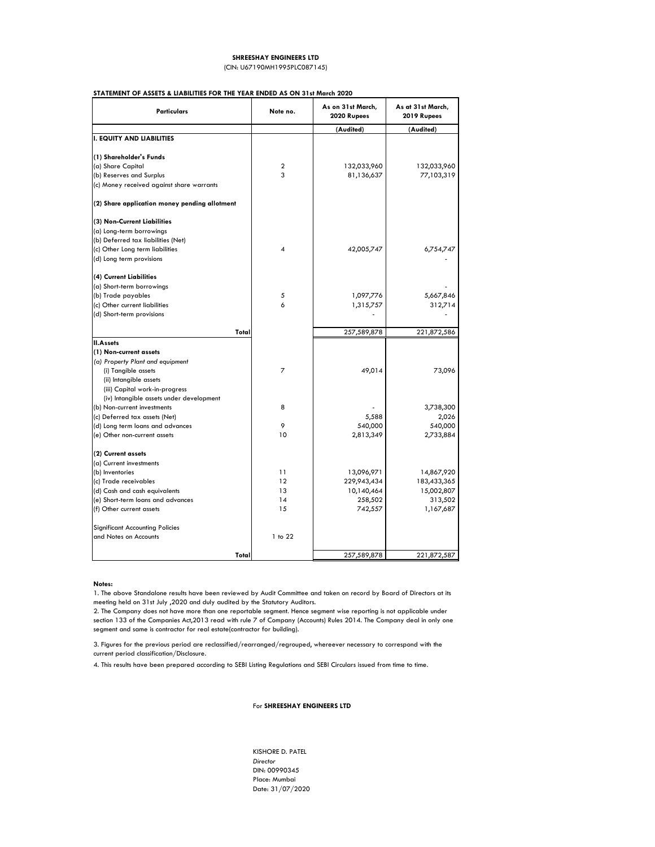## **STATEMENT OF ASSETS & LIABILITIES FOR THE YEAR ENDED AS ON 31st March 2020**

| Particulars                                   | Note no.       | As on 31st March,<br>2020 Rupees | As at 31st March,<br>2019 Rupees |  |
|-----------------------------------------------|----------------|----------------------------------|----------------------------------|--|
|                                               |                | (Audited)                        | (Audited)                        |  |
| <b>I. EQUITY AND LIABILITIES</b>              |                |                                  |                                  |  |
| (1) Shareholder's Funds                       |                |                                  |                                  |  |
| (a) Share Capital                             | 2              | 132,033,960                      | 132,033,960                      |  |
| (b) Reserves and Surplus                      | 3              | 81,136,637                       | 77,103,319                       |  |
| (c) Money received against share warrants     |                |                                  |                                  |  |
| (2) Share application money pending allotment |                |                                  |                                  |  |
| (3) Non-Current Liabilities                   |                |                                  |                                  |  |
| (a) Long-term borrowings                      |                |                                  |                                  |  |
| (b) Deferred tax liabilities (Net)            |                |                                  |                                  |  |
| (c) Other Long term liabilities               | 4              | 42,005,747                       | 6,754,747                        |  |
| (d) Long term provisions                      |                |                                  |                                  |  |
| (4) Current Liabilities                       |                |                                  |                                  |  |
| (a) Short-term borrowings                     |                |                                  |                                  |  |
| (b) Trade payables                            | 5              | 1,097,776                        | 5,667,846                        |  |
| (c) Other current liabilities                 | 6              | 1,315,757                        | 312,714                          |  |
| (d) Short-term provisions                     |                |                                  |                                  |  |
| Total                                         |                | 257,589,878                      | 221,872,586                      |  |
| <b>II.Assets</b>                              |                |                                  |                                  |  |
| (1) Non-current assets                        |                |                                  |                                  |  |
| (a) Property Plant and equipment              |                |                                  |                                  |  |
| (i) Tangible assets                           | $\overline{7}$ | 49,014                           | 73,096                           |  |
| (ii) Intangible assets                        |                |                                  |                                  |  |
| (iii) Capital work-in-progress                |                |                                  |                                  |  |
| (iv) Intangible assets under development      |                |                                  |                                  |  |
| (b) Non-current investments                   | 8              |                                  | 3,738,300                        |  |
| (c) Deferred tax assets (Net)                 |                | 5,588                            | 2,026                            |  |
| (d) Long term loans and advances              | 9              | 540,000                          | 540,000                          |  |
| (e) Other non-current assets                  | 10             | 2,813,349                        | 2,733,884                        |  |
| (2) Current assets                            |                |                                  |                                  |  |
| (a) Current investments                       |                |                                  |                                  |  |
| (b) Inventories                               | 11             | 13,096,971                       | 14,867,920                       |  |
| (c) Trade receivables                         | 12             | 229,943,434                      | 183,433,365                      |  |
| (d) Cash and cash equivalents                 | 13             | 10,140,464                       | 15,002,807                       |  |
| (e) Short-term loans and advances             | 14             | 258,502                          | 313,502                          |  |
| (f) Other current assets                      | 15             | 742,557                          | 1,167,687                        |  |
| <b>Significant Accounting Policies</b>        |                |                                  |                                  |  |
| and Notes on Accounts                         | 1 to 22        |                                  |                                  |  |
| Total                                         |                | 257,589,878                      | 221,872,587                      |  |

**Notes:**

KISHORE D. PATEL *Director* DIN: 00990345 Place: Mumbai Date: 31/07/2020

# For **SHREESHAY ENGINEERS LTD**

4. This results have been prepared according to SEBI Listing Regulations and SEBI Circulars issued from time to time.

#### **SHREESHAY ENGINEERS LTD**

(CIN: U67190MH1995PLC087145)

1. The above Standalone results have been reviewed by Audit Committee and taken on record by Board of Directors at its meeting held on 31st July ,2020 and duly audited by the Statutory Auditors.

2. The Company does not have more than one reportable segment. Hence segment wise reporting is not applicable under section 133 of the Companies Act,2013 read with rule 7 of Company (Accounts) Rules 2014. The Company deal in only one

segment and same is contractor for real estate(contractor for building).

3. Figures for the previous period are reclassified/rearranged/regrouped, whereever necessary to correspond with the current period classification/Disclosure.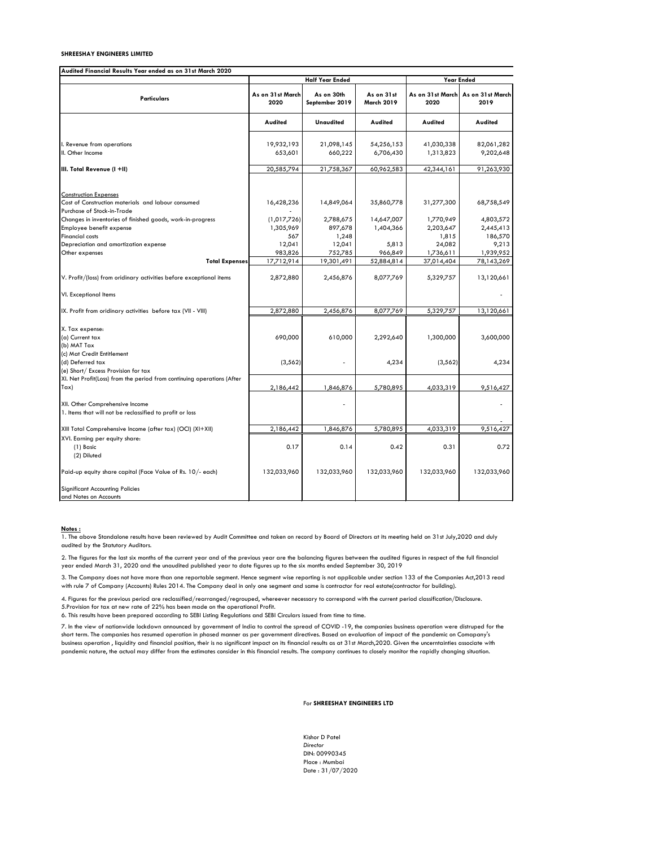| Audited Financial Results Year ended as on 31st March 2020                                  |                          |                              |                                 |                          |                          |
|---------------------------------------------------------------------------------------------|--------------------------|------------------------------|---------------------------------|--------------------------|--------------------------|
|                                                                                             |                          | <b>Half Year Ended</b>       |                                 |                          | <b>Year Ended</b>        |
| <b>Particulars</b>                                                                          | As on 31st March<br>2020 | As on 30th<br>September 2019 | As on 31st<br><b>March 2019</b> | As on 31st March<br>2020 | As on 31st March<br>2019 |
|                                                                                             | <b>Audited</b>           | <b>Unaudited</b>             | <b>Audited</b>                  | Audited                  | <b>Audited</b>           |
|                                                                                             |                          |                              |                                 |                          |                          |
| I. Revenue from operations                                                                  | 19,932,193               | 21,098,145                   | 54,256,153                      | 41,030,338               | 82,061,282               |
| II. Other Income                                                                            | 653,601                  | 660,222                      | 6,706,430                       | 1,313,823                | 9,202,648                |
| III. Total Revenue (I +II)                                                                  | 20,585,794               | 21,758,367                   | 60,962,583                      | 42,344,161               | 91,263,930               |
|                                                                                             |                          |                              |                                 |                          |                          |
| <b>Construction Expenses</b>                                                                |                          |                              |                                 |                          |                          |
| Cost of Construction materials and labour consumed                                          | 16,428,236               | 14,849,064                   | 35,860,778                      | 31,277,300               | 68,758,549               |
| Purchase of Stock-in-Trade                                                                  |                          |                              |                                 |                          |                          |
| Changes in inventories of finished goods, work-in-progress                                  | (1,017,726)              | 2,788,675                    | 14,647,007                      | 1,770,949                | 4,803,572                |
| Employee benefit expense                                                                    | 1,305,969                | 897,678                      | 1,404,366                       | 2,203,647                | 2,445,413                |
| <b>Financial costs</b>                                                                      | 567                      | 1,248                        |                                 | 1,815                    | 186,570                  |
| Depreciation and amortization expense                                                       | 12,041                   | 12,041                       | 5,813                           | 24,082                   | 9,213                    |
| Other expenses                                                                              | 983,826                  | 752,785                      | 966,849                         | 1,736,611                | 1,939,952                |
| <b>Total Expenses</b>                                                                       | 17,712,914               | 19,301,491                   | 52,884,814                      | 37,014,404               | 78,143,269               |
| V. Profit/(loss) from oridinary activities before exceptional items                         | 2,872,880                | 2,456,876                    | 8,077,769                       | 5,329,757                | 13,120,661               |
| VI. Exceptional Items                                                                       |                          |                              |                                 |                          |                          |
| IX. Profit from oridinary activities before tax (VII - VIII)                                | 2,872,880                | 2,456,876                    | 8,077,769                       | 5,329,757                | 13,120,661               |
| X. Tax expense:                                                                             |                          |                              |                                 |                          |                          |
| (a) Current tax                                                                             | 690,000                  | 610,000                      | 2,292,640                       | 1,300,000                | 3,600,000                |
| (b) MAT Tax                                                                                 |                          |                              |                                 |                          |                          |
| (c) Mat Credit Entitlement                                                                  |                          |                              |                                 |                          |                          |
| (d) Deferred tax                                                                            | (3, 562)                 |                              | 4,234                           | (3, 562)                 | 4,234                    |
| (e) Short/ Excess Provision for tax                                                         |                          |                              |                                 |                          |                          |
| XI. Net Profit(Loss) from the period from continuing operations (After                      |                          |                              |                                 |                          |                          |
| Tax)                                                                                        | 2,186,442                | 1,846,876                    | 5,780,895                       | 4,033,319                | 9,516,427                |
|                                                                                             |                          |                              |                                 |                          |                          |
| XII. Other Comprehensive Income<br>1. Items that will not be reclassified to profit or loss |                          |                              |                                 |                          |                          |
|                                                                                             |                          |                              |                                 |                          |                          |
| XIII Total Comprehensive Income (after tax) (OCI) (XI+XII)                                  | 2,186,442                | 1,846,876                    | 5,780,895                       | 4,033,319                | 9,516,427                |
| XVI. Earning per equity share:                                                              |                          |                              |                                 |                          |                          |
| (1) Basic                                                                                   | 0.17                     | 0.14                         | 0.42                            | 0.31                     | 0.72                     |
| (2) Diluted                                                                                 |                          |                              |                                 |                          |                          |
| Paid-up equity share capital (Face Value of Rs. 10/- each)                                  | 132,033,960              | 132,033,960                  | 132,033,960                     | 132,033,960              | 132,033,960              |
| <b>Significant Accounting Policies</b><br>and Notes on Accounts                             |                          |                              |                                 |                          |                          |

#### **Notes :**

Kishor D Patel *Director* DIN: 00990345 Place : Mumbai Date : 31/07/2020

# For **SHREESHAY ENGINEERS LTD**

1. The above Standalone results have been reviewed by Audit Committee and taken on record by Board of Directors at its meeting held on 31st July,2020 and duly audited by the Statutory Auditors.

2. The figures for the last six months of the current year and of the previous year are the balancing figures between the audited figures in respect of the full financial year ended March 31, 2020 and the unaudited published year to date figures up to the six months ended September 30, 2019

3. The Company does not have more than one reportable segment. Hence segment wise reporting is not applicable under section 133 of the Companies Act,2013 read with rule 7 of Company (Accounts) Rules 2014. The Company deal in only one segment and same is contractor for real estate(contractor for building).

4. Figures for the previous period are reclassified/rearranged/regrouped, whereever necessary to correspond with the current period classification/Disclosure. 5.Provision for tax at new rate of 22% has been made on the operational Profit.

7. In the view of nationwide lockdown announced by government of India to control the spread of COVID -19, the companies business operation were distruped for the short term. The companies has resumed operation in phased manner as per government directives. Based on evaluation of impact of the pandemic on Comapany's business operation , liquidity and financial position, their is no significant impact on its financial results as at 31st March,2020. Given the uncerntainties associate with pandemic nature, the actual may differ from the estimates consider in this financial results. The company continues to closely monitor the rapidly changing situation.

6. This results have been prepared according to SEBI Listing Regulations and SEBI Circulars issued from time to time.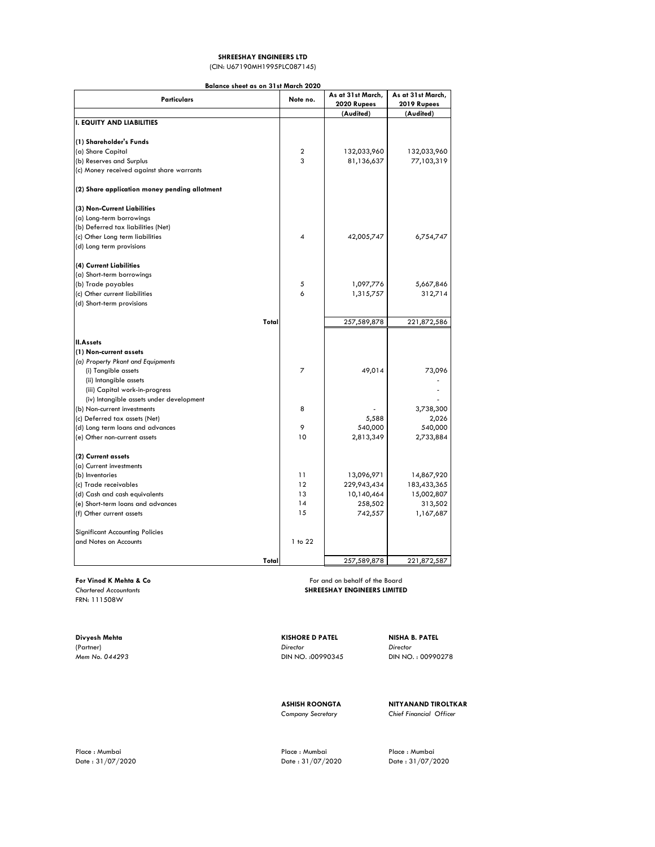| <b>Particulars</b>                            | Note no.       | As at 31st March, | As at 31st March, |  |
|-----------------------------------------------|----------------|-------------------|-------------------|--|
|                                               |                | 2020 Rupees       | 2019 Rupees       |  |
|                                               |                | (Audited)         | (Audited)         |  |
| <b>I. EQUITY AND LIABILITIES</b>              |                |                   |                   |  |
| (1) Shareholder's Funds                       |                |                   |                   |  |
| (a) Share Capital                             | $\overline{2}$ | 132,033,960       | 132,033,960       |  |
| (b) Reserves and Surplus                      | 3              | 81,136,637        | 77,103,319        |  |
| (c) Money received against share warrants     |                |                   |                   |  |
|                                               |                |                   |                   |  |
| (2) Share application money pending allotment |                |                   |                   |  |
| (3) Non-Current Liabilities                   |                |                   |                   |  |
| (a) Long-term borrowings                      |                |                   |                   |  |
| (b) Deferred tax liabilities (Net)            |                |                   |                   |  |
| (c) Other Long term liabilities               | 4              | 42,005,747        | 6,754,747         |  |
| (d) Long term provisions                      |                |                   |                   |  |
| (4) Current Liabilities                       |                |                   |                   |  |
| (a) Short-term borrowings                     |                |                   |                   |  |
| (b) Trade payables                            | $\sqrt{5}$     | 1,097,776         | 5,667,846         |  |
| (c) Other current liabilities                 | 6              | 1,315,757         | 312,714           |  |
| (d) Short-term provisions                     |                |                   |                   |  |
|                                               |                |                   |                   |  |
| Total                                         |                | 257,589,878       | 221,872,586       |  |
| <b>II.Assets</b>                              |                |                   |                   |  |
| (1) Non-current assets                        |                |                   |                   |  |
| (a) Property Pkant and Equipments             |                |                   |                   |  |
| (i) Tangible assets                           | $\overline{7}$ | 49,014            | 73,096            |  |
| (ii) Intangible assets                        |                |                   |                   |  |
| (iii) Capital work-in-progress                |                |                   |                   |  |
| (iv) Intangible assets under development      |                |                   |                   |  |
| (b) Non-current investments                   | 8              |                   | 3,738,300         |  |
| (c) Deferred tax assets (Net)                 |                | 5,588             | 2,026             |  |
| (d) Long term loans and advances              | 9              | 540,000           | 540,000           |  |
| (e) Other non-current assets                  | $10$           | 2,813,349         | 2,733,884         |  |
| (2) Current assets                            |                |                   |                   |  |
| (a) Current investments                       |                |                   |                   |  |
| (b) Inventories                               | 11             | 13,096,971        | 14,867,920        |  |
| (c) Trade receivables                         | 12             | 229,943,434       | 183,433,365       |  |
| (d) Cash and cash equivalents                 | 13             | 10,140,464        | 15,002,807        |  |
| (e) Short-term loans and advances             | 14             | 258,502           | 313,502           |  |
| (f) Other current assets                      | 15             | 742,557           | 1,167,687         |  |
| <b>Significant Accounting Policies</b>        |                |                   |                   |  |
| and Notes on Accounts                         | 1 to 22        |                   |                   |  |
|                                               |                |                   |                   |  |
| Total                                         |                | 257,589,878       | 221,872,587       |  |

**For Vinod K Mehta & Co For and on behalf of the Board** *Chartered Accountants* **SHREESHAY ENGINEERS LIMITED**

Place : Mumbai Place : Mumbai Place : Mumbai Place : Mumbai Place : Mumbai Place : Mumbai Place : Mumbai Place : Mumbai Place : Mumbai Place : Mumbai Place : Mumbai Place : S1/07/2020 Date : 31/07/2020 Date : 31/07/2020 Date : 31/07/2020

FRN: 111508W

# **Divyesh Mehta KISHORE D PATEL NISHA B. PATEL**

(Partner) *Director Director Mem No. 044293* DIN NO. :00990345 DIN NO. : 00990278

**ASHISH ROONGTA NITYANAND TIROLTKAR** *Company Secretary Chief Financial Officer*

#### **SHREESHAY ENGINEERS LTD**

#### **Balance sheet as on 31st March 2020**

(CIN: U67190MH1995PLC087145)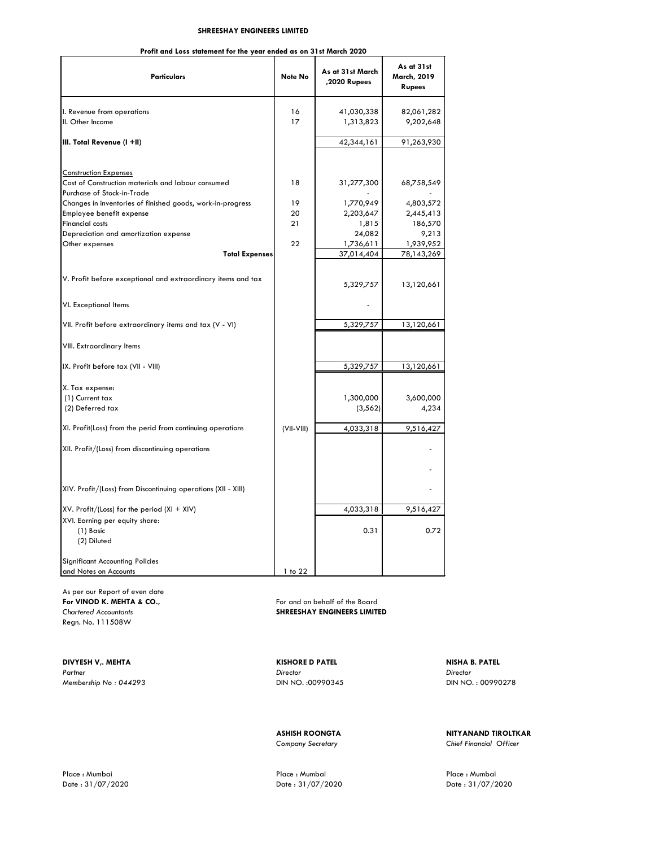**Profit and Loss statement for the year ended as on 31st March 2020**

| <b>Particulars</b>                                                                 | Note No      | As at 31st March<br>,2020 Rupees | As at 31st<br>March, 2019<br><b>Rupees</b> |
|------------------------------------------------------------------------------------|--------------|----------------------------------|--------------------------------------------|
| I. Revenue from operations                                                         | 16           | 41,030,338                       | 82,061,282                                 |
| II. Other Income                                                                   | 17           | 1,313,823                        | 9,202,648                                  |
| III. Total Revenue (I +II)                                                         |              | 42,344,161                       | 91,263,930                                 |
|                                                                                    |              |                                  |                                            |
| <b>Construction Expenses</b><br>Cost of Construction materials and labour consumed | 18           |                                  |                                            |
| Purchase of Stock-in-Trade                                                         |              | 31,277,300                       | 68,758,549                                 |
| Changes in inventories of finished goods, work-in-progress                         | 19           | 1,770,949                        | 4,803,572                                  |
| Employee benefit expense                                                           | 20           | 2,203,647                        | 2,445,413                                  |
| <b>Financial costs</b>                                                             | 21           | 1,815                            | 186,570                                    |
| Depreciation and amortization expense                                              |              | 24,082                           | 9,213                                      |
| Other expenses                                                                     | 22           | 1,736,611                        | 1,939,952                                  |
| <b>Total Expenses</b>                                                              |              | 37,014,404                       | 78,143,269                                 |
|                                                                                    |              |                                  |                                            |
| V. Profit before exceptional and extraordinary items and tax                       |              | 5,329,757                        | 13,120,661                                 |
| VI. Exceptional Items                                                              |              |                                  |                                            |
| VII. Profit before extraordinary items and tax (V - VI)                            |              | 5,329,757                        | 13,120,661                                 |
| VIII. Extraordinary Items                                                          |              |                                  |                                            |
| IX. Profit before tax (VII - VIII)                                                 |              | 5,329,757                        | 13,120,661                                 |
| X. Tax expense:                                                                    |              |                                  |                                            |
| (1) Current tax                                                                    |              | 1,300,000                        | 3,600,000                                  |
| (2) Deferred tax                                                                   |              | (3, 562)                         | 4,234                                      |
| XI. Profit(Loss) from the perid from continuing operations                         | $(VII-VIII)$ | 4,033,318                        | 9,516,427                                  |
| XII. Profit/(Loss) from discontinuing operations                                   |              |                                  |                                            |
|                                                                                    |              |                                  |                                            |
| XIV. Profit/(Loss) from Discontinuing operations (XII - XIII)                      |              |                                  |                                            |
| XV. Profit/(Loss) for the period $(XI + XIV)$                                      |              | 4,033,318                        | 9,516,427                                  |
| XVI. Earning per equity share:                                                     |              |                                  |                                            |
| (1) Basic                                                                          |              | 0.31                             | 0.72                                       |
| (2) Diluted                                                                        |              |                                  |                                            |
| <b>Significant Accounting Policies</b>                                             |              |                                  |                                            |
| and Notes on Accounts                                                              | 1 to 22      |                                  |                                            |

As per our Report of even date For VINOD K. MEHTA & CO., **For and on behalf of the Board** Regn. No. 111508W

**DIVYESH V,. MEHTA KISHORE D PATEL NISHA B. PATEL** *Partner Director Director Membership No : 044293* DIN NO. :00990345 DIN NO. : 00990278

*Chartered Accountants* **SHREESHAY ENGINEERS LIMITED**

Place : Mumbai Place : Mumbai Place : Mumbai

**ASHISH ROONGTA NITYANAND TIROLTKAR** *Company Secretary Chief Financial Officer*

Date : 31/07/2020 Date : 31/07/2020 Date : 31/07/2020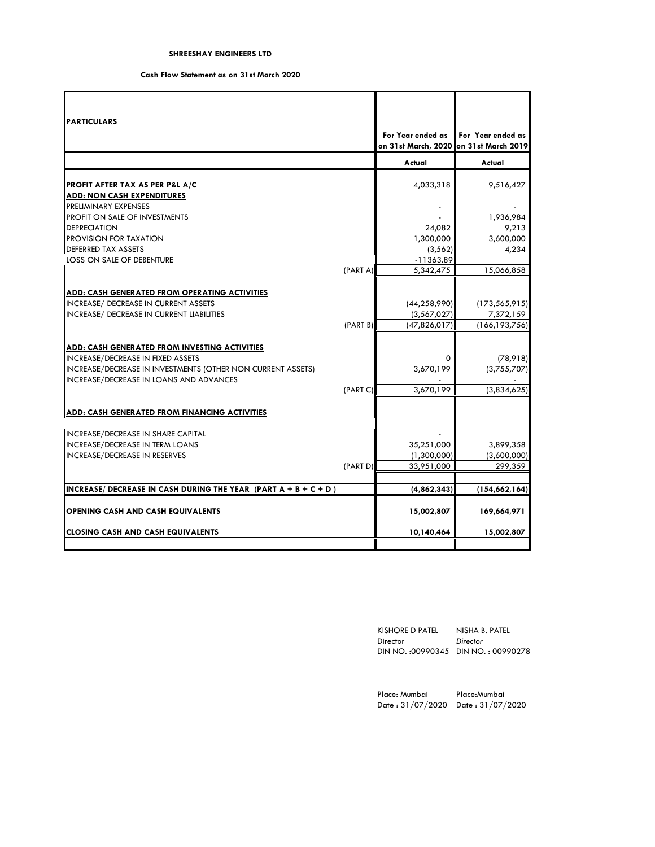# **Cash Flow Statement as on 31st March 2020**

| <b>PARTICULARS</b>                                                                                     |          |                                        |                   |
|--------------------------------------------------------------------------------------------------------|----------|----------------------------------------|-------------------|
|                                                                                                        |          | For Year ended as                      | For Year ended as |
|                                                                                                        |          | on 31st March, 2020 on 31st March 2019 |                   |
|                                                                                                        |          | Actual                                 | Actual            |
| PROFIT AFTER TAX AS PER P&L A/C                                                                        |          | 4,033,318                              | 9,516,427         |
| <b>ADD: NON CASH EXPENDITURES</b>                                                                      |          |                                        |                   |
| PRELIMINARY EXPENSES                                                                                   |          |                                        |                   |
| PROFIT ON SALE OF INVESTMENTS                                                                          |          |                                        | 1,936,984         |
| <b>DEPRECIATION</b>                                                                                    |          | 24,082                                 | 9,213             |
| <b>PROVISION FOR TAXATION</b>                                                                          |          | 1,300,000                              | 3,600,000         |
| DEFERRED TAX ASSETS                                                                                    |          | (3, 562)                               | 4,234             |
| LOSS ON SALE OF DEBENTURE                                                                              |          | $-11363.89$                            |                   |
|                                                                                                        | (PART A) | 5,342,475                              | 15,066,858        |
|                                                                                                        |          |                                        |                   |
| <b>ADD: CASH GENERATED FROM OPERATING ACTIVITIES</b><br>INCREASE/ DECREASE IN CURRENT ASSETS           |          | (44, 258, 990)                         | (173, 565, 915)   |
| INCREASE/ DECREASE IN CURRENT LIABILITIES                                                              |          | (3,567,027)                            | 7,372,159         |
|                                                                                                        | (PART B) | (47,826,017)                           | (166, 193, 756)   |
|                                                                                                        |          |                                        |                   |
| <b>ADD: CASH GENERATED FROM INVESTING ACTIVITIES</b>                                                   |          |                                        |                   |
| INCREASE/DECREASE IN FIXED ASSETS                                                                      |          | 0                                      | (78, 918)         |
| INCREASE/DECREASE IN INVESTMENTS (OTHER NON CURRENT ASSETS)<br>INCREASE/DECREASE IN LOANS AND ADVANCES |          | 3,670,199                              | (3,755,707)       |
|                                                                                                        | (PART C) | 3,670,199                              | (3,834,625)       |
| <b>ADD: CASH GENERATED FROM FINANCING ACTIVITIES</b>                                                   |          |                                        |                   |
|                                                                                                        |          |                                        |                   |
| INCREASE/DECREASE IN SHARE CAPITAL<br><b>INCREASE/DECREASE IN TERM LOANS</b>                           |          | 35,251,000                             | 3,899,358         |
| INCREASE/DECREASE IN RESERVES                                                                          |          | (1,300,000)                            | (3,600,000)       |
|                                                                                                        | (PART D) | 33,951,000                             | 299,359           |
|                                                                                                        |          |                                        |                   |
| INCREASE/ DECREASE IN CASH DURING THE YEAR (PART $A + B + C + D$ )                                     |          | (4,862,343)                            | (154, 662, 164)   |
| <b>OPENING CASH AND CASH EQUIVALENTS</b>                                                               |          | 15,002,807                             | 169,664,971       |
| <b>CLOSING CASH AND CASH EQUIVALENTS</b>                                                               |          | 10,140,464                             | 15,002,807        |
|                                                                                                        |          |                                        |                   |

| KISHORE D PATEL | NISHA B. PATEL                      |
|-----------------|-------------------------------------|
| Director        | Director                            |
|                 | DIN NO.: 00990345 DIN NO.: 00990278 |

Place: Mumbai Place:Mumbai Date : 31/07/2020 Date : 31/07/2020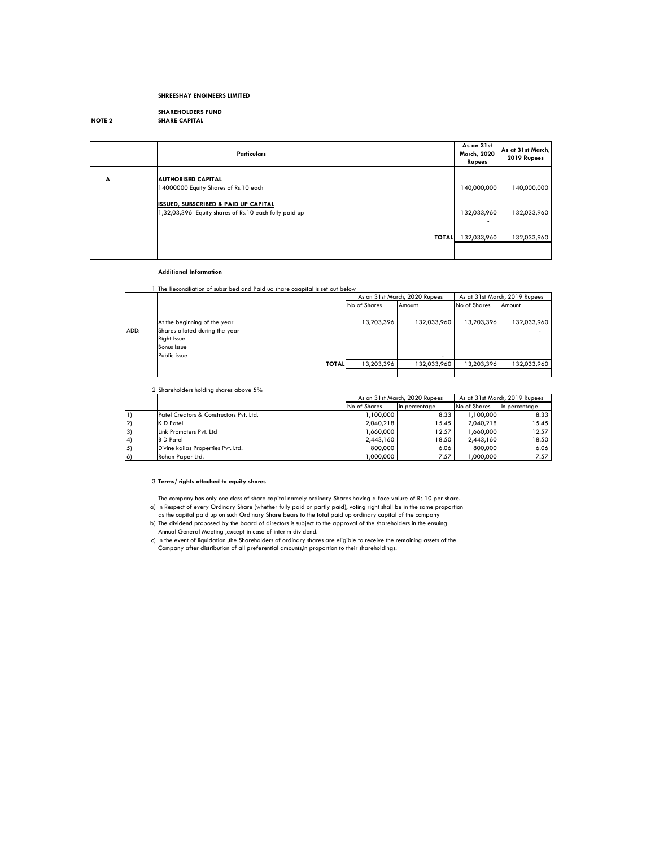# **SHAREHOLDERS FUND NOTE 2 SHARE CAPITAL**

|   | <b>Particulars</b>                                                                                                                                                            | As on 31st<br>March, 2020<br><b>Rupees</b> | As at 31st March,<br>2019 Rupees |
|---|-------------------------------------------------------------------------------------------------------------------------------------------------------------------------------|--------------------------------------------|----------------------------------|
| A | <b>AUTHORISED CAPITAL</b><br>14000000 Equity Shares of Rs.10 each<br><b>ISSUED, SUBSCRIBED &amp; PAID UP CAPITAL</b><br>1,32,03,396 Equity shares of Rs.10 each fully paid up | 140,000,000<br>132,033,960<br>۰            | 140,000,000<br>132,033,960       |
|   | <b>TOTAL</b>                                                                                                                                                                  | 132,033,960                                | 132,033,960                      |
|   |                                                                                                                                                                               |                                            |                                  |

#### **Additional Information**

1 The Reconciliation of subsribed and Paid uo share caapital is set out below

#### 2 Shareholders holding shares above 5%

# 3 **Terms/ rights attached to equity shares**

|      |                                                                                                                     | As at 31st March, 2019 Rupees<br>As on 31st March, 2020 Rupees |             |              |             |
|------|---------------------------------------------------------------------------------------------------------------------|----------------------------------------------------------------|-------------|--------------|-------------|
|      |                                                                                                                     | No of Shares                                                   | Amount      | No of Shares | Amount      |
| ADD: | At the beginning of the year<br>Shares alloted during the year<br>Right Issue<br><b>Bonus Issue</b><br>Public issue | 13,203,396                                                     | 132,033,960 | 13,203,396   | 132,033,960 |
|      | <b>TOTAL</b>                                                                                                        | 13,203,396                                                     | 132,033,960 | 13,203,396   | 132,033,960 |
|      |                                                                                                                     |                                                                |             |              |             |

The company has only one class of share capital namely ordinary Shares having a face valure of Rs 10 per share. a) In Respect of every Ordinary Share (whether fully paid or partly paid), voting right shall be in the same proportion as the capital paid up on such Ordinary Share bears to the total paid up ordinary capital of the company

|                  |                                                     |               | As on 31st March, 2020 Rupees | As at 31st March, 2019 Rupees |               |
|------------------|-----------------------------------------------------|---------------|-------------------------------|-------------------------------|---------------|
|                  |                                                     | No of Shares  | In percentage                 | No of Shares                  | In percentage |
| $\vert$ 1)       | <b>IPatel Creators &amp; Constructors Pvt. Ltd.</b> | .100,000 ا, ا | 8.33                          | 1,100,000                     | 8.33          |
| 2)               | K D Patel                                           | 2,040,218     | 15.45                         | 2,040,218                     | 15.45         |
| 3)               | Llink Promoters Pvt. Ltd                            | 000,066,۱     | 12.57                         | 1,660,000                     | 12.57         |
| 4)               | <b>B</b> D Patel                                    | 2,443,160     | 18.50                         | 2,443,160                     | 18.50         |
| $\vert 5\rangle$ | Divine kailas Properties Pvt. Ltd.                  | 800,000       | 6.06                          | 800,000                       | 6.06          |
| 6)               | Rohan Paper Ltd.                                    | 000,000,      | 7.57                          | 000,000,                      | 7.57          |

- b) The dividend proposed by the board of directors is subject to the approval of the shareholders in the ensuing Annual General Meeting ,except in case of interim dividend.
- c) In the event of liquidation ,the Shareholders of ordinary shares are eligible to receive the remaining assets of the Company after distribution of all preferential amounts,in proportion to their shareholdings.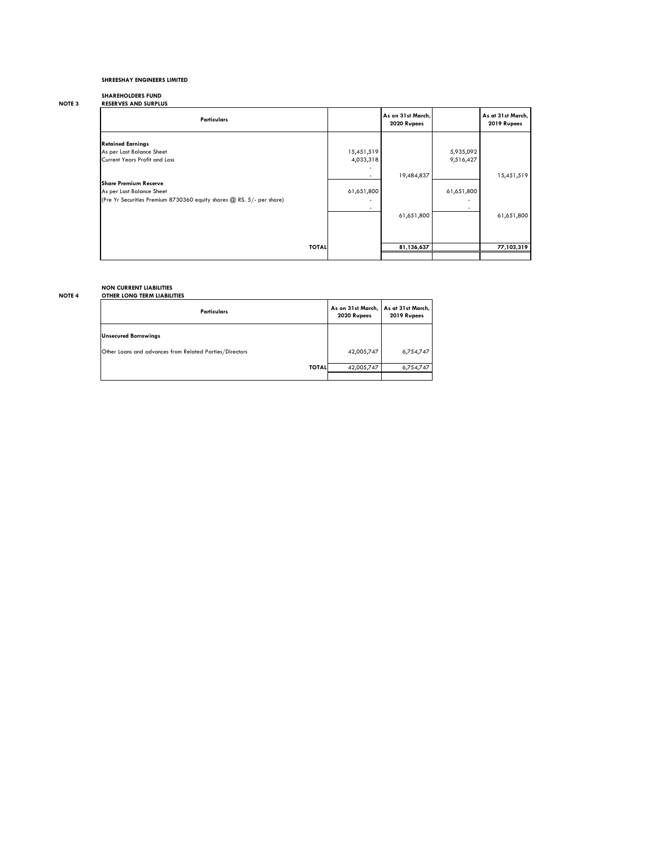# **SHAREHOLDERS FUND**

| <b>NOTE 3</b> | <b>RESERVES AND SURPLUS</b> |
|---------------|-----------------------------|
|               |                             |

| <b>Particulars</b>                                                                                                                 |                                        | As on 31st March,<br>2020 Rupees |                        | As at 31st March,<br>2019 Rupees |
|------------------------------------------------------------------------------------------------------------------------------------|----------------------------------------|----------------------------------|------------------------|----------------------------------|
| <b>Retained Earnings</b><br>As per Last Balance Sheet<br>Current Years Profit and Loss                                             | 15,451,519<br>4,033,318                |                                  | 5,935,092<br>9,516,427 |                                  |
|                                                                                                                                    |                                        | 19,484,837                       |                        | 15,451,519                       |
| <b>Share Premium Reserve</b><br>As per Last Balance Sheet<br>(Pre Yr Securities Premium 8730360 equity shares @ RS. 5/- per share) | 61,651,800<br>$\overline{\phantom{a}}$ |                                  | 61,651,800<br>۰        |                                  |
|                                                                                                                                    |                                        | 61,651,800                       |                        | 61,651,800                       |
| <b>TOTAL</b>                                                                                                                       |                                        | 81,136,637                       |                        | 77,103,319                       |

# **NON CURRENT LIABILITIES**

# **NOTE 4 OTHER LONG TERM LIABILITIES**

| <b>Particulars</b>                                      | As on 31st March,<br>2020 Rupees | As at 31st March,<br>2019 Rupees |
|---------------------------------------------------------|----------------------------------|----------------------------------|
| <b>Unsecured Borrowings</b>                             |                                  |                                  |
| Other Loans and advances from Related Parties/Directors | 42,005,747                       | 6,754,747                        |
| <b>TOTAL</b>                                            | 42,005,747                       | 6,754,747                        |
|                                                         |                                  |                                  |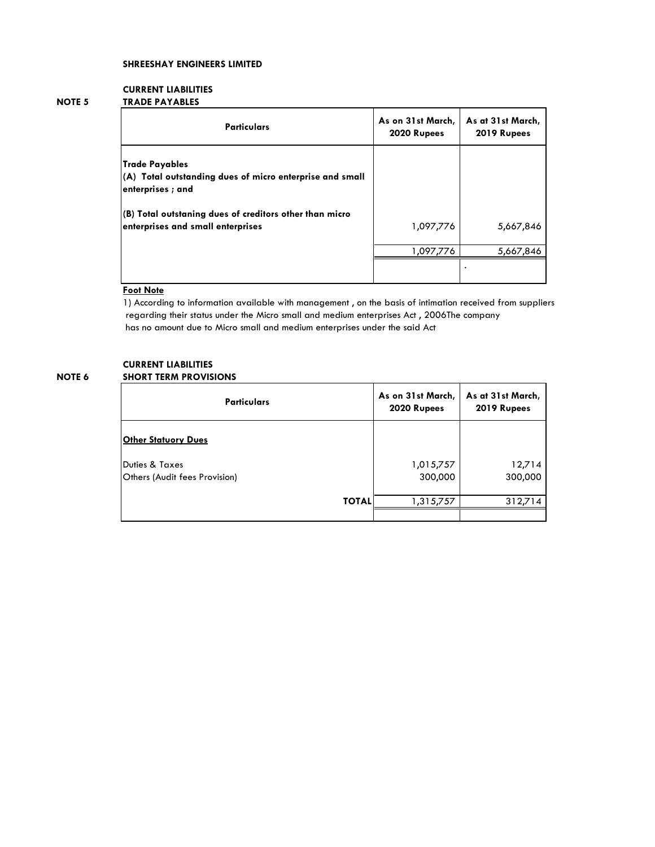# **CURRENT LIABILITIES**

# **NOTE 5 TRADE PAYABLES**

| <b>Particulars</b>                                                                                    | As on 31st March,<br>2020 Rupees | As at 31st March,<br>2019 Rupees |  |  |
|-------------------------------------------------------------------------------------------------------|----------------------------------|----------------------------------|--|--|
| <b>Trade Payables</b><br>(A) Total outstanding dues of micro enterprise and small<br>enterprises; and |                                  |                                  |  |  |
| (B) Total outstaning dues of creditors other than micro<br>enterprises and small enterprises          | 1,097,776                        | 5,667,846                        |  |  |
|                                                                                                       | 1,097,776                        | 5,667,846                        |  |  |
|                                                                                                       |                                  |                                  |  |  |

# **Foot Note**

1) According to information available with management , on the basis of intimation received from suppliers regarding their status under the Micro small and medium enterprises Act , 2006The company has no amount due to Micro small and medium enterprises under the said Act

# **CURRENT LIABILITIES NOTE 6 SHORT TERM PROVISIONS**

| <b>Particulars</b>                                         | As on 31st March,<br>2020 Rupees | As at 31st March,<br>2019 Rupees |  |
|------------------------------------------------------------|----------------------------------|----------------------------------|--|
| <b>Other Statuory Dues</b>                                 |                                  |                                  |  |
| <b>Duties &amp; Taxes</b><br>Others (Audit fees Provision) | 1,015,757<br>300,000             | 12,714<br>300,000                |  |
| <b>TOTAL</b>                                               | 1,315,757                        | 312,714                          |  |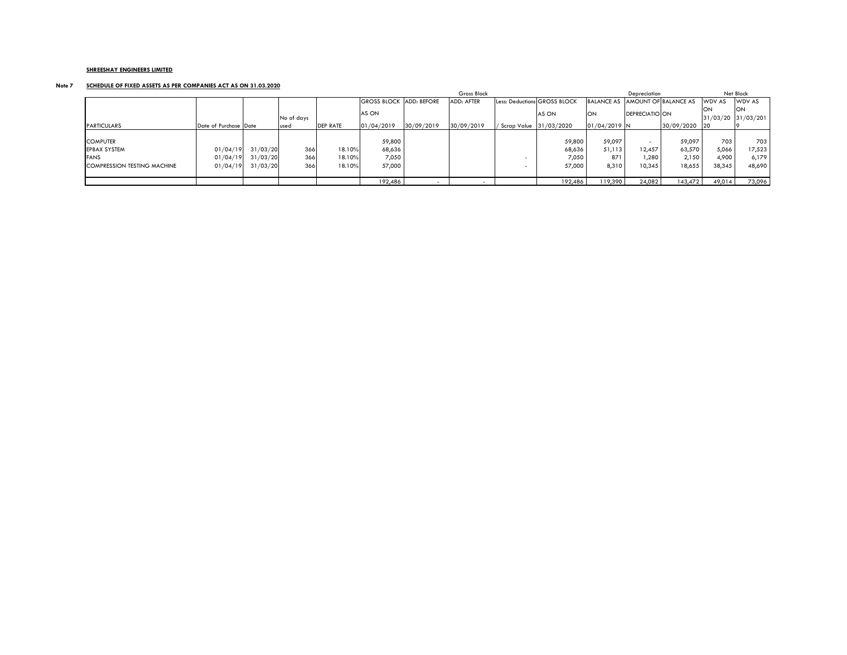# **Note 7 SCHEDULE OF FIXED ASSETS AS PER COMPANIES ACT AS ON 31.03.2020**

|                             |                       |          |             |                 | Gross Block        |                    |                   |                        | Depreciation                 |                                 |                       | Net Block       |                |                                    |
|-----------------------------|-----------------------|----------|-------------|-----------------|--------------------|--------------------|-------------------|------------------------|------------------------------|---------------------------------|-----------------------|-----------------|----------------|------------------------------------|
|                             |                       |          |             |                 | <b>GROSS BLOCK</b> | <b>ADD: BEFORE</b> | <b>ADD: AFTER</b> |                        | Less: Deductions GROSS BLOCK | BALANCE AS AMOUNT OF BALANCE AS |                       |                 | <b>IWDV AS</b> | WDV AS                             |
|                             |                       |          | No of days  |                 | AS ON              |                    |                   |                        | AS ON                        | <b>ON</b>                       | <b>DEPRECIATIO ON</b> |                 | <b>ION</b>     | <b>ION</b><br>$31/03/20$ 31/03/201 |
| <b>PARTICULARS</b>          | Date of Purchase Date |          | <b>used</b> | <b>DEP RATE</b> | 01/04/2019         | 30/09/2019         | 30/09/2019        | Scrap Value 31/03/2020 |                              | $01/04/2019$ N                  |                       | $30/09/2020$ 20 |                |                                    |
|                             |                       |          |             |                 |                    |                    |                   |                        |                              |                                 |                       |                 |                |                                    |
| <b>COMPUTER</b>             |                       |          |             |                 | 59,800             |                    |                   |                        | 59,800                       | 59,097                          |                       | 59,097          | 703            | 703                                |
| <b>EPBAX SYSTEM</b>         | 01/04/19              | 31/03/20 | 366         | 18.10%          | 68,636             |                    |                   |                        | 68,636                       | 51,113                          | 12,457                | 63,570          | 5,066          | 17,523                             |
| <b>FANS</b>                 | 01/04/19              | 31/03/20 | 366         | 18.10%          | 7,050              |                    |                   |                        | 7,050                        | 871                             | ,280                  | 2,150           | 4,900          | 6,179                              |
| COMPRESSION TESTING MACHINE | 01/04/19              | 31/03/20 | 366         | 18.10%          | 57,000             |                    |                   |                        | 57,000                       | 8,310                           | 10,345                | 18,655          | 38,345         | 48,690                             |
|                             |                       |          |             |                 |                    |                    |                   |                        |                              |                                 |                       |                 |                |                                    |
|                             |                       |          |             |                 | 192,486            |                    |                   |                        | 192,486                      | 119,390                         | 24,082                | 143,472         | 49,014         | 73,096                             |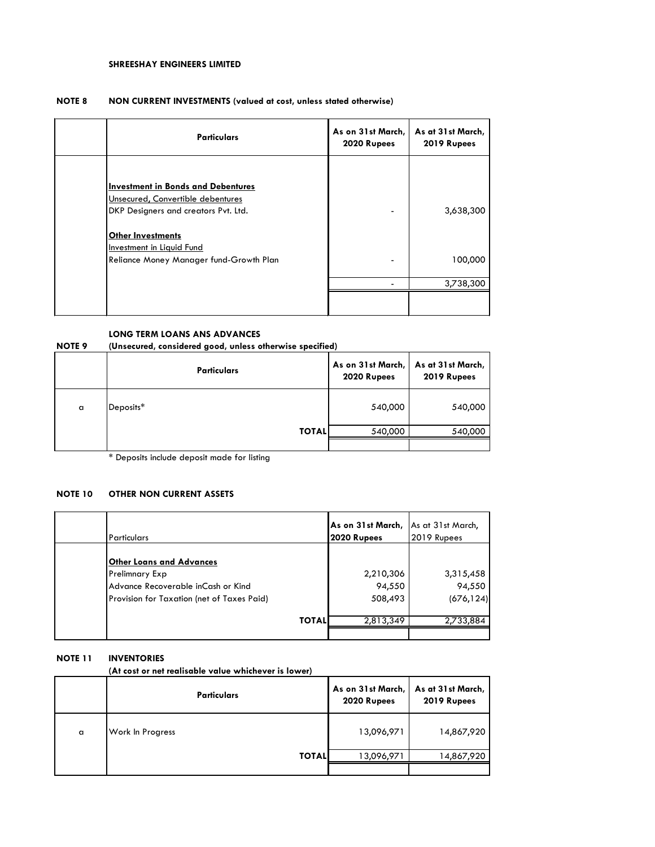#### **NOTE 8 NON CURRENT INVESTMENTS (valued at cost, unless stated otherwise)**

| <b>Particulars</b>                                                                                                                                                                                                                | As on 31st March,<br>2020 Rupees | As at 31st March,<br>2019 Rupees |
|-----------------------------------------------------------------------------------------------------------------------------------------------------------------------------------------------------------------------------------|----------------------------------|----------------------------------|
| <b>Investment in Bonds and Debentures</b><br>Unsecured, Convertible debentures<br>DKP Designers and creators Pvt. Ltd.<br><b>Other Investments</b><br><b>Investment in Liquid Fund</b><br>Reliance Money Manager fund-Growth Plan |                                  | 3,638,300<br>100,000             |
|                                                                                                                                                                                                                                   |                                  | 3,738,300                        |
|                                                                                                                                                                                                                                   |                                  |                                  |

# **LONG TERM LOANS ANS ADVANCES**

**NOTE 9 (Unsecured, considered good, unless otherwise specified)**

|   | <b>Particulars</b> | As on 31st March,<br>2020 Rupees | As at 31st March,<br>2019 Rupees |
|---|--------------------|----------------------------------|----------------------------------|
| a | Deposits*          | 540,000                          | 540,000                          |
|   | <b>TOTALI</b>      | 540,000                          | 540,000                          |
|   |                    |                                  |                                  |

\* Deposits include deposit made for listing

# **NOTE 10 OTHER NON CURRENT ASSETS**

| l Particulars                                                                                                                                | As on 31st March,<br>2020 Rupees | As at 31st March,<br>2019 Rupees  |
|----------------------------------------------------------------------------------------------------------------------------------------------|----------------------------------|-----------------------------------|
| <b>Other Loans and Advances</b><br><b>Prelimnary Exp</b><br>Advance Recoverable inCash or Kind<br>Provision for Taxation (net of Taxes Paid) | 2,210,306<br>94,550<br>508,493   | 3,315,458<br>94,550<br>(676, 124) |
| <b>TOTAL</b>                                                                                                                                 | 2,813,349                        | 2,733,884                         |

### **NOTE 11 INVENTORIES**

**(At cost or net realisable value whichever is lower)**

|   | Particulars             | As on 31st March,<br>2020 Rupees | As at 31st March,<br>2019 Rupees |
|---|-------------------------|----------------------------------|----------------------------------|
| a | <b>Work In Progress</b> | 13,096,971                       | 14,867,920                       |
|   | <b>TOTAL</b>            | 13,096,971                       | 14,867,920                       |
|   |                         |                                  |                                  |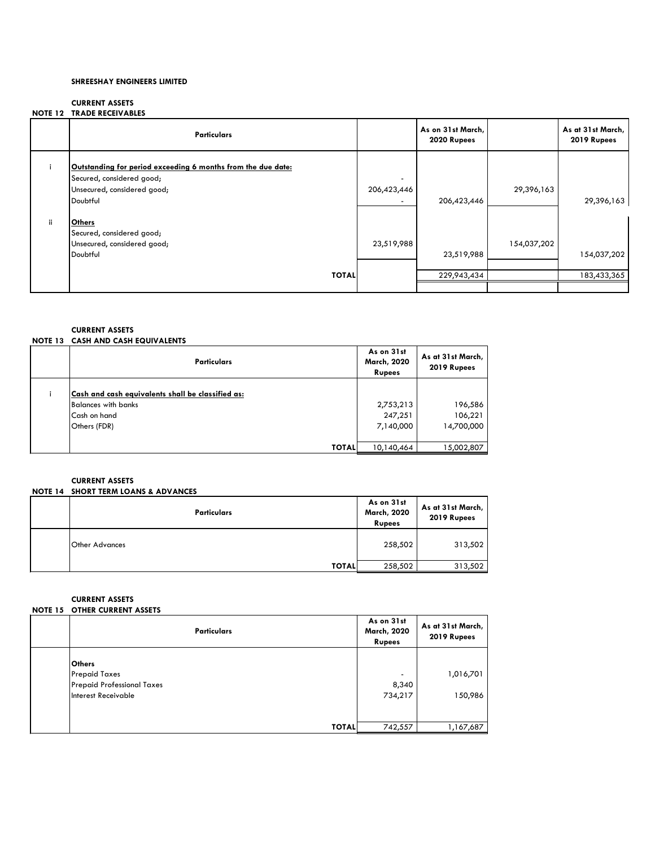# **CURRENT ASSETS NOTE 12 TRADE RECEIVABLES**

|     | <b>Particulars</b>                                                                                                                   |             | As on 31st March,<br>2020 Rupees |             | As at 31st March,<br>2019 Rupees |
|-----|--------------------------------------------------------------------------------------------------------------------------------------|-------------|----------------------------------|-------------|----------------------------------|
|     | Outstanding for period exceeding 6 months from the due date:<br>Secured, considered good;<br>Unsecured, considered good;<br>Doubtful | 206,423,446 | 206,423,446                      | 29,396,163  | 29,396,163                       |
| ii. | <b>Others</b><br>Secured, considered good;<br>Unsecured, considered good;<br>Doubtful                                                | 23,519,988  | 23,519,988                       | 154,037,202 | 154,037,202                      |
|     | <b>TOTAL</b>                                                                                                                         |             | 229,943,434                      |             | 183,433,365                      |

# **CURRENT ASSETS NOTE 13 CASH AND CASH EQUIVALENTS**

| <b>Particulars</b>                                                                                              | As on 31st<br><b>March, 2020</b><br><b>Rupees</b> | As at 31st March,<br>2019 Rupees |
|-----------------------------------------------------------------------------------------------------------------|---------------------------------------------------|----------------------------------|
| Cash and cash equivalents shall be classified as:<br><b>Balances with banks</b><br>Cash on hand<br>Others (FDR) | 2,753,213<br>247,251<br>7,140,000                 | 196,586<br>106,221<br>14,700,000 |
| <b>TOTAL</b>                                                                                                    | 10,140,464                                        | 15,002,807                       |

# **CURRENT ASSETS**

| NOTE 14 SHORT TERM LOANS & ADVANCES |  |  |  |  |
|-------------------------------------|--|--|--|--|
|                                     |  |  |  |  |

| <b>Particulars</b>    | As on 31st<br>March, 2020<br><b>Rupees</b> | As at 31st March,<br>2019 Rupees |
|-----------------------|--------------------------------------------|----------------------------------|
| <b>Other Advances</b> | 258,502                                    | 313,502                          |
| <b>TOTAL</b>          | 258,502                                    | 313,502                          |

# **CURRENT ASSETS**

| <b>NOTE 15 OTHER CURRENT ASSETS</b> |                                            |                                  |
|-------------------------------------|--------------------------------------------|----------------------------------|
| <b>Particulars</b>                  | As on 31st<br>March, 2020<br><b>Rupees</b> | As at 31st March,<br>2019 Rupees |
|                                     |                                            |                                  |
| <b>Others</b>                       |                                            |                                  |
| <b>Prepaid Taxes</b>                | $\blacksquare$                             | 1,016,701                        |
| <b>Prepaid Professional Taxes</b>   | 8,340                                      |                                  |
| Interest Receivable                 | 734,217                                    | 150,986                          |
|                                     |                                            |                                  |
|                                     |                                            |                                  |
| <b>TOTAL</b>                        | 742,557                                    | 1,167,687                        |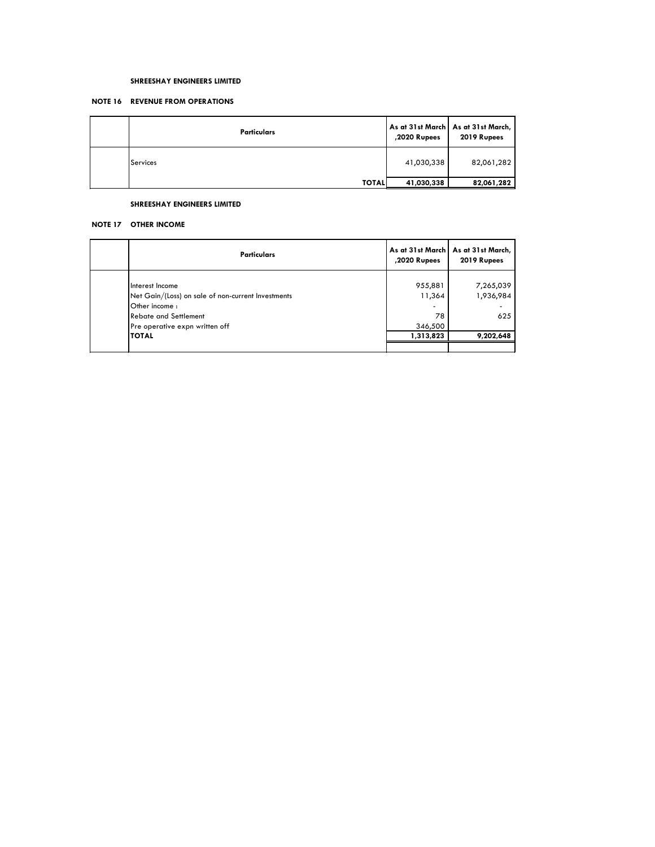# **NOTE 16 REVENUE FROM OPERATIONS**

| <b>Particulars</b> | ,2020 Rupees | As at 31st March   As at 31st March,  <br>2019 Rupees |
|--------------------|--------------|-------------------------------------------------------|
| Services           | 41,030,338   | 82,061,282                                            |
| <b>TOTAL</b>       | 41,030,338   | 82,061,282                                            |

#### **SHREESHAY ENGINEERS LIMITED**

#### **NOTE 17 OTHER INCOME**

| <b>Particulars</b>                                                                                                                                                 | ,2020 Rupees                                         | As at 31st March   As at 31st March,  <br>2019 Rupees |
|--------------------------------------------------------------------------------------------------------------------------------------------------------------------|------------------------------------------------------|-------------------------------------------------------|
| Interest Income<br>Net Gain/(Loss) on sale of non-current Investments<br>Other income:<br><b>Rebate and Settlement</b><br>Pre operative expn written off<br>ITOTAL | 955,881<br>11,364<br>۰<br>78<br>346,500<br>1,313,823 | 7,265,039<br>1,936,984<br>625<br>9,202,648            |
|                                                                                                                                                                    |                                                      |                                                       |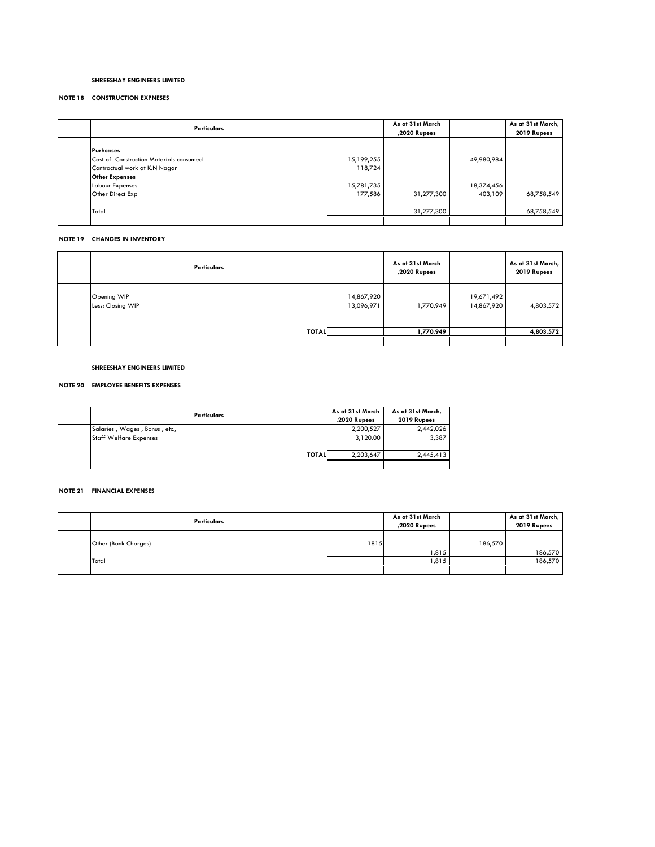#### **NOTE 18 CONSTRUCTION EXPNESES**

| <b>Particulars</b>                                                                                                                                                  |                                                | As at 31st March<br>,2020 Rupees |                                     | As at 31st March,<br>2019 Rupees |
|---------------------------------------------------------------------------------------------------------------------------------------------------------------------|------------------------------------------------|----------------------------------|-------------------------------------|----------------------------------|
| <b>Purhcases</b><br><b>Cost of Construction Materials consumed</b><br>Contractual work at K.N Nagar<br><b>Other Expenses</b><br>Labour Expenses<br>Other Direct Exp | 15,199,255<br>118,724<br>15,781,735<br>177,586 | 31,277,300                       | 49,980,984<br>18,374,456<br>403,109 | 68,758,549                       |
| Total                                                                                                                                                               |                                                | 31,277,300                       |                                     | 68,758,549                       |
|                                                                                                                                                                     |                                                |                                  |                                     |                                  |

# **NOTE 19 CHANGES IN INVENTORY**

| Particulars                      |                          | As at 31st March<br>,2020 Rupees |                          | As at 31st March,<br>2019 Rupees |
|----------------------------------|--------------------------|----------------------------------|--------------------------|----------------------------------|
| Opening WIP<br>Less: Closing WIP | 14,867,920<br>13,096,971 | 1,770,949                        | 19,671,492<br>14,867,920 | 4,803,572                        |
| <b>TOTAL</b>                     |                          | 1,770,949                        |                          | 4,803,572                        |
|                                  |                          |                                  |                          |                                  |

**SHREESHAY ENGINEERS LIMITED**

# **NOTE 20 EMPLOYEE BENEFITS EXPENSES**

| <b>Particulars</b>                                             | As at 31st March<br>,2020 Rupees | As at 31st March,<br>2019 Rupees |
|----------------------------------------------------------------|----------------------------------|----------------------------------|
| Salaries, Wages, Bonus, etc.,<br><b>Staff Welfare Expenses</b> | 2,200,527<br>3,120.00            | 2,442,026<br>3,387               |
| <b>TOTALI</b>                                                  | 2,203,647                        | 2,445,413                        |
|                                                                |                                  |                                  |

# **NOTE 21 FINANCIAL EXPENSES**

| <b>Particulars</b>   |      | As at 31st March<br>,2020 Rupees |         | As at 31st March,<br>2019 Rupees |
|----------------------|------|----------------------------------|---------|----------------------------------|
| Other (Bank Charges) | 1815 |                                  | 186,570 |                                  |
|                      |      | 1,815                            |         | 186,570                          |
| Total                |      | 1,815                            |         | 186,570                          |
|                      |      |                                  |         |                                  |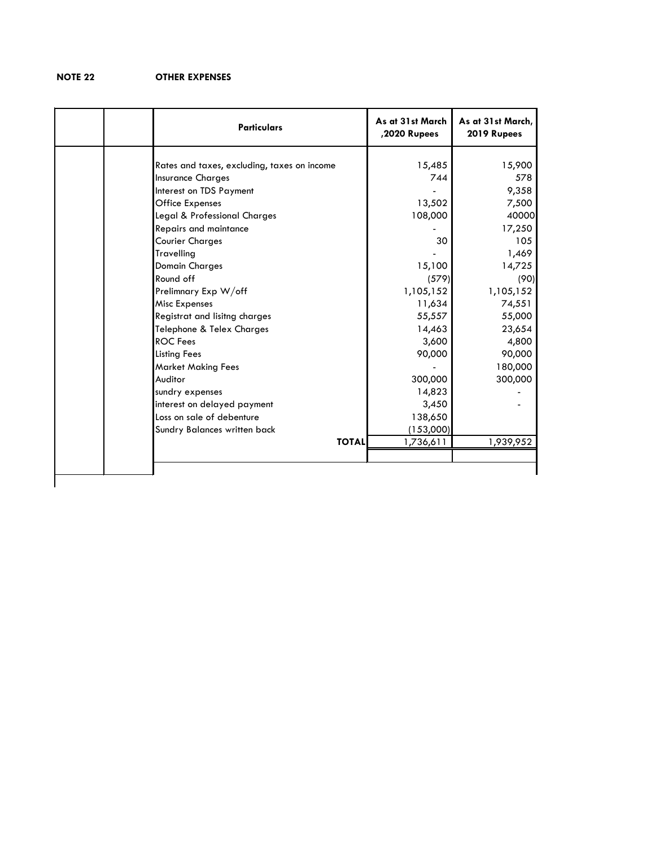# **NOTE 22 OTHER EXPENSES**

| <b>Particulars</b>                          | As at 31st March<br>,2020 Rupees | As at 31st March,<br>2019 Rupees |
|---------------------------------------------|----------------------------------|----------------------------------|
|                                             |                                  |                                  |
| Rates and taxes, excluding, taxes on income | 15,485                           | 15,900                           |
| <b>Insurance Charges</b>                    | 744                              | 578                              |
| Interest on TDS Payment                     |                                  | 9,358                            |
| <b>Office Expenses</b>                      | 13,502                           | 7,500                            |
| Legal & Professional Charges                | 108,000                          | 40000                            |
| Repairs and maintance                       |                                  | 17,250                           |
| <b>Courier Charges</b>                      | 30                               | 105                              |
| Travelling                                  |                                  | 1,469                            |
| <b>Domain Charges</b>                       | 15,100                           | 14,725                           |
| Round off                                   | (579)                            | (90)                             |
| Prelimnary Exp W/off                        | 1,105,152                        | 1,105,152                        |
| Misc Expenses                               | 11,634                           | 74,551                           |
| Registrat and lisitng charges               | 55,557                           | 55,000                           |
| Telephone & Telex Charges                   | 14,463                           | 23,654                           |
| <b>ROC</b> Fees                             | 3,600                            | 4,800                            |
| <b>Listing Fees</b>                         | 90,000                           | 90,000                           |
| <b>Market Making Fees</b>                   |                                  | 180,000                          |
| Auditor                                     | 300,000                          | 300,000                          |
| sundry expenses                             | 14,823                           |                                  |
| interest on delayed payment                 | 3,450                            |                                  |
| Loss on sale of debenture                   | 138,650                          |                                  |
| Sundry Balances written back                | (153,000)                        |                                  |
| <b>TOTAL</b>                                | 1,736,611                        | 1,939,952                        |
|                                             |                                  |                                  |
|                                             |                                  |                                  |
|                                             |                                  |                                  |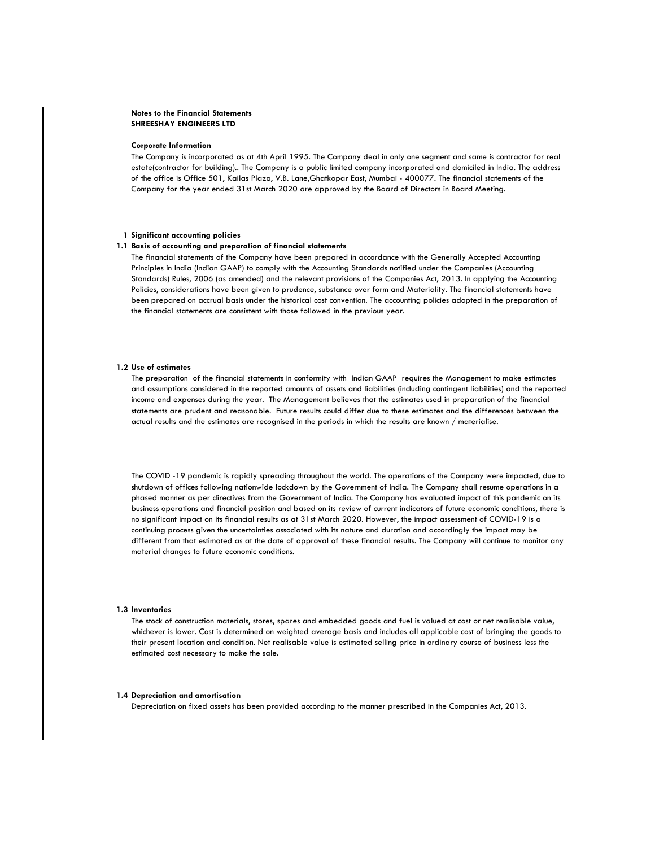#### **Notes to the Financial Statements SHREESHAY ENGINEERS LTD**

#### **Corporate Information**

The Company is incorporated as at 4th April 1995. The Company deal in only one segment and same is contractor for real estate(contractor for building).. The Company is a public limited company incorporated and domiciled in India. The address of the office is Office 501, Kailas Plaza, V.B. Lane,Ghatkopar East, Mumbai - 400077. The financial statements of the Company for the year ended 31st March 2020 are approved by the Board of Directors in Board Meeting.

#### **1 Significant accounting policies**

#### **1.1 Basis of accounting and preparation of financial statements**

The financial statements of the Company have been prepared in accordance with the Generally Accepted Accounting Principles in India (Indian GAAP) to comply with the Accounting Standards notified under the Companies (Accounting Standards) Rules, 2006 (as amended) and the relevant provisions of the Companies Act, 2013. In applying the Accounting Policies, considerations have been given to prudence, substance over form and Materiality. The financial statements have been prepared on accrual basis under the historical cost convention. The accounting policies adopted in the preparation of the financial statements are consistent with those followed in the previous year.

#### **1.2 Use of estimates**

The preparation of the financial statements in conformity with Indian GAAP requires the Management to make estimates and assumptions considered in the reported amounts of assets and liabilities (including contingent liabilities) and the reported income and expenses during the year. The Management believes that the estimates used in preparation of the financial statements are prudent and reasonable. Future results could differ due to these estimates and the differences between the actual results and the estimates are recognised in the periods in which the results are known / materialise.

The COVID -19 pandemic is rapidly spreading throughout the world. The operations of the Company were impacted, due to shutdown of offices following nationwide lockdown by the Government of India. The Company shall resume operations in a phased manner as per directives from the Government of India. The Company has evaluated impact of this pandemic on its business operations and financial position and based on its review of current indicators of future economic conditions, there is no significant impact on its financial results as at 31st March 2020. However, the impact assessment of COVID-19 is a continuing process given the uncertainties associated with its nature and duration and accordingly the impact may be different from that estimated as at the date of approval of these financial results. The Company will continue to monitor any material changes to future economic conditions.

#### **1.3 Inventories**

The stock of construction materials, stores, spares and embedded goods and fuel is valued at cost or net realisable value, whichever is lower. Cost is determined on weighted average basis and includes all applicable cost of bringing the goods to their present location and condition. Net realisable value is estimated selling price in ordinary course of business less the estimated cost necessary to make the sale.

#### **1.4 Depreciation and amortisation**

Depreciation on fixed assets has been provided according to the manner prescribed in the Companies Act, 2013.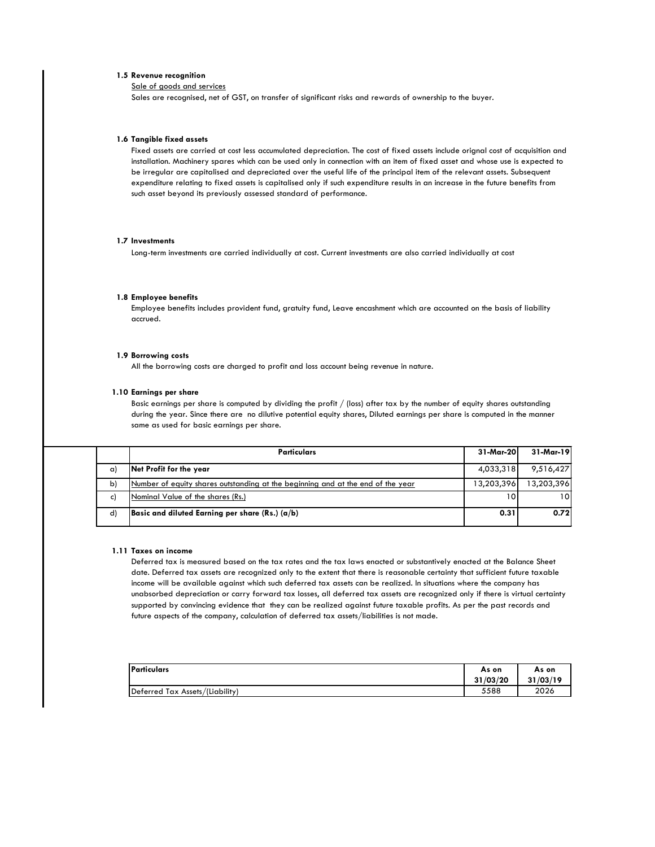#### **1.5 Revenue recognition**

Sale of goods and services

Sales are recognised, net of GST, on transfer of significant risks and rewards of ownership to the buyer.

#### **1.6 Tangible fixed assets**

Fixed assets are carried at cost less accumulated depreciation. The cost of fixed assets include orignal cost of acquisition and installation. Machinery spares which can be used only in connection with an item of fixed asset and whose use is expected to be irregular are capitalised and depreciated over the useful life of the principal item of the relevant assets. Subsequent expenditure relating to fixed assets is capitalised only if such expenditure results in an increase in the future benefits from such asset beyond its previously assessed standard of performance.

#### **1.7 Investments**

Long-term investments are carried individually at cost. Current investments are also carried individually at cost

#### **1.8 Employee benefits**

Employee benefits includes provident fund, gratuity fund, Leave encashment which are accounted on the basis of liability accrued.

#### **1.9 Borrowing costs**

All the borrowing costs are charged to profit and loss account being revenue in nature.

#### **1.10 Earnings per share**

Basic earnings per share is computed by dividing the profit  $/$  (loss) after tax by the number of equity shares outstanding during the year. Since there are no dilutive potential equity shares, Diluted earnings per share is computed in the manner same as used for basic earnings per share.

|              | <b>Particulars</b>                                                              | 31-Mar-201 | 31-Mar-19  |
|--------------|---------------------------------------------------------------------------------|------------|------------|
| (C)          | Net Profit for the year                                                         | 4,033,318  | 9,516,427  |
| $\mathsf{b}$ | Number of equity shares outstanding at the beginning and at the end of the year | 13,203,396 | 13,203,396 |
| C)           | Nominal Value of the shares (Rs.)                                               | 101        | 10I        |
| $\mathsf{d}$ | Basic and diluted Earning per share $(Rs.)$ ( $a/b$ )                           | 0.31       | 0.72       |

#### **1.11 Taxes on income**

Deferred tax is measured based on the tax rates and the tax laws enacted or substantively enacted at the Balance Sheet date. Deferred tax assets are recognized only to the extent that there is reasonable certainty that sufficient future taxable income will be available against which such deferred tax assets can be realized. In situations where the company has unabsorbed depreciation or carry forward tax losses, all deferred tax assets are recognized only if there is virtual certainty supported by convincing evidence that they can be realized against future taxable profits. As per the past records and future aspects of the company, calculation of deferred tax assets/liabilities is not made.

| <b>IParticulars</b>             | As on    | As on    |
|---------------------------------|----------|----------|
|                                 | 31/03/20 | 31/03/19 |
| Deferred Tax Assets/(Liability) | 5588     | 2026     |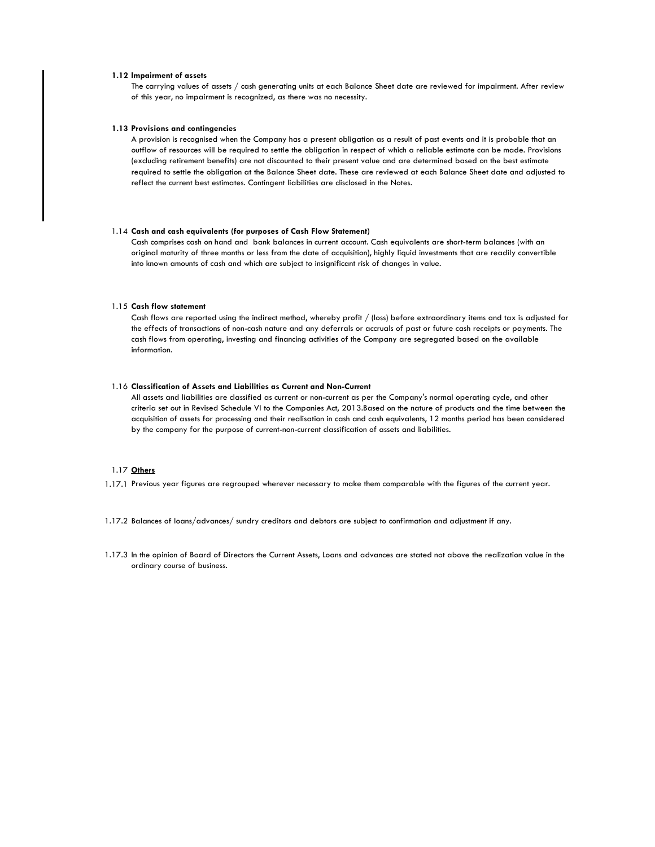#### **1.12 Impairment of assets**

The carrying values of assets / cash generating units at each Balance Sheet date are reviewed for impairment. After review of this year, no impairment is recognized, as there was no necessity.

#### **1.13 Provisions and contingencies**

A provision is recognised when the Company has a present obligation as a result of past events and it is probable that an outflow of resources will be required to settle the obligation in respect of which a reliable estimate can be made. Provisions (excluding retirement benefits) are not discounted to their present value and are determined based on the best estimate required to settle the obligation at the Balance Sheet date. These are reviewed at each Balance Sheet date and adjusted to reflect the current best estimates. Contingent liabilities are disclosed in the Notes.

#### 1.14 **Cash and cash equivalents (for purposes of Cash Flow Statement)**

Cash comprises cash on hand and bank balances in current account. Cash equivalents are short-term balances (with an original maturity of three months or less from the date of acquisition), highly liquid investments that are readily convertible into known amounts of cash and which are subject to insignificant risk of changes in value.

#### 1.15 **Cash flow statement**

Cash flows are reported using the indirect method, whereby profit / (loss) before extraordinary items and tax is adjusted for the effects of transactions of non-cash nature and any deferrals or accruals of past or future cash receipts or payments. The cash flows from operating, investing and financing activities of the Company are segregated based on the available information.

#### 1.16 **Classification of Assets and Liabilities as Current and Non-Current**

All assets and liabilities are classified as current or non-current as per the Company's normal operating cycle, and other criteria set out in Revised Schedule VI to the Companies Act, 2013.Based on the nature of products and the time between the acquisition of assets for processing and their realisation in cash and cash equivalents, 12 months period has been considered by the company for the purpose of current-non-current classification of assets and liabilities.

# 1.17 **Others**

- 1.17.1 Previous year figures are regrouped wherever necessary to make them comparable with the figures of the current year.
- 1.17.2 Balances of loans/advances/ sundry creditors and debtors are subject to confirmation and adjustment if any.
- 1.17.3 In the opinion of Board of Directors the Current Assets, Loans and advances are stated not above the realization value in the ordinary course of business.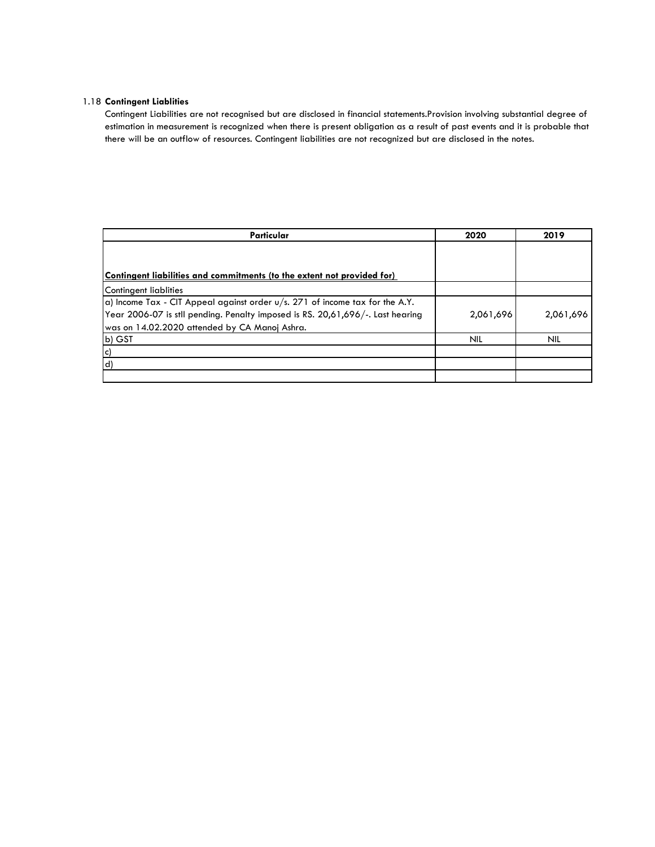# 1.18 **Contingent Liablities**

Contingent Liabilities are not recognised but are disclosed in financial statements.Provision involving substantial degree of estimation in measurement is recognized when there is present obligation as a result of past events and it is probable that there will be an outflow of resources. Contingent liabilities are not recognized but are disclosed in the notes.

| Particular                                                                              | 2020       | 2019       |
|-----------------------------------------------------------------------------------------|------------|------------|
|                                                                                         |            |            |
|                                                                                         |            |            |
| Contingent liabilities and commitments (to the extent not provided for)                 |            |            |
| Contingent liablities                                                                   |            |            |
| $\alpha$ ) Income Tax - CIT Appeal against order $u/s$ . 271 of income tax for the A.Y. |            |            |
| Year 2006-07 is stll pending. Penalty imposed is RS. 20,61,696/-. Last hearing          | 2,061,696  | 2,061,696  |
| was on 14.02.2020 attended by CA Manoj Ashra.                                           |            |            |
| b) GST                                                                                  | <b>NIL</b> | <b>NIL</b> |
| lc)                                                                                     |            |            |
| $\mathsf{d}$                                                                            |            |            |
|                                                                                         |            |            |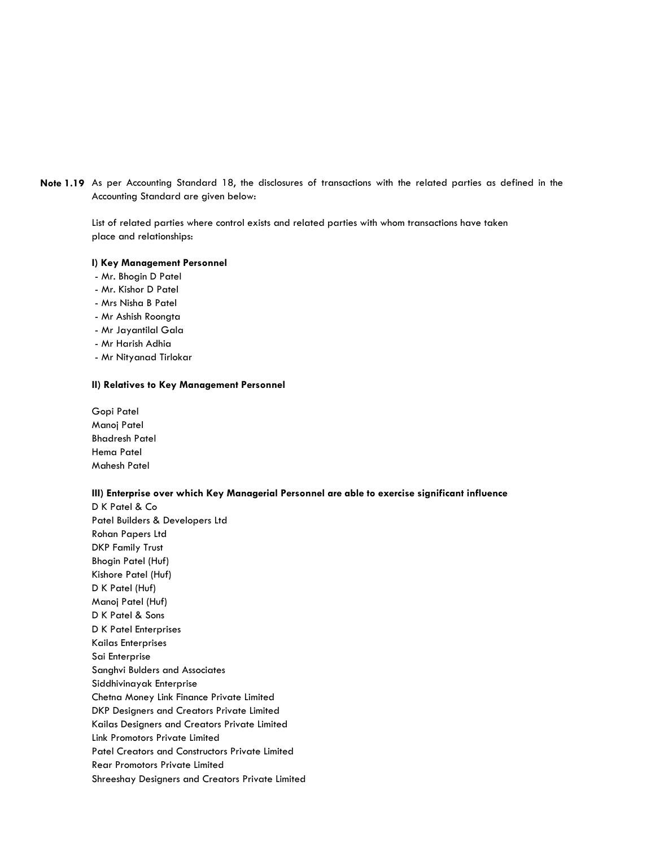**Note 1.19** As per Accounting Standard 18, the disclosures of transactions with the related parties as defined in the Accounting Standard are given below:

> List of related parties where control exists and related parties with whom transactions have taken place and relationships:

#### **I) Key Management Personnel**

- Mr. Bhogin D Patel
- Mr. Kishor D Patel
- Mrs Nisha B Patel
- Mr Ashish Roongta
- Mr Jayantilal Gala
- Mr Harish Adhia
- Mr Nityanad Tirlokar

#### **II) Relatives to Key Management Personnel**

Gopi Patel Manoj Patel Bhadresh Patel Hema Patel Mahesh Patel

#### **III) Enterprise over which Key Managerial Personnel are able to exercise significant influence**

D K Patel & Co Patel Builders & Developers Ltd Rohan Papers Ltd DKP Family Trust Bhogin Patel (Huf) Kishore Patel (Huf) D K Patel (Huf) Manoj Patel (Huf) D K Patel & Sons D K Patel Enterprises Kailas Enterprises Sai Enterprise Sanghvi Bulders and Associates Siddhivinayak Enterprise Chetna Money Link Finance Private Limited DKP Designers and Creators Private Limited Kailas Designers and Creators Private Limited Link Promotors Private Limited Patel Creators and Constructors Private Limited Rear Promotors Private Limited Shreeshay Designers and Creators Private Limited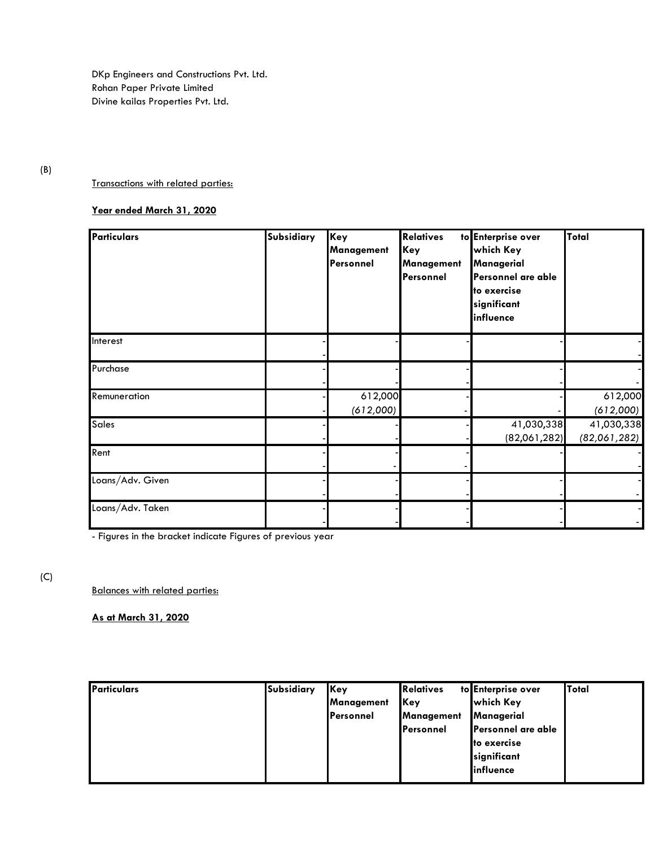DKp Engineers and Constructions Pvt. Ltd. Rohan Paper Private Limited Divine kailas Properties Pvt. Ltd.

# (B)

#### Transactions with related parties:

# **Year ended March 31, 2020**

| <b>Particulars</b> | Subsidiary | Key<br><b>Management</b><br>Personnel | <b>Relatives</b><br>Key<br><b>Management</b><br>Personnel | to Enterprise over<br>which Key<br>Managerial<br>Personnel are able<br>to exercise<br>significant<br>influence | Total                      |
|--------------------|------------|---------------------------------------|-----------------------------------------------------------|----------------------------------------------------------------------------------------------------------------|----------------------------|
| Interest           |            |                                       |                                                           |                                                                                                                |                            |
| Purchase           |            |                                       |                                                           |                                                                                                                |                            |
| Remuneration       |            | 612,000<br>(612,000)                  |                                                           |                                                                                                                | 612,000<br>(612,000)       |
| <b>Sales</b>       |            |                                       |                                                           | 41,030,338<br>(82,061,282)                                                                                     | 41,030,338<br>(82,061,282) |
| Rent               |            |                                       |                                                           |                                                                                                                |                            |
| Loans/Adv. Given   |            |                                       |                                                           |                                                                                                                |                            |
| Loans/Adv. Taken   |            |                                       |                                                           |                                                                                                                |                            |

- Figures in the bracket indicate Figures of previous year

# (C)

Balances with related parties:

**As at March 31, 2020**

| Particulars | <b>Subsidiary</b> | Key               | <b>Relatives</b>  | to Enterprise over | Total |
|-------------|-------------------|-------------------|-------------------|--------------------|-------|
|             |                   | Management        | <b>Key</b>        | <b>which Key</b>   |       |
|             |                   | <b>IPersonnel</b> | <b>Management</b> | Managerial         |       |
|             |                   |                   | <b>IPersonnel</b> | Personnel are able |       |
|             |                   |                   |                   | to exercise        |       |
|             |                   |                   |                   | significant        |       |
|             |                   |                   |                   | influence          |       |
|             |                   |                   |                   |                    |       |